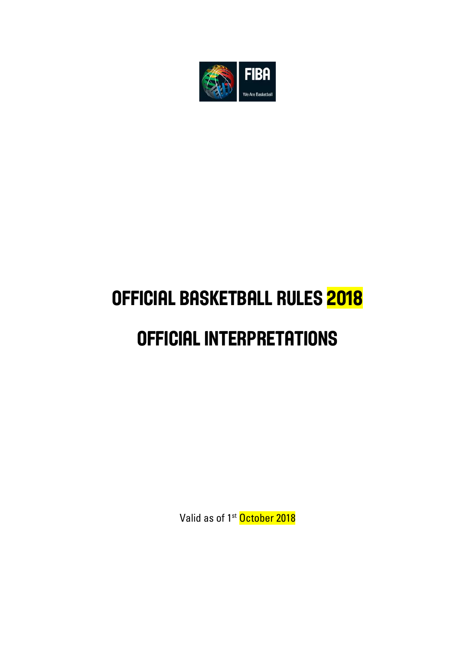

# Official Basketball Rules 2018 Official Interpretations

Valid as of 1st October 2018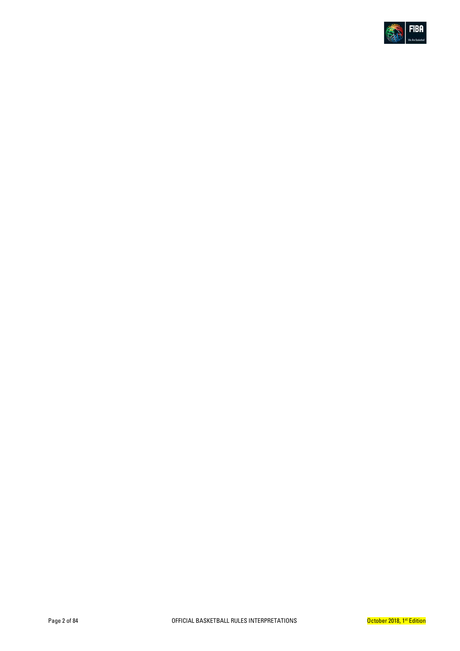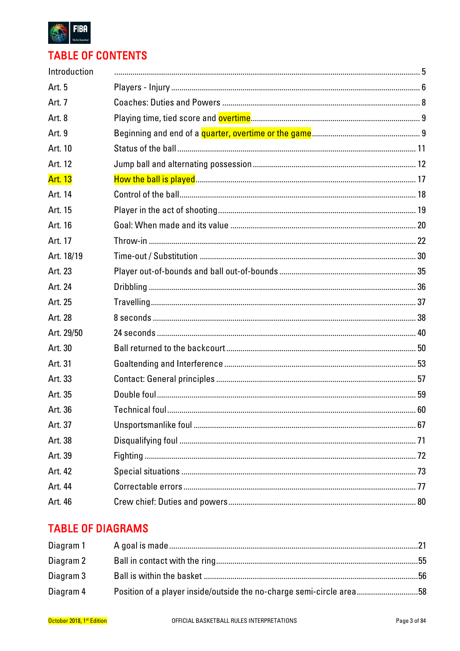

# **TABLE OF CONTENTS**

| Introduction |
|--------------|

| Introduction   |  |
|----------------|--|
| Art. 5         |  |
| Art. 7         |  |
| Art. 8         |  |
| Art. 9         |  |
| Art. 10        |  |
| Art. 12        |  |
| <b>Art. 13</b> |  |
| Art. 14        |  |
| Art. 15        |  |
| Art. 16        |  |
| Art. 17        |  |
| Art. 18/19     |  |
| Art. 23        |  |
| Art. 24        |  |
| Art. 25        |  |
| Art. 28        |  |
| Art. 29/50     |  |
| Art. 30        |  |
| Art. 31        |  |
| Art. 33        |  |
| Art. 35        |  |
| Art. 36        |  |
| Art. 37        |  |
| Art. 38        |  |
| Art. 39        |  |
| Art. 42        |  |
| Art. 44        |  |
| Art. 46        |  |
|                |  |

# **TABLE OF DIAGRAMS**

| Diagram 1 |                                                                      |  |
|-----------|----------------------------------------------------------------------|--|
| Diagram 2 |                                                                      |  |
| Diagram 3 |                                                                      |  |
| Diagram 4 | Position of a player inside/outside the no-charge semi-circle area58 |  |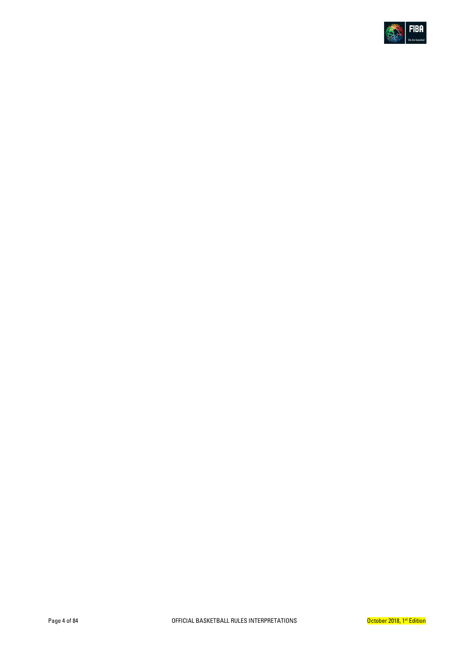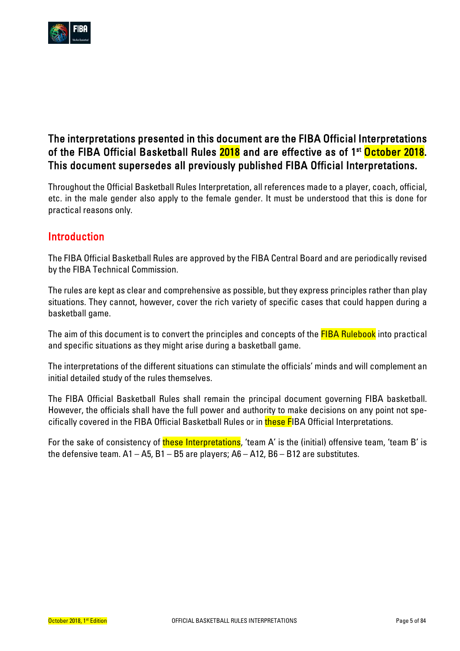

## The interpretations presented in this document are the FIBA Official Interpretations of the FIBA Official Basketball Rules 2018 and are effective as of 1<sup>st</sup> October 2018. This document supersedes all previously published FIBA Official Interpretations.

Throughout the Official Basketball Rules Interpretation, all references made to a player, coach, official, etc. in the male gender also apply to the female gender. It must be understood that this is done for practical reasons only.

## Introduction

The FIBA Official Basketball Rules are approved by the FIBA Central Board and are periodically revised by the FIBA Technical Commission.

The rules are kept as clear and comprehensive as possible, but they express principles rather than play situations. They cannot, however, cover the rich variety of specific cases that could happen during a basketball game.

The aim of this document is to convert the principles and concepts of the **FIBA Rulebook** into practical and specific situations as they might arise during a basketball game.

The interpretations of the different situations can stimulate the officials' minds and will complement an initial detailed study of the rules themselves.

The FIBA Official Basketball Rules shall remain the principal document governing FIBA basketball. However, the officials shall have the full power and authority to make decisions on any point not specifically covered in the FIBA Official Basketball Rules or in **these FIBA Official Interpretations.** 

For the sake of consistency of these Interpretations, 'team A' is the (initial) offensive team, 'team B' is the defensive team.  $A1 - A5$ ,  $B1 - B5$  are players;  $A6 - A12$ ,  $B6 - B12$  are substitutes.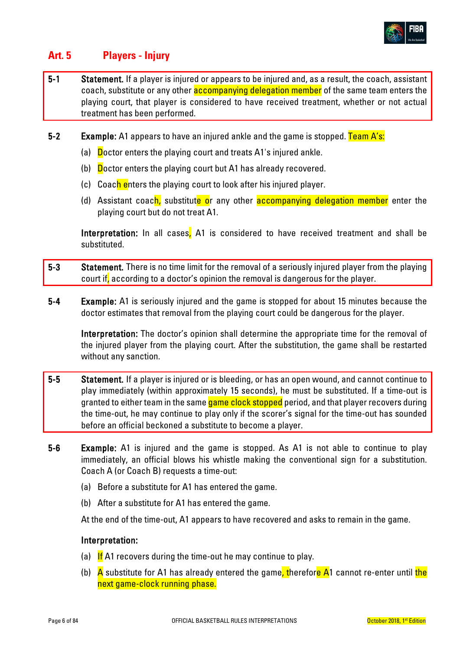

## **Art. 5 Players - Injury**

- 5-1 Statement. If a player is injured or appears to be injured and, as a result, the coach, assistant coach, substitute or any other **accompanying delegation member** of the same team enters the playing court, that player is considered to have received treatment, whether or not actual treatment has been performed.
- 5-2 Example: A1 appears to have an injured ankle and the game is stopped. Team A's:
	- (a) **D**octor enters the playing court and treats A1's injured ankle.
	- (b) Doctor enters the playing court but A1 has already recovered.
	- (c) Coach enters the playing court to look after his injured player.
	- (d) Assistant coach, substitute or any other **accompanying delegation member** enter the playing court but do not treat A1.

Interpretation: In all cases. A1 is considered to have received treatment and shall be substituted.

- 5-3 Statement. There is no time limit for the removal of a seriously injured player from the playing court if, according to a doctor's opinion the removal is dangerous for the player.
- 5-4 Example: A1 is seriously injured and the game is stopped for about 15 minutes because the doctor estimates that removal from the playing court could be dangerous for the player.

Interpretation: The doctor's opinion shall determine the appropriate time for the removal of the injured player from the playing court. After the substitution, the game shall be restarted without any sanction.

- 5-5 Statement. If a player is injured or is bleeding, or has an open wound, and cannot continue to play immediately (within approximately 15 seconds), he must be substituted. If a time-out is granted to either team in the same game clock stopped period, and that player recovers during the time-out, he may continue to play only if the scorer's signal for the time-out has sounded before an official beckoned a substitute to become a player.
- 5-6 Example: A1 is injured and the game is stopped. As A1 is not able to continue to play immediately, an official blows his whistle making the conventional sign for a substitution. Coach A (or Coach B) requests a time-out:
	- (a) Before a substitute for A1 has entered the game.
	- (b) After a substitute for A1 has entered the game.

At the end of the time-out, A1 appears to have recovered and asks to remain in the game.

### Interpretation:

- (a) If A1 recovers during the time-out he may continue to play.
- (b)  $\overline{A}$  substitute for A1 has already entered the game, therefore  $\overline{A}$ 1 cannot re-enter until the next game-clock running phase.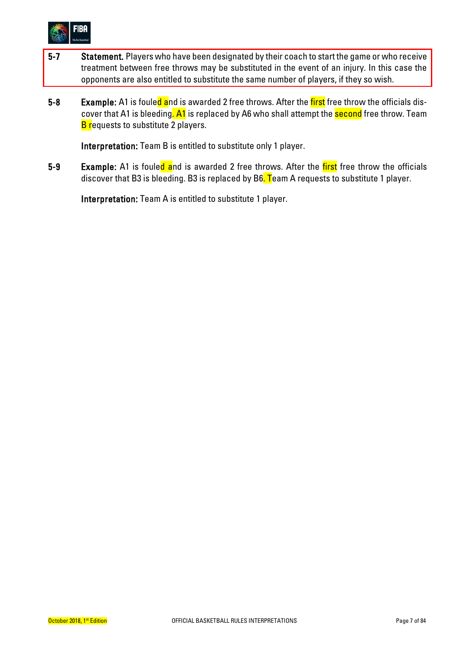

- 5-7 Statement. Players who have been designated by their coach to start the game or who receive treatment between free throws may be substituted in the event of an injury. In this case the opponents are also entitled to substitute the same number of players, if they so wish.
- 5-8 Example: A1 is fouled and is awarded 2 free throws. After the first free throw the officials discover that A1 is bleeding. A1 is replaced by A6 who shall attempt the **second** free throw. Team **B** requests to substitute 2 players.

Interpretation: Team B is entitled to substitute only 1 player.

5-9 **Example:** A1 is fouled and is awarded 2 free throws. After the first free throw the officials discover that B3 is bleeding. B3 is replaced by B6. Team A requests to substitute 1 player.

Interpretation: Team A is entitled to substitute 1 player.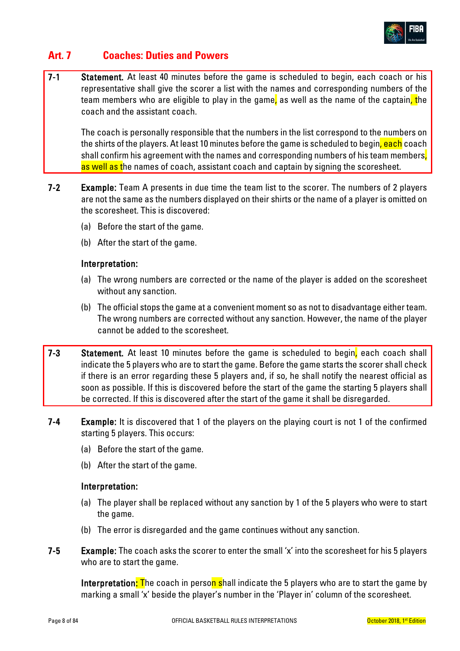

## **Art. 7 Coaches: Duties and Powers**

7-1 Statement. At least 40 minutes before the game is scheduled to begin, each coach or his representative shall give the scorer a list with the names and corresponding numbers of the team members who are eligible to play in the game, as well as the name of the captain, the coach and the assistant coach.

The coach is personally responsible that the numbers in the list correspond to the numbers on the shirts of the players. At least 10 minutes before the game is scheduled to begin, each coach shall confirm his agreement with the names and corresponding numbers of his team members, as well as the names of coach, assistant coach and captain by signing the scoresheet.

- 7-2 Example: Team A presents in due time the team list to the scorer. The numbers of 2 players are not the same as the numbers displayed on their shirts or the name of a player is omitted on the scoresheet. This is discovered:
	- (a) Before the start of the game.
	- (b) After the start of the game.

#### Interpretation:

- (a) The wrong numbers are corrected or the name of the player is added on the scoresheet without any sanction.
- (b) The official stops the game at a convenient moment so as not to disadvantage either team. The wrong numbers are corrected without any sanction. However, the name of the player cannot be added to the scoresheet.
- 7-3 Statement. At least 10 minutes before the game is scheduled to begin, each coach shall indicate the 5 players who are to start the game. Before the game starts the scorer shall check if there is an error regarding these 5 players and, if so, he shall notify the nearest official as soon as possible. If this is discovered before the start of the game the starting 5 players shall be corrected. If this is discovered after the start of the game it shall be disregarded.
- 7-4 Example: It is discovered that 1 of the players on the playing court is not 1 of the confirmed starting 5 players. This occurs:
	- (a) Before the start of the game.
	- (b) After the start of the game.

#### Interpretation:

- (a) The player shall be replaced without any sanction by 1 of the 5 players who were to start the game.
- (b) The error is disregarded and the game continues without any sanction.
- 7-5 Example: The coach asks the scorer to enter the small 'x' into the scoresheet for his 5 players who are to start the game.

**Interpretation<mark>: T</mark>he coach in perso<mark>n s</mark>hall indicate the 5 players who are to start the game by** marking a small 'x' beside the player's number in the 'Player in' column of the scoresheet.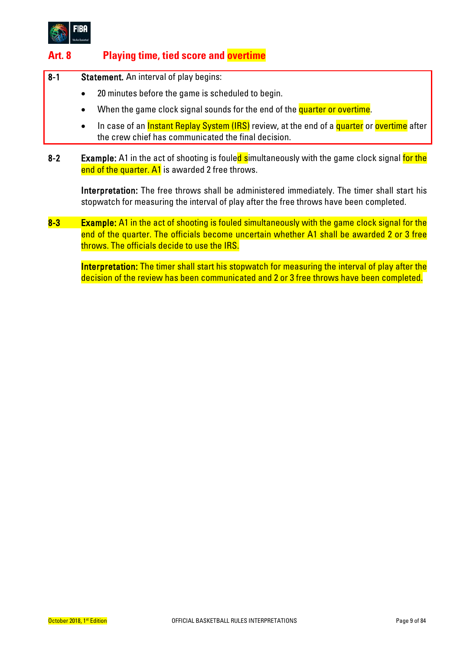

## **Art. 8 Playing time, tied score and overtime**

- 8-1 Statement. An interval of play begins:
	- 20 minutes before the game is scheduled to begin.
	- When the game clock signal sounds for the end of the quarter or overtime.
	- In case of an Instant Replay System (IRS) review, at the end of a quarter or overtime after the crew chief has communicated the final decision.
- 8-2 Example: A1 in the act of shooting is fouled simultaneously with the game clock signal for the end of the quarter. A1 is awarded 2 free throws.

Interpretation: The free throws shall be administered immediately. The timer shall start his stopwatch for measuring the interval of play after the free throws have been completed.

8-3 Example: A1 in the act of shooting is fouled simultaneously with the game clock signal for the end of the quarter. The officials become uncertain whether A1 shall be awarded 2 or 3 free throws. The officials decide to use the IRS.

Interpretation: The timer shall start his stopwatch for measuring the interval of play after the decision of the review has been communicated and 2 or 3 free throws have been completed.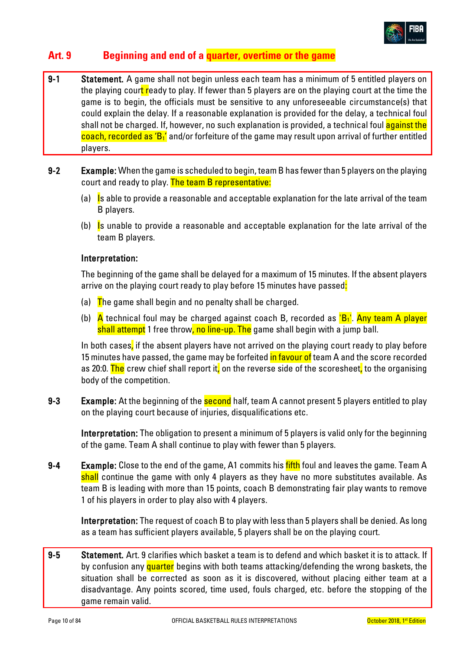

## **Art. 9 Beginning and end of a quarter, overtime or the game**

- 9-1 Statement. A game shall not begin unless each team has a minimum of 5 entitled players on the playing court ready to play. If fewer than 5 players are on the playing court at the time the game is to begin, the officials must be sensitive to any unforeseeable circumstance(s) that could explain the delay. If a reasonable explanation is provided for the delay, a technical foul shall not be charged. If, however, no such explanation is provided, a technical foul against the coach, recorded as 'B<sub>1</sub>' and/or forfeiture of the game may result upon arrival of further entitled players.
- 9-2 Example: When the game is scheduled to begin, team B has fewer than 5 players on the playing court and ready to play. The team B representative:
	- (a)  $\mathbf{I}$ s able to provide a reasonable and acceptable explanation for the late arrival of the team B players.
	- (b) Is unable to provide a reasonable and acceptable explanation for the late arrival of the team B players.

### Interpretation:

The beginning of the game shall be delayed for a maximum of 15 minutes. If the absent players arrive on the playing court ready to play before 15 minutes have passed:

- (a) The game shall begin and no penalty shall be charged.
- (b)  $\overline{A}$  technical foul may be charged against coach B, recorded as  $B_1$ <sup>'</sup>. Any team A player shall attempt 1 free throw, no line-up. The game shall begin with a jump ball.

In both cases, if the absent players have not arrived on the playing court ready to play before 15 minutes have passed, the game may be forfeited in favour of team A and the score recorded as 20:0. The crew chief shall report it, on the reverse side of the scoresheet, to the organising body of the competition.

**9-3** Example: At the beginning of the **second** half, team A cannot present 5 players entitled to play on the playing court because of injuries, disqualifications etc.

Interpretation: The obligation to present a minimum of 5 players is valid only for the beginning of the game. Team A shall continue to play with fewer than 5 players.

9-4 Example: Close to the end of the game, A1 commits his fifth foul and leaves the game. Team A shall continue the game with only 4 players as they have no more substitutes available. As team B is leading with more than 15 points, coach B demonstrating fair play wants to remove 1 of his players in order to play also with 4 players.

Interpretation: The request of coach B to play with less than 5 players shall be denied. As long as a team has sufficient players available, 5 players shall be on the playing court.

9-5 Statement. Art. 9 clarifies which basket a team is to defend and which basket it is to attack. If by confusion any quarter begins with both teams attacking/defending the wrong baskets, the situation shall be corrected as soon as it is discovered, without placing either team at a disadvantage. Any points scored, time used, fouls charged, etc. before the stopping of the game remain valid.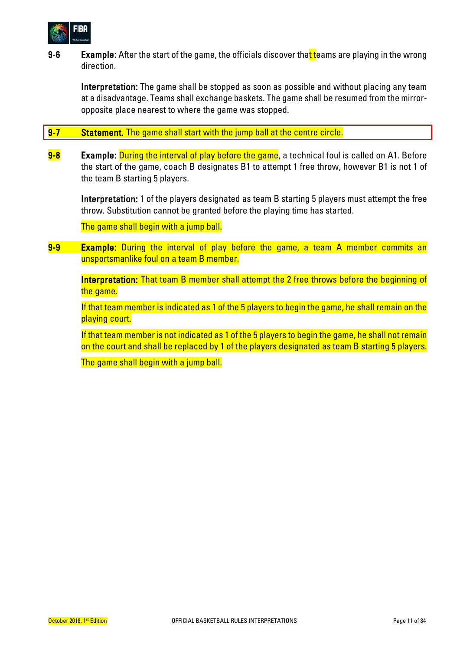

**9-6** Example: After the start of the game, the officials discover that teams are playing in the wrong direction.

Interpretation: The game shall be stopped as soon as possible and without placing any team at a disadvantage. Teams shall exchange baskets. The game shall be resumed from the mirroropposite place nearest to where the game was stopped.

#### 9-7 Statement. The game shall start with the jump ball at the centre circle.

9-8 Example: During the interval of play before the game, a technical foul is called on A1. Before the start of the game, coach B designates B1 to attempt 1 free throw, however B1 is not 1 of the team B starting 5 players.

Interpretation: 1 of the players designated as team B starting 5 players must attempt the free throw. Substitution cannot be granted before the playing time has started.

The game shall begin with a jump ball.

9-9 **Example:** During the interval of play before the game, a team A member commits an unsportsmanlike foul on a team B member.

Interpretation: That team B member shall attempt the 2 free throws before the beginning of the game.

If that team member is indicated as 1 of the 5 players to begin the game, he shall remain on the playing court.

If that team member is not indicated as 1 of the 5 players to begin the game, he shall not remain on the court and shall be replaced by 1 of the players designated as team B starting 5 players.

The game shall begin with a jump ball.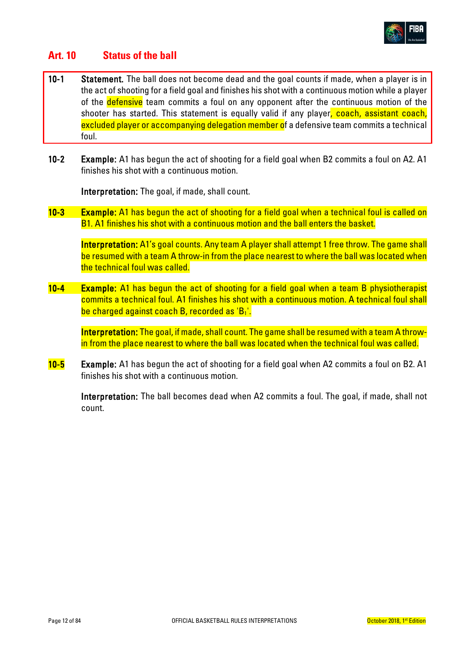

## **Art. 10 Status of the ball**

- 10-1 Statement. The ball does not become dead and the goal counts if made, when a player is in the act of shooting for a field goal and finishes his shot with a continuous motion while a player of the **defensive** team commits a foul on any opponent after the continuous motion of the shooter has started. This statement is equally valid if any player, coach, assistant coach, excluded player or accompanying delegation member of a defensive team commits a technical foul.
- 10-2 Example: A1 has begun the act of shooting for a field goal when B2 commits a foul on A2. A1 finishes his shot with a continuous motion.

Interpretation: The goal, if made, shall count.

10-3 Example: A1 has begun the act of shooting for a field goal when a technical foul is called on B1. A1 finishes his shot with a continuous motion and the ball enters the basket.

Interpretation: A1's goal counts. Any team A player shall attempt 1 free throw. The game shall be resumed with a team A throw-in from the place nearest to where the ball was located when the technical foul was called.

10-4 Example: A1 has begun the act of shooting for a field goal when a team B physiotherapist commits a technical foul. A1 finishes his shot with a continuous motion. A technical foul shall be charged against coach B, recorded as 'B<sub>1</sub>'.

Interpretation: The goal, if made, shall count. The game shall be resumed with a team A throwin from the place nearest to where the ball was located when the technical foul was called.

10-5 Example: A1 has begun the act of shooting for a field goal when A2 commits a foul on B2. A1 finishes his shot with a continuous motion.

Interpretation: The ball becomes dead when A2 commits a foul. The goal, if made, shall not count.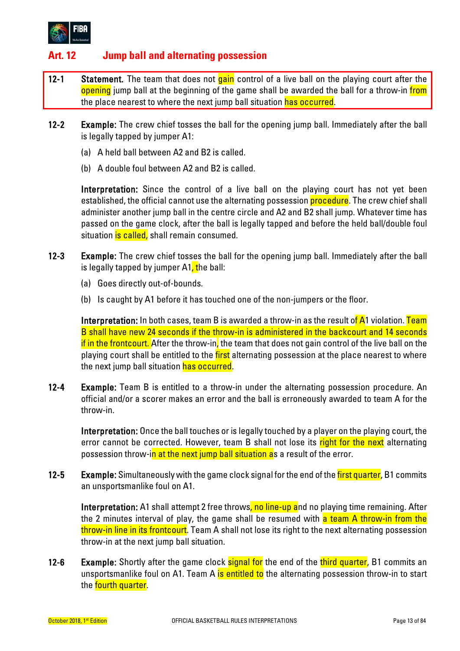

## **Art. 12 Jump ball and alternating possession**

- 12-1 Statement. The team that does not gain control of a live ball on the playing court after the opening jump ball at the beginning of the game shall be awarded the ball for a throw-in from the place nearest to where the next jump ball situation has occurred.
- 12-2 Example: The crew chief tosses the ball for the opening jump ball. Immediately after the ball is legally tapped by jumper A1:
	- (a) A held ball between A2 and B2 is called.
	- (b) A double foul between A2 and B2 is called.

Interpretation: Since the control of a live ball on the playing court has not yet been established, the official cannot use the alternating possession **procedure**. The crew chief shall administer another jump ball in the centre circle and A2 and B2 shall jump. Whatever time has passed on the game clock, after the ball is legally tapped and before the held ball/double foul situation is called, shall remain consumed.

- 12-3 Example: The crew chief tosses the ball for the opening jump ball. Immediately after the ball is legally tapped by jumper A1, the ball:
	- (a) Goes directly out-of-bounds.
	- (b) Is caught by A1 before it has touched one of the non-jumpers or the floor.

Interpretation: In both cases, team B is awarded a throw-in as the result of A1 violation. Team B shall have new 24 seconds if the throw-in is administered in the backcourt and 14 seconds if in the frontcourt. After the throw-in, the team that does not gain control of the live ball on the playing court shall be entitled to the first alternating possession at the place nearest to where the next jump ball situation has occurred.

12-4 Example: Team B is entitled to a throw-in under the alternating possession procedure. An official and/or a scorer makes an error and the ball is erroneously awarded to team A for the throw-in.

Interpretation: Once the ball touches or is legally touched by a player on the playing court, the error cannot be corrected. However, team B shall not lose its right for the next alternating possession throw-in at the next jump ball situation as a result of the error.

12-5 Example: Simultaneously with the game clock signal for the end of the first quarter, B1 commits an unsportsmanlike foul on A1.

Interpretation: A1 shall attempt 2 free throws, no line-up and no playing time remaining. After the 2 minutes interval of play, the game shall be resumed with a team A throw-in from the throw-in line in its frontcourt. Team A shall not lose its right to the next alternating possession throw-in at the next jump ball situation.

12-6 Example: Shortly after the game clock signal for the end of the third quarter, B1 commits an unsportsmanlike foul on A1. Team A is entitled to the alternating possession throw-in to start the **fourth** quarter.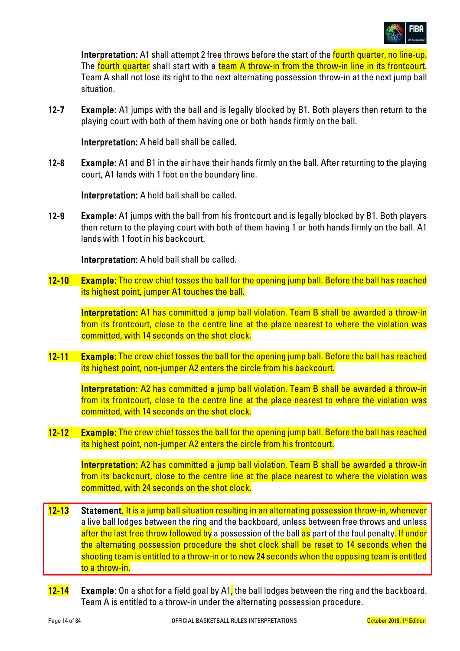

Interpretation: A1 shall attempt 2 free throws before the start of the fourth quarter, no line-up. The fourth quarter shall start with a team A throw-in from the throw-in line in its frontcourt. Team A shall not lose its right to the next alternating possession throw-in at the next jump ball situation.

12-7 Example: A1 jumps with the ball and is legally blocked by B1. Both players then return to the playing court with both of them having one or both hands firmly on the ball.

Interpretation: A held ball shall be called.

12-8 Example: A1 and B1 in the air have their hands firmly on the ball. After returning to the playing court, A1 lands with 1 foot on the boundary line.

Interpretation: A held ball shall be called.

12-9 Example: A1 jumps with the ball from his frontcourt and is legally blocked by B1. Both players then return to the playing court with both of them having 1 or both hands firmly on the ball. A1 lands with 1 foot in his backcourt.

Interpretation: A held ball shall be called.

12-10 Example: The crew chief tosses the ball for the opening jump ball. Before the ball has reached its highest point, jumper A1 touches the ball.

Interpretation: A1 has committed a jump ball violation. Team B shall be awarded a throw-in from its frontcourt, close to the centre line at the place nearest to where the violation was committed, with 14 seconds on the shot clock.

12-11 Example: The crew chief tosses the ball for the opening jump ball. Before the ball has reached its highest point, non-jumper A2 enters the circle from his backcourt.

Interpretation: A2 has committed a jump ball violation. Team B shall be awarded a throw-in from its frontcourt, close to the centre line at the place nearest to where the violation was committed, with 14 seconds on the shot clock.

12-12 Example: The crew chief tosses the ball for the opening jump ball. Before the ball has reached its highest point, non-jumper A2 enters the circle from his frontcourt.

Interpretation: A2 has committed a jump ball violation. Team B shall be awarded a throw-in from its backcourt, close to the centre line at the place nearest to where the violation was committed, with 24 seconds on the shot clock.

- 12-13 Statement. It is a jump ball situation resulting in an alternating possession throw-in, whenever a live ball lodges between the ring and the backboard, unless between free throws and unless after the last free throw followed by a possession of the ball as part of the foul penalty. If under the alternating possession procedure the shot clock shall be reset to 14 seconds when the shooting team is entitled to a throw-in or to new 24 seconds when the opposing team is entitled to a throw-in.
- 12-14 Example: On a shot for a field goal by A1, the ball lodges between the ring and the backboard. Team A is entitled to a throw-in under the alternating possession procedure.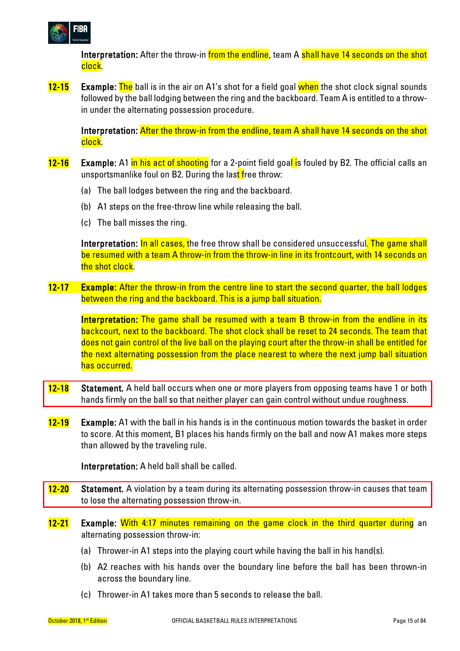

Interpretation: After the throw-in from the endline, team A shall have 14 seconds on the shot clock.

12-15 Example: The ball is in the air on A1's shot for a field goal when the shot clock signal sounds followed by the ball lodging between the ring and the backboard. Team A is entitled to a throwin under the alternating possession procedure.

Interpretation: After the throw-in from the endline, team A shall have 14 seconds on the shot clock.

- 12-16 Example: A1 in his act of shooting for a 2-point field goal is fouled by B2. The official calls an unsportsmanlike foul on B2. During the last free throw:
	- (a) The ball lodges between the ring and the backboard.
	- (b) A1 steps on the free-throw line while releasing the ball.
	- (c) The ball misses the ring.

Interpretation: In all cases, the free throw shall be considered unsuccessful. The game shall be resumed with a team A throw-in from the throw-in line in its frontcourt, with 14 seconds on the shot clock.

12-17 Example: After the throw-in from the centre line to start the second quarter, the ball lodges between the ring and the backboard. This is a jump ball situation.

Interpretation: The game shall be resumed with a team B throw-in from the endline in its backcourt, next to the backboard. The shot clock shall be reset to 24 seconds. The team that does not gain control of the live ball on the playing court after the throw-in shall be entitled for the next alternating possession from the place nearest to where the next jump ball situation has occurred.

- 12-18 Statement. A held ball occurs when one or more players from opposing teams have 1 or both hands firmly on the ball so that neither player can gain control without undue roughness.
- 12-19 Example: A1 with the ball in his hands is in the continuous motion towards the basket in order to score. At this moment, B1 places his hands firmly on the ball and now A1 makes more steps than allowed by the traveling rule.

Interpretation: A held ball shall be called.

- 12-20 Statement. A violation by a team during its alternating possession throw-in causes that team to lose the alternating possession throw-in.
- **12-21** Example: With 4:17 minutes remaining on the game clock in the third quarter during an alternating possession throw-in:
	- (a) Thrower-in A1 steps into the playing court while having the ball in his hand(s).
	- (b) A2 reaches with his hands over the boundary line before the ball has been thrown-in across the boundary line.
	- (c) Thrower-in A1 takes more than 5 seconds to release the ball.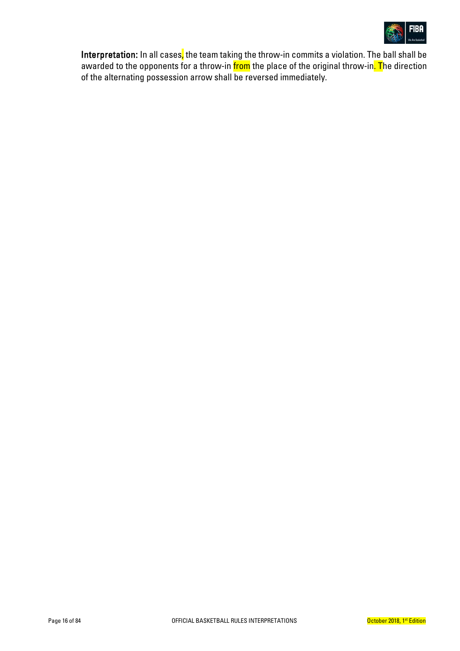

Interpretation: In all cases, the team taking the throw-in commits a violation. The ball shall be awarded to the opponents for a throw-in from the place of the original throw-in. The direction of the alternating possession arrow shall be reversed immediately.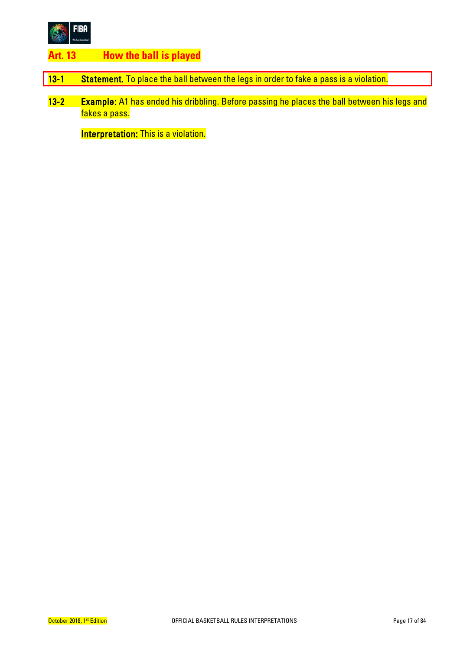

# **Art. 13 How the ball is played**

- 13-1 Statement. To place the ball between the legs in order to fake a pass is a violation.
- 13-2 Example: A1 has ended his dribbling. Before passing he places the ball between his legs and fakes a pass.

**Interpretation: This is a violation.**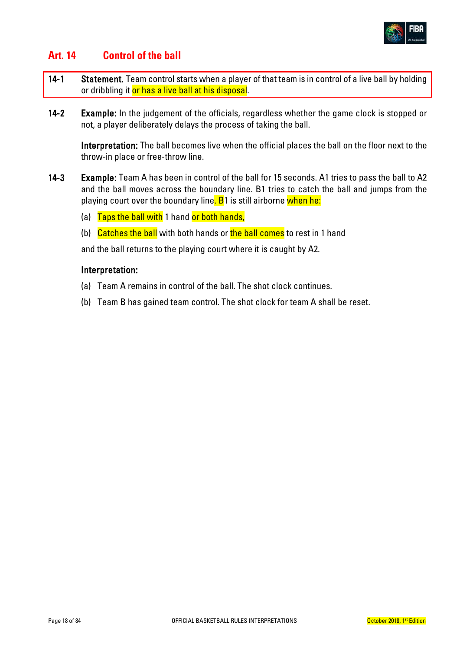

## **Art. 14 Control of the ball**

- 14-1 Statement. Team control starts when a player of that team is in control of a live ball by holding or dribbling it or has a live ball at his disposal.
- 14-2 Example: In the judgement of the officials, regardless whether the game clock is stopped or not, a player deliberately delays the process of taking the ball.

Interpretation: The ball becomes live when the official places the ball on the floor next to the throw-in place or free-throw line.

- 14-3 Example: Team A has been in control of the ball for 15 seconds. A1 tries to pass the ball to A2 and the ball moves across the boundary line. B1 tries to catch the ball and jumps from the playing court over the boundary line. B1 is still airborne when he:
	- (a) Taps the ball with 1 hand or both hands,
	- (b) Catches the ball with both hands or the ball comes to rest in 1 hand

and the ball returns to the playing court where it is caught by A2.

#### Interpretation:

- (a) Team A remains in control of the ball. The shot clock continues.
- (b) Team B has gained team control. The shot clock for team A shall be reset.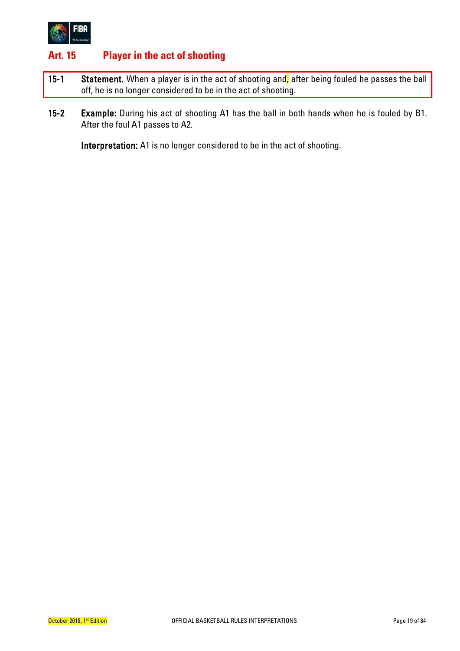

## **Art. 15 Player in the act of shooting**

- 15-1 Statement. When a player is in the act of shooting and, after being fouled he passes the ball off, he is no longer considered to be in the act of shooting.
- 15-2 Example: During his act of shooting A1 has the ball in both hands when he is fouled by B1. After the foul A1 passes to A2.

Interpretation: A1 is no longer considered to be in the act of shooting.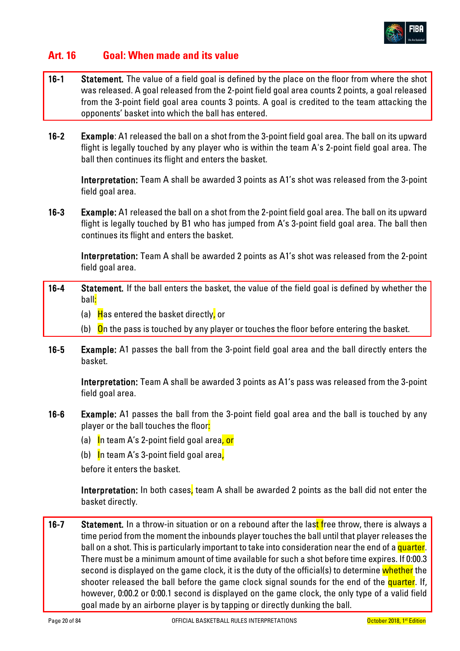

## **Art. 16 Goal: When made and its value**

- 16-1 Statement. The value of a field goal is defined by the place on the floor from where the shot was released. A goal released from the 2-point field goal area counts 2 points, a goal released from the 3-point field goal area counts 3 points. A goal is credited to the team attacking the opponents' basket into which the ball has entered.
- 16-2 Example: A1 released the ball on a shot from the 3-point field goal area. The ball on its upward flight is legally touched by any player who is within the team A's 2-point field goal area. The ball then continues its flight and enters the basket.

Interpretation: Team A shall be awarded 3 points as A1's shot was released from the 3-point field goal area.

16-3 Example: A1 released the ball on a shot from the 2-point field goal area. The ball on its upward flight is legally touched by B1 who has jumped from A's 3-point field goal area. The ball then continues its flight and enters the basket.

Interpretation: Team A shall be awarded 2 points as A1's shot was released from the 2-point field goal area.

- 16-4 Statement. If the ball enters the basket, the value of the field goal is defined by whether the ball:
	- (a) Has entered the basket directly, or
	- (b)  $\Box$  On the pass is touched by any player or touches the floor before entering the basket.
- 16-5 Example: A1 passes the ball from the 3-point field goal area and the ball directly enters the basket.

Interpretation: Team A shall be awarded 3 points as A1's pass was released from the 3-point field goal area.

- 16-6 Example: A1 passes the ball from the 3-point field goal area and the ball is touched by any player or the ball touches the floor:
	- (a) In team A's 2-point field goal area, or
	- (b) In team A's 3-point field goal area,

before it enters the basket.

Interpretation: In both cases, team A shall be awarded 2 points as the ball did not enter the basket directly.

16-7 Statement. In a throw-in situation or on a rebound after the last free throw, there is always a time period from the moment the inbounds player touches the ball until that player releases the ball on a shot. This is particularly important to take into consideration near the end of a quarter. There must be a minimum amount of time available for such a shot before time expires. If 0:00.3 second is displayed on the game clock, it is the duty of the official(s) to determine whether the shooter released the ball before the game clock signal sounds for the end of the quarter. If, however, 0:00.2 or 0:00.1 second is displayed on the game clock, the only type of a valid field goal made by an airborne player is by tapping or directly dunking the ball.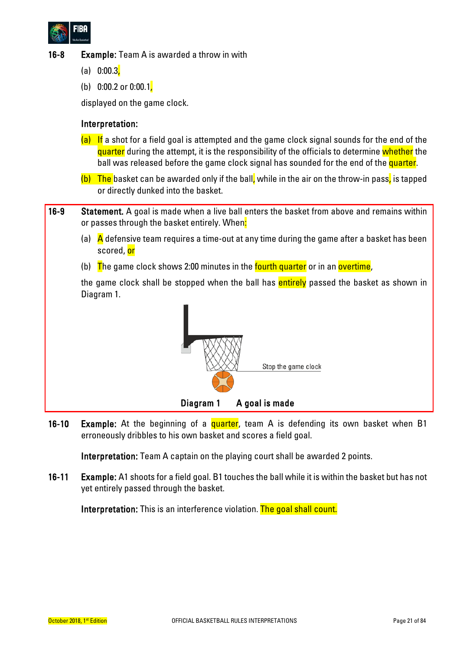

16-8 Example: Team A is awarded a throw in with

- (a)  $0:00.3$
- (b) 0:00.2 or 0:00.1,

displayed on the game clock.

## Interpretation:

- (a) If a shot for a field goal is attempted and the game clock signal sounds for the end of the quarter during the attempt, it is the responsibility of the officials to determine whether the ball was released before the game clock signal has sounded for the end of the quarter.
- $(b)$  The basket can be awarded only if the ball, while in the air on the throw-in pass, is tapped or directly dunked into the basket.
- 16-9 Statement. A goal is made when a live ball enters the basket from above and remains within or passes through the basket entirely. When:
	- (a)  $\overline{A}$  defensive team requires a time-out at any time during the game after a basket has been scored, or
	- (b) The game clock shows 2:00 minutes in the **fourth quarter** or in an **overtime**,

the game clock shall be stopped when the ball has **entirely** passed the basket as shown in Diagram 1.



<span id="page-20-0"></span>16-10 Example: At the beginning of a quarter, team A is defending its own basket when B1 erroneously dribbles to his own basket and scores a field goal.

Interpretation: Team A captain on the playing court shall be awarded 2 points.

16-11 Example: A1 shoots for a field goal. B1 touches the ball while it is within the basket but has not yet entirely passed through the basket.

Interpretation: This is an interference violation. The goal shall count.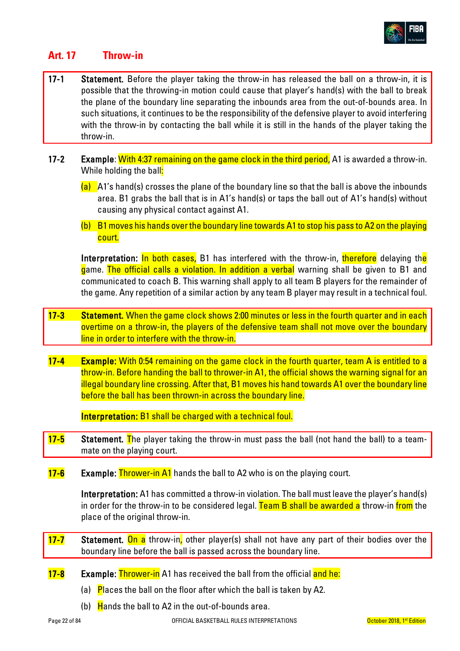

## **Art. 17 Throw-in**

- 17-1 Statement. Before the player taking the throw-in has released the ball on a throw-in, it is possible that the throwing-in motion could cause that player's hand(s) with the ball to break the plane of the boundary line separating the inbounds area from the out-of-bounds area. In such situations, it continues to be the responsibility of the defensive player to avoid interfering with the throw-in by contacting the ball while it is still in the hands of the player taking the throw-in.
- 17-2 Example: With 4:37 remaining on the game clock in the third period, A1 is awarded a throw-in. While holding the ball:
	- $(a)$  A1's hand(s) crosses the plane of the boundary line so that the ball is above the inbounds area. B1 grabs the ball that is in A1's hand(s) or taps the ball out of A1's hand(s) without causing any physical contact against A1.
	- (b) B1 moves his hands over the boundary line towards A1 to stop his pass to A2 on the playing court.

Interpretation: In both cases, B1 has interfered with the throw-in, therefore delaying the game. The official calls a violation. In addition a verbal warning shall be given to B1 and communicated to coach B. This warning shall apply to all team B players for the remainder of the game. Any repetition of a similar action by any team B player may result in a technical foul.

- 17-3 Statement. When the game clock shows 2:00 minutes or less in the fourth quarter and in each overtime on a throw-in, the players of the defensive team shall not move over the boundary line in order to interfere with the throw-in.
- 17-4 Example: With 0:54 remaining on the game clock in the fourth quarter, team A is entitled to a throw-in. Before handing the ball to thrower-in A1, the official shows the warning signal for an illegal boundary line crossing. After that, B1 moves his hand towards A1 over the boundary line before the ball has been thrown-in across the boundary line.

Interpretation: B1 shall be charged with a technical foul.

- 17-5 Statement. The player taking the throw-in must pass the ball (not hand the ball) to a teammate on the playing court.
- **17-6** Example: Thrower-in A1 hands the ball to A2 who is on the playing court.

Interpretation: A1 has committed a throw-in violation. The ball must leave the player's hand(s) in order for the throw-in to be considered legal. Team B shall be awarded a throw-in from the place of the original throw-in.

- 17-7 Statement. On a throw-in, other player(s) shall not have any part of their bodies over the boundary line before the ball is passed across the boundary line.
- 17-8 Example: Thrower-in A1 has received the ball from the official and he:
	- (a) Places the ball on the floor after which the ball is taken by A2.
	- (b)  $H$ ands the ball to A2 in the out-of-bounds area.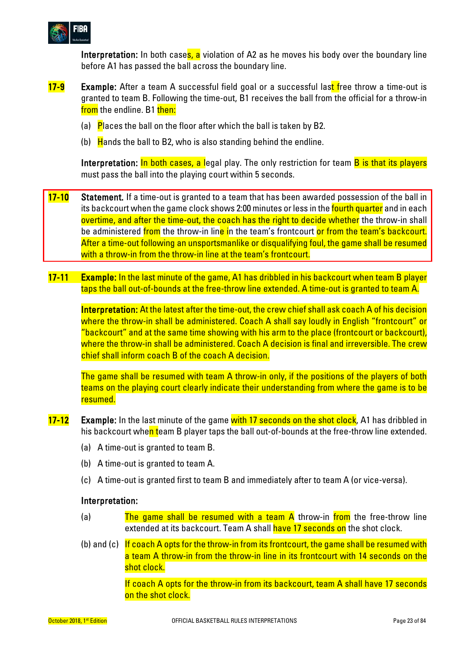

Interpretation: In both cases, a violation of A2 as he moves his body over the boundary line before A1 has passed the ball across the boundary line.

- 17-9 Example: After a team A successful field goal or a successful last free throw a time-out is granted to team B. Following the time-out, B1 receives the ball from the official for a throw-in from the endline. B1 then:
	- (a) Places the ball on the floor after which the ball is taken by B2.
	- (b) Hands the ball to B2, who is also standing behind the endline.

Interpretation: In both cases, a legal play. The only restriction for team B is that its players must pass the ball into the playing court within 5 seconds.

- 17-10 Statement. If a time-out is granted to a team that has been awarded possession of the ball in its backcourt when the game clock shows 2:00 minutes or less in the fourth quarter and in each overtime, and after the time-out, the coach has the right to decide whether the throw-in shall be administered from the throw-in line in the team's frontcourt or from the team's backcourt. After a time-out following an unsportsmanlike or disqualifying foul, the game shall be resumed with a throw-in from the throw-in line at the team's frontcourt.
- 17-11 Example: In the last minute of the game, A1 has dribbled in his backcourt when team B player taps the ball out-of-bounds at the free-throw line extended. A time-out is granted to team A.

Interpretation: At the latest after the time-out, the crew chief shall ask coach A of his decision where the throw-in shall be administered. Coach A shall say loudly in English "frontcourt" or "backcourt" and at the same time showing with his arm to the place (frontcourt or backcourt), where the throw-in shall be administered. Coach A decision is final and irreversible. The crew chief shall inform coach B of the coach A decision.

The game shall be resumed with team A throw-in only, if the positions of the players of both teams on the playing court clearly indicate their understanding from where the game is to be resumed.

- 17-12 Example: In the last minute of the game with 17 seconds on the shot clock, A1 has dribbled in his backcourt when team B player taps the ball out-of-bounds at the free-throw line extended.
	- (a) A time-out is granted to team B.
	- (b) A time-out is granted to team A.
	- (c) A time-out is granted first to team B and immediately after to team A (or vice-versa).

#### Interpretation:

- (a) The game shall be resumed with a team  $\overline{A}$  throw-in from the free-throw line extended at its backcourt. Team A shall have 17 seconds on the shot clock.
- (b) and (c) If coach A opts for the throw-in from its frontcourt, the game shall be resumed with a team A throw-in from the throw-in line in its frontcourt with 14 seconds on the shot clock.

If coach A opts for the throw-in from its backcourt, team A shall have 17 seconds on the shot clock.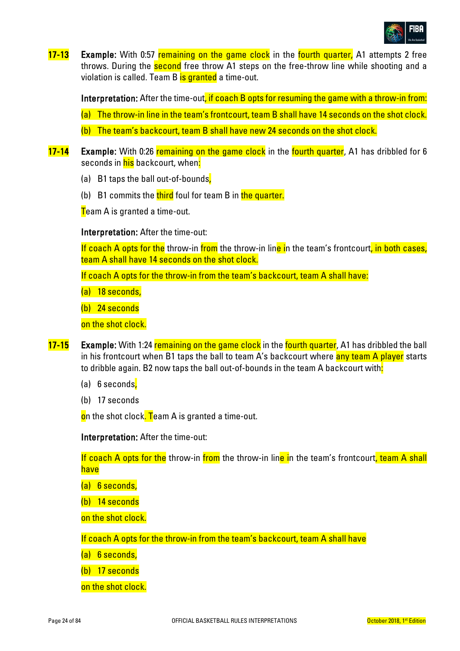

17-13 Example: With 0:57 remaining on the game clock in the fourth quarter, A1 attempts 2 free throws. During the **second** free throw A1 steps on the free-throw line while shooting and a violation is called. Team B is granted a time-out.

Interpretation: After the time-out, if coach B opts for resuming the game with a throw-in from:

- (a) The throw-in line in the team's frontcourt, team B shall have 14 seconds on the shot clock.
- (b) The team's backcourt, team B shall have new 24 seconds on the shot clock.
- 17-14 Example: With 0:26 remaining on the game clock in the fourth quarter, A1 has dribbled for 6 seconds in his backcourt, when:
	- (a) B1 taps the ball out-of-bounds,
	- (b) B1 commits the third foul for team B in the quarter.

**Team A** is granted a time-out.

Interpretation: After the time-out:

If coach A opts for the throw-in from the throw-in line in the team's frontcourt, in both cases, team A shall have 14 seconds on the shot clock.

If coach A opts for the throw-in from the team's backcourt, team A shall have:

(a) 18 seconds,

(b) 24 seconds

on the shot clock.

- 17-15 Example: With 1:24 remaining on the game clock in the fourth quarter, A1 has dribbled the ball in his frontcourt when B1 taps the ball to team A's backcourt where any team A player starts to dribble again. B2 now taps the ball out-of-bounds in the team A backcourt with:
	- (a) 6 seconds,
	- (b) 17 seconds

on the shot clock. Team A is granted a time-out.

#### Interpretation: After the time-out:

If coach A opts for the throw-in from the throw-in line in the team's frontcourt, team A shall have

(a) 6 seconds,

(b) 14 seconds

on the shot clock.

If coach A opts for the throw-in from the team's backcourt, team A shall have

(a) 6 seconds,

(b) 17 seconds

on the shot clock.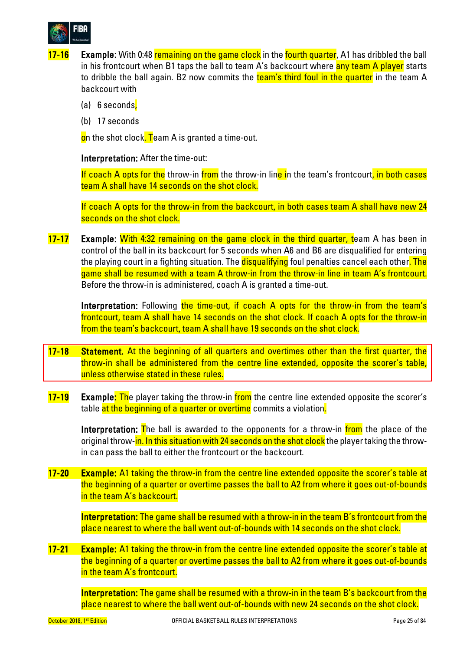

- 17-16 Example: With 0:48 remaining on the game clock in the fourth quarter, A1 has dribbled the ball in his frontcourt when B1 taps the ball to team A's backcourt where any team A player starts to dribble the ball again. B2 now commits the team's third foul in the quarter in the team A backcourt with
	- (a) 6 seconds,
	- (b) 17 seconds

on the shot clock. Team A is granted a time-out.

#### Interpretation: After the time-out:

If coach A opts for the throw-in from the throw-in line in the team's frontcourt, in both cases team A shall have 14 seconds on the shot clock.

If coach A opts for the throw-in from the backcourt, in both cases team A shall have new 24 seconds on the shot clock.

17-17 Example: With 4:32 remaining on the game clock in the third quarter, team A has been in control of the ball in its backcourt for 5 seconds when A6 and B6 are disqualified for entering the playing court in a fighting situation. The **disqualifying** foul penalties cancel each other. The game shall be resumed with a team A throw-in from the throw-in line in team A's frontcourt. Before the throw-in is administered, coach A is granted a time-out.

Interpretation: Following the time-out, if coach A opts for the throw-in from the team's frontcourt, team A shall have 14 seconds on the shot clock. If coach A opts for the throw-in from the team's backcourt, team A shall have 19 seconds on the shot clock.

- 17-18 Statement. At the beginning of all quarters and overtimes other than the first quarter, the throw-in shall be administered from the centre line extended, opposite the scorer's table, unless otherwise stated in these rules.
- 17-19 Example: The player taking the throw-in from the centre line extended opposite the scorer's table at the beginning of a quarter or overtime commits a violation.

Interpretation: The ball is awarded to the opponents for a throw-in from the place of the original throw-in. In this situation with 24 seconds on the shot clock the player taking the throwin can pass the ball to either the frontcourt or the backcourt.

17-20 Example: A1 taking the throw-in from the centre line extended opposite the scorer's table at the beginning of a quarter or overtime passes the ball to A2 from where it goes out-of-bounds in the team A's backcourt.

Interpretation: The game shall be resumed with a throw-in in the team B's frontcourt from the place nearest to where the ball went out-of-bounds with 14 seconds on the shot clock.

17-21 Example: A1 taking the throw-in from the centre line extended opposite the scorer's table at the beginning of a quarter or overtime passes the ball to A2 from where it goes out-of-bounds in the team A's frontcourt.

Interpretation: The game shall be resumed with a throw-in in the team B's backcourt from the place nearest to where the ball went out-of-bounds with new 24 seconds on the shot clock.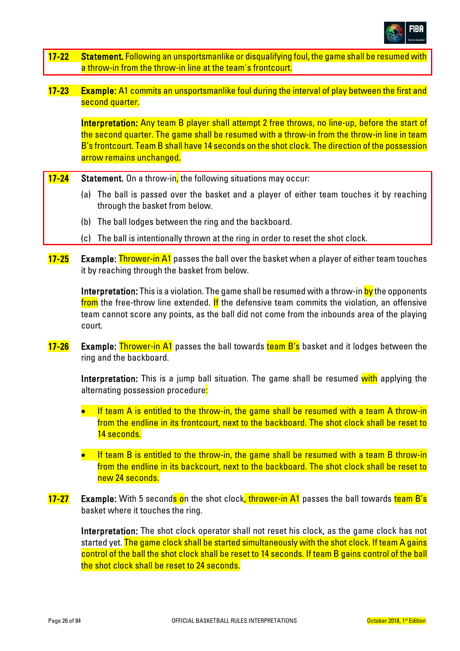

17-22 Statement. Following an unsportsmanlike or disqualifying foul, the game shall be resumed with a throw-in from the throw-in line at the team's frontcourt.

17-23 Example: A1 commits an unsportsmanlike foul during the interval of play between the first and second quarter.

Interpretation: Any team B player shall attempt 2 free throws, no line-up, before the start of the second quarter. The game shall be resumed with a throw-in from the throw-in line in team B's frontcourt. Team B shall have 14 seconds on the shot clock. The direction of the possession arrow remains unchanged.

- **17-24** Statement. On a throw-in, the following situations may occur:
	- (a) The ball is passed over the basket and a player of either team touches it by reaching through the basket from below.
	- (b) The ball lodges between the ring and the backboard.
	- (c) The ball is intentionally thrown at the ring in order to reset the shot clock.
- 17-25 Example: Thrower-in A1 passes the ball over the basket when a player of either team touches it by reaching through the basket from below.

Interpretation: This is a violation. The game shall be resumed with a throw-in by the opponents from the free-throw line extended. If the defensive team commits the violation, an offensive team cannot score any points, as the ball did not come from the inbounds area of the playing court.

17-26 Example: Thrower-in A1 passes the ball towards team B's basket and it lodges between the ring and the backboard.

**Interpretation:** This is a jump ball situation. The game shall be resumed with applying the alternating possession procedure:

- If team A is entitled to the throw-in, the game shall be resumed with a team A throw-in from the endline in its frontcourt, next to the backboard. The shot clock shall be reset to 14 seconds.
- If team B is entitled to the throw-in, the game shall be resumed with a team B throw-in from the endline in its backcourt, next to the backboard. The shot clock shall be reset to new 24 seconds.
- 17-27 Example: With 5 seconds on the shot clock, thrower-in A1 passes the ball towards team B's basket where it touches the ring.

Interpretation: The shot clock operator shall not reset his clock, as the game clock has not started yet. The game clock shall be started simultaneously with the shot clock. If team A gains control of the ball the shot clock shall be reset to 14 seconds. If team B gains control of the ball the shot clock shall be reset to 24 seconds.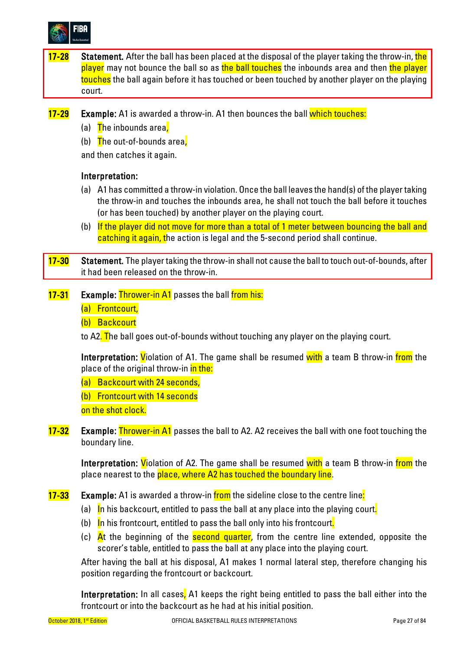

17-28 Statement. After the ball has been placed at the disposal of the player taking the throw-in, the player may not bounce the ball so as the ball touches the inbounds area and then the player touches the ball again before it has touched or been touched by another player on the playing court.

17-29 Example: A1 is awarded a throw-in. A1 then bounces the ball which touches:

- (a) The inbounds area,
- (b) The out-of-bounds area,

and then catches it again.

### Interpretation:

- (a) A1 has committed a throw-in violation. Once the ball leaves the hand(s) of the player taking the throw-in and touches the inbounds area, he shall not touch the ball before it touches (or has been touched) by another player on the playing court.
- (b) If the player did not move for more than a total of 1 meter between bouncing the ball and catching it again, the action is legal and the 5-second period shall continue.
- 17-30 Statement. The player taking the throw-in shall not cause the ball to touch out-of-bounds, after it had been released on the throw-in.

## 17-31 Example: Thrower-in A1 passes the ball from his:

(a) Frontcourt,

(b) Backcourt

to A2. The ball goes out-of-bounds without touching any player on the playing court.

Interpretation: Violation of A1. The game shall be resumed with a team B throw-in from the place of the original throw-in in the:

- (a) Backcourt with 24 seconds,
- (b) Frontcourt with 14 seconds

on the shot clock.

17-32 Example: Thrower-in A1 passes the ball to A2. A2 receives the ball with one foot touching the boundary line.

Interpretation: Violation of A2. The game shall be resumed with a team B throw-in from the place nearest to the place, where A2 has touched the boundary line.

### 17-33 Example: A1 is awarded a throw-in from the sideline close to the centre line:

- (a) In his backcourt, entitled to pass the ball at any place into the playing court.
- (b) In his frontcourt, entitled to pass the ball only into his frontcourt.
- (c)  $\overline{A}$ t the beginning of the **second quarter**, from the centre line extended, opposite the scorer's table, entitled to pass the ball at any place into the playing court.

After having the ball at his disposal, A1 makes 1 normal lateral step, therefore changing his position regarding the frontcourt or backcourt.

Interpretation: In all cases, A1 keeps the right being entitled to pass the ball either into the frontcourt or into the backcourt as he had at his initial position.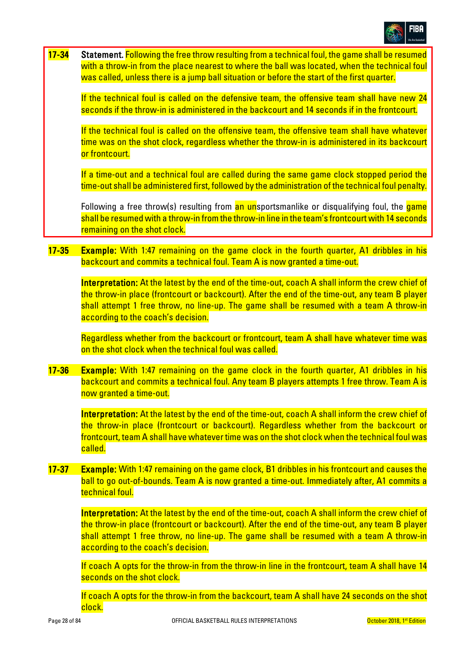

17-34 Statement. Following the free throw resulting from a technical foul, the game shall be resumed with a throw-in from the place nearest to where the ball was located, when the technical foul was called, unless there is a jump ball situation or before the start of the first quarter.

If the technical foul is called on the defensive team, the offensive team shall have new 24 seconds if the throw-in is administered in the backcourt and 14 seconds if in the frontcourt.

If the technical foul is called on the offensive team, the offensive team shall have whatever time was on the shot clock, regardless whether the throw-in is administered in its backcourt or frontcourt.

If a time-out and a technical foul are called during the same game clock stopped period the time-out shall be administered first, followed by the administration of the technical foul penalty.

Following a free throw(s) resulting from an unsportsmanlike or disqualifying foul, the game shall be resumed with a throw-in from the throw-in line in the team's frontcourt with 14 seconds remaining on the shot clock.

17-35 Example: With 1:47 remaining on the game clock in the fourth quarter, A1 dribbles in his backcourt and commits a technical foul. Team A is now granted a time-out.

Interpretation: At the latest by the end of the time-out, coach A shall inform the crew chief of the throw-in place (frontcourt or backcourt). After the end of the time-out, any team B player shall attempt 1 free throw, no line-up. The game shall be resumed with a team A throw-in according to the coach's decision.

Regardless whether from the backcourt or frontcourt, team A shall have whatever time was on the shot clock when the technical foul was called.

17-36 Example: With 1:47 remaining on the game clock in the fourth quarter, A1 dribbles in his backcourt and commits a technical foul. Any team B players attempts 1 free throw. Team A is now granted a time-out.

Interpretation: At the latest by the end of the time-out, coach A shall inform the crew chief of the throw-in place (frontcourt or backcourt). Regardless whether from the backcourt or frontcourt, team A shall have whatever time was on the shot clock when the technical foul was called.

17-37 Example: With 1:47 remaining on the game clock, B1 dribbles in his frontcourt and causes the ball to go out-of-bounds. Team A is now granted a time-out. Immediately after, A1 commits a technical foul.

Interpretation: At the latest by the end of the time-out, coach A shall inform the crew chief of the throw-in place (frontcourt or backcourt). After the end of the time-out, any team B player shall attempt 1 free throw, no line-up. The game shall be resumed with a team A throw-in according to the coach's decision.

If coach A opts for the throw-in from the throw-in line in the frontcourt, team A shall have 14 seconds on the shot clock.

If coach A opts for the throw-in from the backcourt, team A shall have 24 seconds on the shot clock.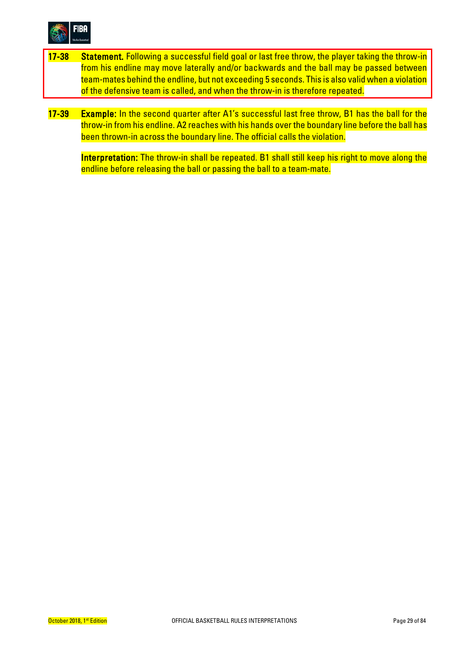

- 17-38 Statement. Following a successful field goal or last free throw, the player taking the throw-in from his endline may move laterally and/or backwards and the ball may be passed between team-mates behind the endline, but not exceeding 5 seconds. This is also valid when a violation of the defensive team is called, and when the throw-in is therefore repeated.
- 17-39 Example: In the second quarter after A1's successful last free throw, B1 has the ball for the throw-in from his endline. A2 reaches with his hands over the boundary line before the ball has been thrown-in across the boundary line. The official calls the violation.

Interpretation: The throw-in shall be repeated. B1 shall still keep his right to move along the endline before releasing the ball or passing the ball to a team-mate.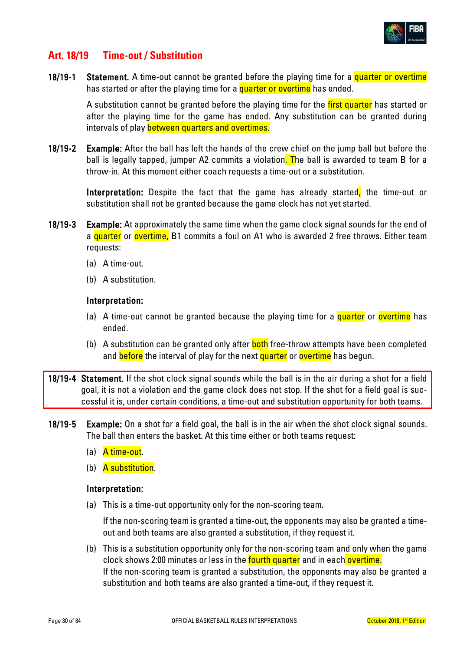

## **Art. 18/19 Time-out / Substitution**

18/19-1 Statement. A time-out cannot be granted before the playing time for a quarter or overtime has started or after the playing time for a quarter or overtime has ended.

A substitution cannot be granted before the playing time for the first quarter has started or after the playing time for the game has ended. Any substitution can be granted during intervals of play between quarters and overtimes.

18/19-2 Example: After the ball has left the hands of the crew chief on the jump ball but before the ball is legally tapped, jumper A2 commits a violation. The ball is awarded to team B for a throw-in. At this moment either coach requests a time-out or a substitution.

Interpretation: Despite the fact that the game has already started, the time-out or substitution shall not be granted because the game clock has not yet started.

- 18/19-3 Example: At approximately the same time when the game clock signal sounds for the end of a quarter or overtime, B1 commits a foul on A1 who is awarded 2 free throws. Either team requests:
	- (a) A time-out.
	- (b) A substitution.

#### Interpretation:

- (a) A time-out cannot be granted because the playing time for a quarter or overtime has ended.
- (b) A substitution can be granted only after **both** free-throw attempts have been completed and before the interval of play for the next quarter or overtime has begun.
- 18/19-4 Statement. If the shot clock signal sounds while the ball is in the air during a shot for a field goal, it is not a violation and the game clock does not stop. If the shot for a field goal is successful it is, under certain conditions, a time-out and substitution opportunity for both teams.
- 18/19-5 Example: On a shot for a field goal, the ball is in the air when the shot clock signal sounds. The ball then enters the basket. At this time either or both teams request:
	- (a) A time-out.
	- (b) A substitution.

### Interpretation:

(a) This is a time-out opportunity only for the non-scoring team.

If the non-scoring team is granted a time-out, the opponents may also be granted a timeout and both teams are also granted a substitution, if they request it.

(b) This is a substitution opportunity only for the non-scoring team and only when the game clock shows 2:00 minutes or less in the **fourth quarter** and in each overtime. If the non-scoring team is granted a substitution, the opponents may also be granted a substitution and both teams are also granted a time-out, if they request it.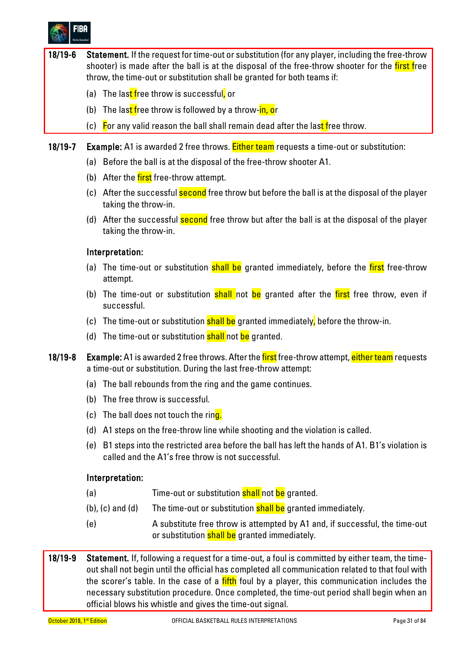

18/19-6 Statement. If the request for time-out or substitution (for any player, including the free-throw shooter) is made after the ball is at the disposal of the free-throw shooter for the first free throw, the time-out or substitution shall be granted for both teams if:

- (a) The last free throw is successful, or
- (b) The last free throw is followed by a throw- $\frac{\mathsf{in}}{\mathsf{in}}$ , or
- (c) For any valid reason the ball shall remain dead after the last free throw.
- 18/19-7 Example: A1 is awarded 2 free throws. Either team requests a time-out or substitution:
	- (a) Before the ball is at the disposal of the free-throw shooter A1.
	- (b) After the  $first$  free-throw attempt.
	- (c) After the successful **second** free throw but before the ball is at the disposal of the player taking the throw-in.
	- (d) After the successful **second** free throw but after the ball is at the disposal of the player taking the throw-in.

## Interpretation:

- (a) The time-out or substitution shall be granted immediately, before the first free-throw attempt.
- (b) The time-out or substitution shall not be granted after the first free throw, even if successful.
- (c) The time-out or substitution  $\frac{\text{shall}}{\text{be}}$  granted immediately, before the throw-in.
- (d) The time-out or substitution  $shall$  not be granted.
- 18/19-8 Example: A1 is awarded 2 free throws. After the first free-throw attempt, either team requests a time-out or substitution. During the last free-throw attempt:
	- (a) The ball rebounds from the ring and the game continues.
	- (b) The free throw is successful.
	- (c) The ball does not touch the ring.
	- (d) A1 steps on the free-throw line while shooting and the violation is called.
	- (e) B1 steps into the restricted area before the ball has left the hands of A1. B1's violation is called and the A1's free throw is not successful.

### Interpretation:

- (a) Time-out or substitution **shall** not be granted.
- (b), (c) and (d) The time-out or substitution  $shall$  be granted immediately.
- (e) A substitute free throw is attempted by A1 and, if successful, the time-out or substitution shall be granted immediately.

18/19-9 Statement. If, following a request for a time-out, a foul is committed by either team, the timeout shall not begin until the official has completed all communication related to that foul with the scorer's table. In the case of a fifth foul by a player, this communication includes the necessary substitution procedure. Once completed, the time-out period shall begin when an official blows his whistle and gives the time-out signal.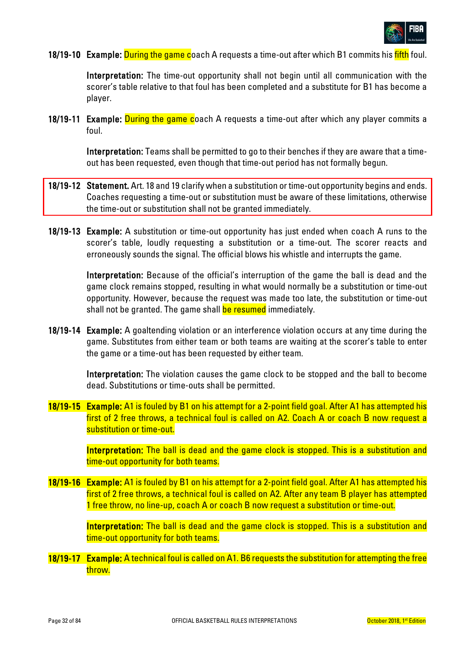

18/19-10 Example: During the game coach A requests a time-out after which B1 commits his fifth foul.

Interpretation: The time-out opportunity shall not begin until all communication with the scorer's table relative to that foul has been completed and a substitute for B1 has become a player.

18/19-11 Example: During the game coach A requests a time-out after which any player commits a foul.

Interpretation: Teams shall be permitted to go to their benches if they are aware that a timeout has been requested, even though that time-out period has not formally begun.

- 18/19-12 Statement. Art. 18 and 19 clarify when a substitution or time-out opportunity begins and ends. Coaches requesting a time-out or substitution must be aware of these limitations, otherwise the time-out or substitution shall not be granted immediately.
- 18/19-13 Example: A substitution or time-out opportunity has just ended when coach A runs to the scorer's table, loudly requesting a substitution or a time-out. The scorer reacts and erroneously sounds the signal. The official blows his whistle and interrupts the game.

Interpretation: Because of the official's interruption of the game the ball is dead and the game clock remains stopped, resulting in what would normally be a substitution or time-out opportunity. However, because the request was made too late, the substitution or time-out shall not be granted. The game shall be resumed immediately.

18/19-14 Example: A goaltending violation or an interference violation occurs at any time during the game. Substitutes from either team or both teams are waiting at the scorer's table to enter the game or a time-out has been requested by either team.

Interpretation: The violation causes the game clock to be stopped and the ball to become dead. Substitutions or time-outs shall be permitted.

18/19-15 Example: A1 is fouled by B1 on his attempt for a 2-point field goal. After A1 has attempted his first of 2 free throws, a technical foul is called on A2. Coach A or coach B now request a substitution or time-out.

Interpretation: The ball is dead and the game clock is stopped. This is a substitution and time-out opportunity for both teams.

18/19-16 Example: A1 is fouled by B1 on his attempt for a 2-point field goal. After A1 has attempted his first of 2 free throws, a technical foul is called on A2. After any team B player has attempted 1 free throw, no line-up, coach A or coach B now request a substitution or time-out.

> Interpretation: The ball is dead and the game clock is stopped. This is a substitution and time-out opportunity for both teams.

18/19-17 Example: A technical foul is called on A1. B6 requests the substitution for attempting the free throw.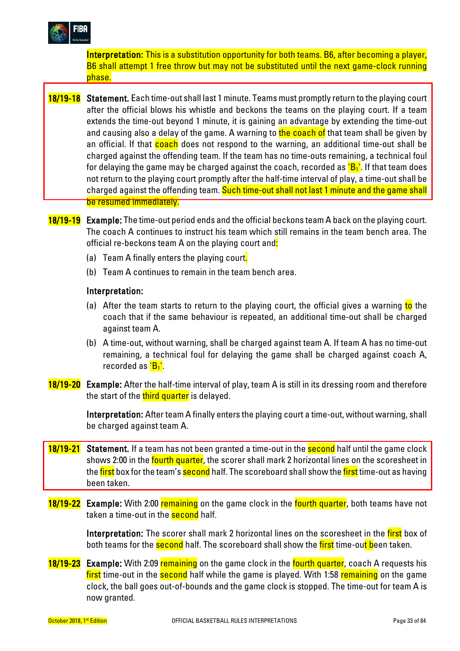

Interpretation: This is a substitution opportunity for both teams. B6, after becoming a player, B6 shall attempt 1 free throw but may not be substituted until the next game-clock running phase.

- 18/19-18 Statement. Each time-out shall last 1 minute. Teams must promptly return to the playing court after the official blows his whistle and beckons the teams on the playing court. If a team extends the time-out beyond 1 minute, it is gaining an advantage by extending the time-out and causing also a delay of the game. A warning to the coach of that team shall be given by an official. If that **coach** does not respond to the warning, an additional time-out shall be charged against the offending team. If the team has no time-outs remaining, a technical foul for delaying the game may be charged against the coach, recorded as  $B_1$ . If that team does not return to the playing court promptly after the half-time interval of play, a time-out shall be charged against the offending team. Such time-out shall not last 1 minute and the game shall be resumed immediately.
- 18/19-19 Example: The time-out period ends and the official beckons team A back on the playing court. The coach A continues to instruct his team which still remains in the team bench area. The official re-beckons team A on the playing court and
	- (a) Team A finally enters the playing court.
	- (b) Team A continues to remain in the team bench area.

#### Interpretation:

- (a) After the team starts to return to the playing court, the official gives a warning to the coach that if the same behaviour is repeated, an additional time-out shall be charged against team A.
- (b) A time-out, without warning, shall be charged against team A. If team A has no time-out remaining, a technical foul for delaying the game shall be charged against coach A, recorded as  $B_1$ .
- 18/19-20 Example: After the half-time interval of play, team A is still in its dressing room and therefore the start of the third quarter is delayed.

Interpretation: After team A finally enters the playing court a time-out, without warning, shall be charged against team A.

- 18/19-21 Statement. If a team has not been granted a time-out in the **second** half until the game clock shows 2:00 in the fourth quarter, the scorer shall mark 2 horizontal lines on the scoresheet in the first box for the team's second half. The scoreboard shall show the first time-out as having been taken.
- 18/19-22 Example: With 2:00 remaining on the game clock in the fourth quarter, both teams have not taken a time-out in the **second** half.

Interpretation: The scorer shall mark 2 horizontal lines on the scoresheet in the first box of both teams for the **second** half. The scoreboard shall show the first time-out been taken.

**18/19-23** Example: With 2:09 remaining on the game clock in the fourth quarter, coach A requests his first time-out in the second half while the game is played. With 1:58 remaining on the game clock, the ball goes out-of-bounds and the game clock is stopped. The time-out for team A is now granted.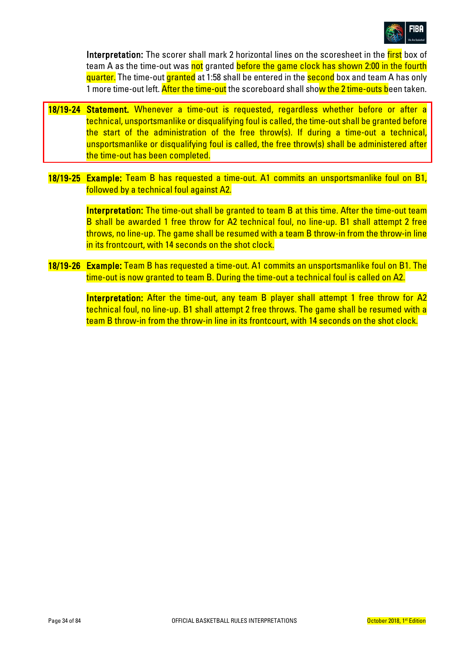

Interpretation: The scorer shall mark 2 horizontal lines on the scoresheet in the first box of team A as the time-out was not granted before the game clock has shown 2:00 in the fourth guarter. The time-out granted at 1:58 shall be entered in the **second** box and team A has only 1 more time-out left. After the time-out the scoreboard shall show the 2 time-outs been taken.

- 18/19-24 Statement. Whenever a time-out is requested, regardless whether before or after a technical, unsportsmanlike or disqualifying foul is called, the time-out shall be granted before the start of the administration of the free throw(s). If during a time-out a technical, unsportsmanlike or disqualifying foul is called, the free throw(s) shall be administered after the time-out has been completed.
- 18/19-25 Example: Team B has requested a time-out. A1 commits an unsportsmanlike foul on B1, followed by a technical foul against A2.

Interpretation: The time-out shall be granted to team B at this time. After the time-out team B shall be awarded 1 free throw for A2 technical foul, no line-up. B1 shall attempt 2 free throws, no line-up. The game shall be resumed with a team B throw-in from the throw-in line in its frontcourt, with 14 seconds on the shot clock.

18/19-26 Example: Team B has requested a time-out. A1 commits an unsportsmanlike foul on B1. The time-out is now granted to team B. During the time-out a technical foul is called on A2.

Interpretation: After the time-out, any team B player shall attempt 1 free throw for A2 technical foul, no line-up. B1 shall attempt 2 free throws. The game shall be resumed with a team B throw-in from the throw-in line in its frontcourt, with 14 seconds on the shot clock.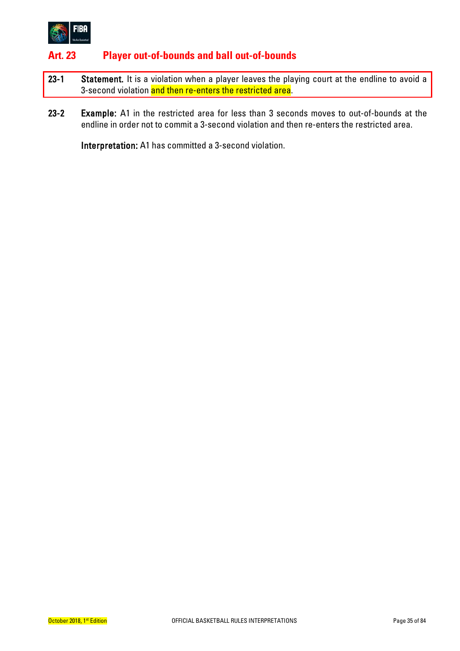

## **Art. 23 Player out-of-bounds and ball out-of-bounds**

- 23-1 Statement. It is a violation when a player leaves the playing court at the endline to avoid a 3-second violation and then re-enters the restricted area.
- 23-2 Example: A1 in the restricted area for less than 3 seconds moves to out-of-bounds at the endline in order not to commit a 3-second violation and then re-enters the restricted area.

Interpretation: A1 has committed a 3-second violation.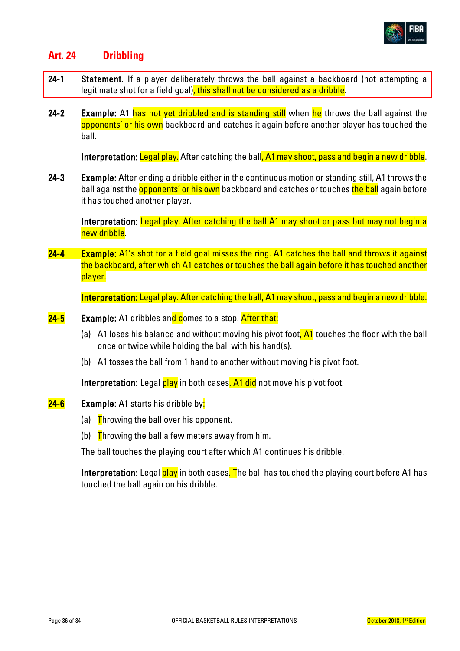

## **Art. 24 Dribbling**

- 24-1 Statement. If a player deliberately throws the ball against a backboard (not attempting a legitimate shot for a field goal), this shall not be considered as a dribble.
- 24-2 Example: A1 has not yet dribbled and is standing still when he throws the ball against the opponents' or his own backboard and catches it again before another player has touched the ball.

Interpretation: Legal play. After catching the ball, A1 may shoot, pass and begin a new dribble.

24-3 Example: After ending a dribble either in the continuous motion or standing still, A1 throws the ball against the *opponents' or his own* backboard and catches or touches the ball again before it has touched another player.

Interpretation: Legal play. After catching the ball A1 may shoot or pass but may not begin a new dribble.

24-4 Example: A1's shot for a field goal misses the ring. A1 catches the ball and throws it against the backboard, after which A1 catches or touches the ball again before it has touched another player.

Interpretation: Legal play. After catching the ball, A1 may shoot, pass and begin a new dribble.

- 24-5 Example: A1 dribbles and comes to a stop. After that:
	- (a) A1 loses his balance and without moving his pivot foot, A1 touches the floor with the ball once or twice while holding the ball with his hand(s).
	- (b) A1 tosses the ball from 1 hand to another without moving his pivot foot.

Interpretation: Legal play in both cases. A1 did not move his pivot foot.

- 24-6 Example: A1 starts his dribble by:
	- (a) Throwing the ball over his opponent.
	- (b) Throwing the ball a few meters away from him.

The ball touches the playing court after which A1 continues his dribble.

Interpretation: Legal play in both cases. The ball has touched the playing court before A1 has touched the ball again on his dribble.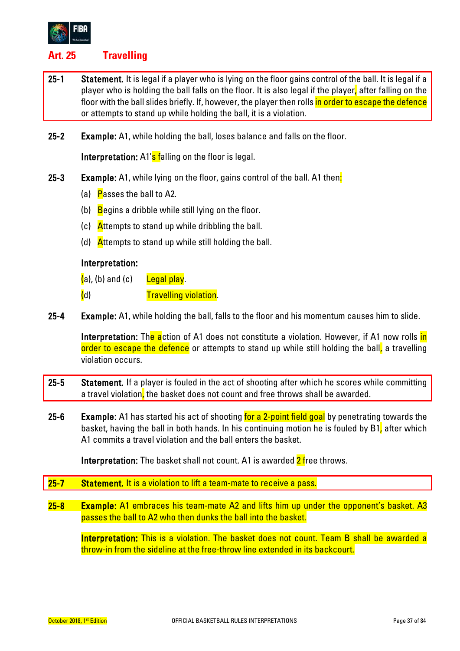

## **Art. 25 Travelling**

- 25-1 Statement. It is legal if a player who is lying on the floor gains control of the ball. It is legal if a player who is holding the ball falls on the floor. It is also legal if the player, after falling on the floor with the ball slides briefly. If, however, the player then rolls in order to escape the defence or attempts to stand up while holding the ball, it is a violation.
- 25-2 Example: A1, while holding the ball, loses balance and falls on the floor.

Interpretation: A1's falling on the floor is legal.

- 25-3 Example: A1, while lying on the floor, gains control of the ball. A1 then:
	- (a) **P**asses the ball to A2.
	- (b) Begins a dribble while still lying on the floor.
	- (c) Attempts to stand up while dribbling the ball.
	- (d)  $\overline{A}$ ttempts to stand up while still holding the ball.

### Interpretation:

- $(a)$ , (b) and (c) Legal play. (d) Travelling violation.
- 25-4 Example: A1, while holding the ball, falls to the floor and his momentum causes him to slide.

Interpretation: The action of A1 does not constitute a violation. However, if A1 now rolls in order to escape the defence or attempts to stand up while still holding the ball, a travelling violation occurs.

- 25-5 Statement. If a player is fouled in the act of shooting after which he scores while committing a travel violation, the basket does not count and free throws shall be awarded.
- 25-6 Example: A1 has started his act of shooting for a 2-point field goal by penetrating towards the basket, having the ball in both hands. In his continuing motion he is fouled by B1, after which A1 commits a travel violation and the ball enters the basket.

Interpretation: The basket shall not count. A1 is awarded 2 free throws.

- 25-7 Statement. It is a violation to lift a team-mate to receive a pass.
- 25-8 Example: A1 embraces his team-mate A2 and lifts him up under the opponent's basket. A3 passes the ball to A2 who then dunks the ball into the basket.

Interpretation: This is a violation. The basket does not count. Team B shall be awarded a throw-in from the sideline at the free-throw line extended in its backcourt.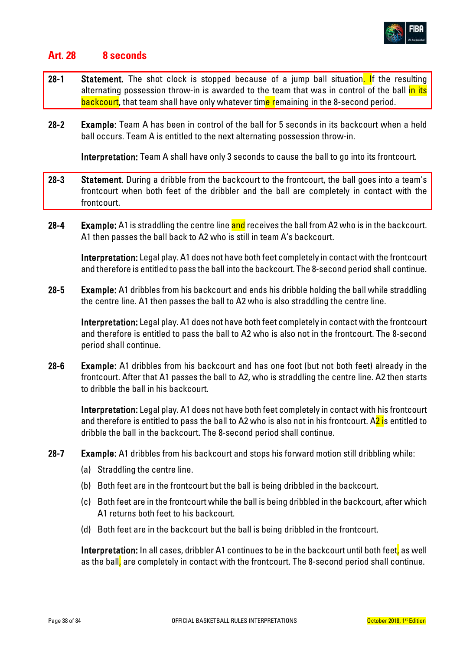

## **Art. 28 8 seconds**

- 28-1 Statement. The shot clock is stopped because of a jump ball situation. If the resulting alternating possession throw-in is awarded to the team that was in control of the ball in its **backcourt**, that team shall have only whatever time remaining in the 8-second period.
- 28-2 Example: Team A has been in control of the ball for 5 seconds in its backcourt when a held ball occurs. Team A is entitled to the next alternating possession throw-in.

Interpretation: Team A shall have only 3 seconds to cause the ball to go into its frontcourt.

- 28-3 Statement. During a dribble from the backcourt to the frontcourt, the ball goes into a team's frontcourt when both feet of the dribbler and the ball are completely in contact with the frontcourt.
- 28-4 Example: A1 is straddling the centre line and receives the ball from A2 who is in the backcourt. A1 then passes the ball back to A2 who is still in team A's backcourt.

Interpretation: Legal play. A1 does not have both feet completely in contact with the frontcourt and therefore is entitled to pass the ball into the backcourt. The 8-second period shall continue.

28-5 Example: A1 dribbles from his backcourt and ends his dribble holding the ball while straddling the centre line. A1 then passes the ball to A2 who is also straddling the centre line.

Interpretation: Legal play. A1 does not have both feet completely in contact with the frontcourt and therefore is entitled to pass the ball to A2 who is also not in the frontcourt. The 8-second period shall continue.

28-6 Example: A1 dribbles from his backcourt and has one foot (but not both feet) already in the frontcourt. After that A1 passes the ball to A2, who is straddling the centre line. A2 then starts to dribble the ball in his backcourt.

Interpretation: Legal play. A1 does not have both feet completely in contact with his frontcourt and therefore is entitled to pass the ball to A2 who is also not in his frontcourt. A2 is entitled to dribble the ball in the backcourt. The 8-second period shall continue.

- 28-7 Example: A1 dribbles from his backcourt and stops his forward motion still dribbling while:
	- (a) Straddling the centre line.
	- (b) Both feet are in the frontcourt but the ball is being dribbled in the backcourt.
	- (c) Both feet are in the frontcourt while the ball is being dribbled in the backcourt, after which A1 returns both feet to his backcourt.
	- (d) Both feet are in the backcourt but the ball is being dribbled in the frontcourt.

Interpretation: In all cases, dribbler A1 continues to be in the backcourt until both feet, as well as the ball, are completely in contact with the frontcourt. The 8-second period shall continue.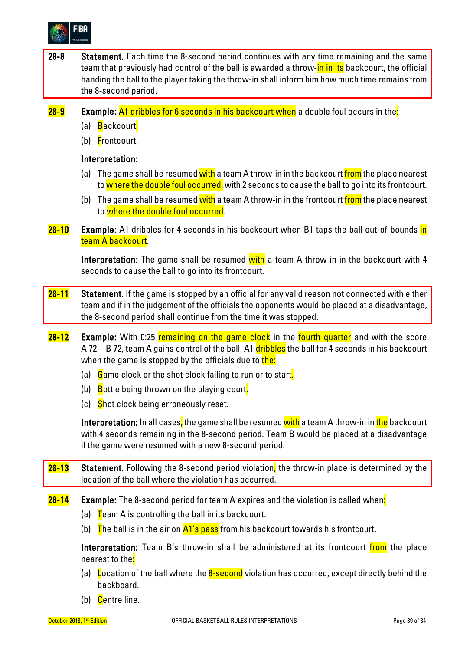

28-8 Statement. Each time the 8-second period continues with any time remaining and the same team that previously had control of the ball is awarded a throw-in in its backcourt, the official handing the ball to the player taking the throw-in shall inform him how much time remains from the 8-second period.

28-9 Example: A1 dribbles for 6 seconds in his backcourt when a double foul occurs in the:

- (a) **B**ackcourt.
- (b) Frontcourt.

## Interpretation:

- (a) The game shall be resumed with a team A throw-in in the backcourt from the place nearest to where the double foul occurred, with 2 seconds to cause the ball to go into its frontcourt.
- (b) The game shall be resumed with a team A throw-in in the frontcourt from the place nearest to where the double foul occurred.
- 28-10 Example: A1 dribbles for 4 seconds in his backcourt when B1 taps the ball out-of-bounds in team A backcourt.

Interpretation: The game shall be resumed with a team A throw-in in the backcourt with 4 seconds to cause the ball to go into its frontcourt.

- 28-11 Statement. If the game is stopped by an official for any valid reason not connected with either team and if in the judgement of the officials the opponents would be placed at a disadvantage, the 8-second period shall continue from the time it was stopped.
- 28-12 Example: With 0:25 remaining on the game clock in the fourth quarter and with the score A 72 – B 72, team A gains control of the ball. A1 dribbles the ball for 4 seconds in his backcourt when the game is stopped by the officials due to the:
	- (a) Game clock or the shot clock failing to run or to start.
	- (b) Bottle being thrown on the playing court.
	- (c) Shot clock being erroneously reset.

Interpretation: In all cases, the game shall be resumed <mark>with</mark> a team A throw-in in the backcourt with 4 seconds remaining in the 8-second period. Team B would be placed at a disadvantage if the game were resumed with a new 8-second period.

28-13 Statement. Following the 8-second period violation, the throw-in place is determined by the location of the ball where the violation has occurred.

28-14 Example: The 8-second period for team A expires and the violation is called when:

- (a) **T**eam A is controlling the ball in its backcourt.
- (b) The ball is in the air on  $A1's$  pass from his backcourt towards his frontcourt.

Interpretation: Team B's throw-in shall be administered at its frontcourt from the place nearest to the<mark>:</mark>

- (a) Location of the ball where the  $8$ -second violation has occurred, except directly behind the backboard.
- (b)  $C$ entre line.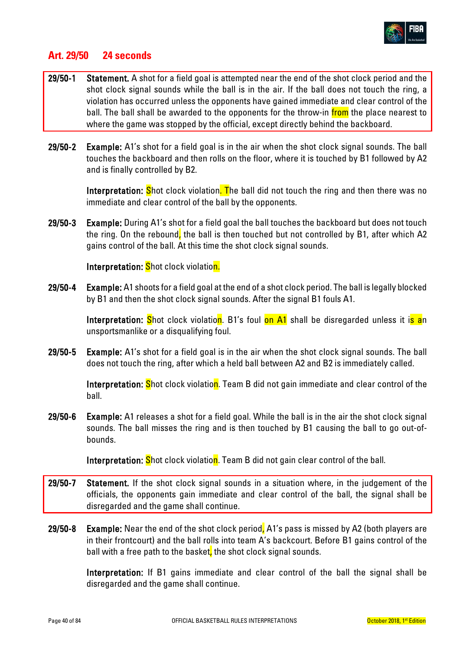

## **Art. 29/50 24 seconds**

- 29/50-1 Statement. A shot for a field goal is attempted near the end of the shot clock period and the shot clock signal sounds while the ball is in the air. If the ball does not touch the ring, a violation has occurred unless the opponents have gained immediate and clear control of the ball. The ball shall be awarded to the opponents for the throw-in from the place nearest to where the game was stopped by the official, except directly behind the backboard.
- 29/50-2 Example: A1's shot for a field goal is in the air when the shot clock signal sounds. The ball touches the backboard and then rolls on the floor, where it is touched by B1 followed by A2 and is finally controlled by B2.

Interpretation: Shot clock violation. The ball did not touch the ring and then there was no immediate and clear control of the ball by the opponents.

29/50-3 Example: During A1's shot for a field goal the ball touches the backboard but does not touch the ring. On the rebound, the ball is then touched but not controlled by B1, after which A2 gains control of the ball. At this time the shot clock signal sounds.

Interpretation: Shot clock violation.

29/50-4 Example: A1 shoots for a field goal at the end of a shot clock period. The ball is legally blocked by B1 and then the shot clock signal sounds. After the signal B1 fouls A1.

Interpretation: Shot clock violation. B1's foul on A1 shall be disregarded unless it is an unsportsmanlike or a disqualifying foul.

29/50-5 Example: A1's shot for a field goal is in the air when the shot clock signal sounds. The ball does not touch the ring, after which a held ball between A2 and B2 is immediately called.

Interpretation: Shot clock violation. Team B did not gain immediate and clear control of the ball.

29/50-6 Example: A1 releases a shot for a field goal. While the ball is in the air the shot clock signal sounds. The ball misses the ring and is then touched by B1 causing the ball to go out-ofbounds.

Interpretation: Shot clock violation. Team B did not gain clear control of the ball.

- 29/50-7 Statement. If the shot clock signal sounds in a situation where, in the judgement of the officials, the opponents gain immediate and clear control of the ball, the signal shall be disregarded and the game shall continue.
- 29/50-8 Example: Near the end of the shot clock period, A1's pass is missed by A2 (both players are in their frontcourt) and the ball rolls into team A's backcourt. Before B1 gains control of the ball with a free path to the basket, the shot clock signal sounds.

Interpretation: If B1 gains immediate and clear control of the ball the signal shall be disregarded and the game shall continue.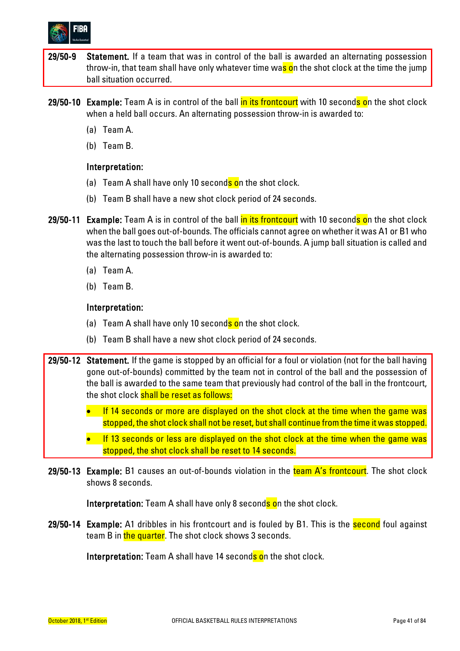

- 29/50-9 Statement. If a team that was in control of the ball is awarded an alternating possession throw-in, that team shall have only whatever time was on the shot clock at the time the jump ball situation occurred.
- 29/50-10 Example: Team A is in control of the ball in its frontcourt with 10 seconds on the shot clock when a held ball occurs. An alternating possession throw-in is awarded to:
	- (a) Team A.
	- (b) Team B.

## Interpretation:

- (a) Team A shall have only 10 seconds on the shot clock.
- (b) Team B shall have a new shot clock period of 24 seconds.
- 29/50-11 Example: Team A is in control of the ball in its frontcourt with 10 seconds on the shot clock when the ball goes out-of-bounds. The officials cannot agree on whether it was A1 or B1 who was the last to touch the ball before it went out-of-bounds. A jump ball situation is called and the alternating possession throw-in is awarded to:
	- (a) Team A.
	- (b) Team B.

### Interpretation:

- (a) Team A shall have only 10 second<mark>s o</mark>n the shot clock.
- (b) Team B shall have a new shot clock period of 24 seconds.
- 29/50-12 Statement. If the game is stopped by an official for a foul or violation (not for the ball having gone out-of-bounds) committed by the team not in control of the ball and the possession of the ball is awarded to the same team that previously had control of the ball in the frontcourt, the shot clock shall be reset as follows:
	- If 14 seconds or more are displayed on the shot clock at the time when the game was stopped, the shot clock shall not be reset, but shall continue from the time it was stopped.
	- If 13 seconds or less are displayed on the shot clock at the time when the game was stopped, the shot clock shall be reset to 14 seconds.
- 29/50-13 Example: B1 causes an out-of-bounds violation in the team A's frontcourt. The shot clock shows 8 seconds.

Interpretation: Team A shall have only 8 seconds on the shot clock.

29/50-14 Example: A1 dribbles in his frontcourt and is fouled by B1. This is the **second** foul against team B in the quarter. The shot clock shows 3 seconds.

Interpretation: Team A shall have 14 seconds on the shot clock.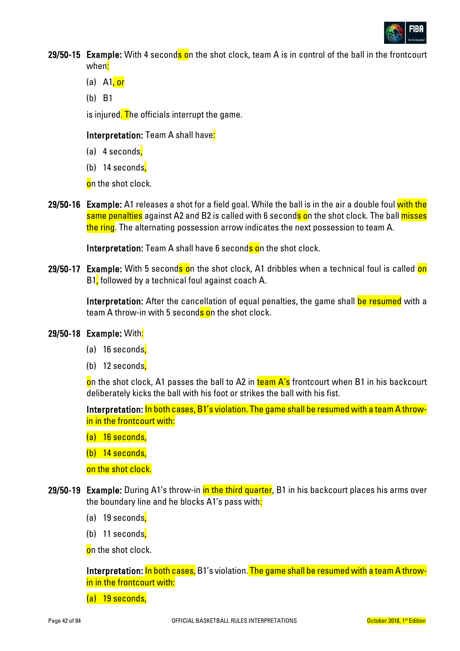

- 29/50-15 Example: With 4 seconds on the shot clock, team A is in control of the ball in the frontcourt when:
	- (a)  $A1$ , or
	- (b) B1

is injured. The officials interrupt the game.

Interpretation: Team A shall have:

- (a) 4 seconds,
- (b) 14 seconds,

on the shot clock.

29/50-16 Example: A1 releases a shot for a field goal. While the ball is in the air a double foul with the same penalties against A2 and B2 is called with 6 seconds on the shot clock. The ball misses the ring. The alternating possession arrow indicates the next possession to team A.

Interpretation: Team A shall have 6 seconds on the shot clock.

29/50-17 Example: With 5 seconds on the shot clock, A1 dribbles when a technical foul is called on B1, followed by a technical foul against coach A.

Interpretation: After the cancellation of equal penalties, the game shall be resumed with a team A throw-in with 5 seconds on the shot clock.

## 29/50-18 Example: With:

- (a) 16 seconds,
- (b) 12 seconds,

on the shot clock, A1 passes the ball to A2 in team A's frontcourt when B1 in his backcourt deliberately kicks the ball with his foot or strikes the ball with his fist.

Interpretation: In both cases, B1's violation. The game shall be resumed with a team A throwin in the frontcourt with:

- (a) 16 seconds,
- (b) 14 seconds,

on the shot clock.

- 29/50-19 Example: During A1's throw-in in the third quarter, B1 in his backcourt places his arms over the boundary line and he blocks A1's pass with:
	- (a) 19 seconds,
	- (b) 11 seconds,

on the shot clock.

Interpretation: In both cases, B1's violation. The game shall be resumed with a team A throwin in the frontcourt with:

(a) 19 seconds,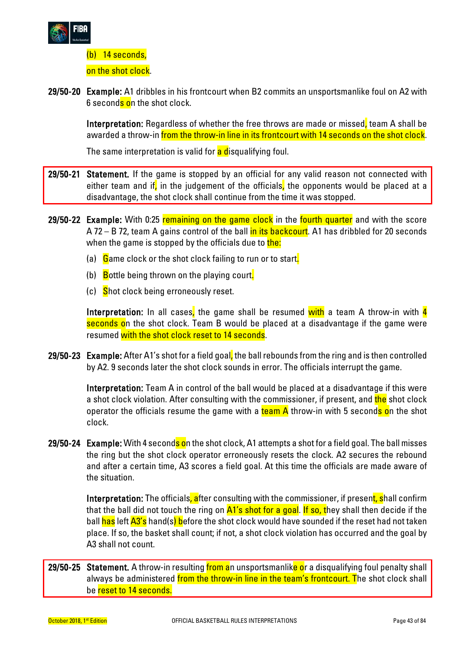

(b) 14 seconds,

on the shot clock.

29/50-20 Example: A1 dribbles in his frontcourt when B2 commits an unsportsmanlike foul on A2 with 6 second<mark>s o</mark>n the shot clock.

Interpretation: Regardless of whether the free throws are made or missed, team A shall be awarded a throw-in from the throw-in line in its frontcourt with 14 seconds on the shot clock.

The same interpretation is valid for **a d**isqualifying foul.

- 29/50-21 Statement. If the game is stopped by an official for any valid reason not connected with either team and if, in the judgement of the officials, the opponents would be placed at a disadvantage, the shot clock shall continue from the time it was stopped.
- 29/50-22 Example: With 0:25 remaining on the game clock in the fourth quarter and with the score A 72 – B 72, team A gains control of the ball in its backcourt. A1 has dribbled for 20 seconds when the game is stopped by the officials due to the:
	- (a)  $Ga$  Game clock or the shot clock failing to run or to start.
	- (b) **Bottle being thrown on the playing court.**
	- (c) Shot clock being erroneously reset.

Interpretation: In all cases, the game shall be resumed with a team A throw-in with  $4$ seconds on the shot clock. Team B would be placed at a disadvantage if the game were resumed with the shot clock reset to 14 seconds.

29/50-23 Example: After A1's shot for a field goal, the ball rebounds from the ring and is then controlled by A2. 9 seconds later the shot clock sounds in error. The officials interrupt the game.

> Interpretation: Team A in control of the ball would be placed at a disadvantage if this were a shot clock violation. After consulting with the commissioner, if present, and the shot clock operator the officials resume the game with a  $\frac{\tan A}{A}$  throw-in with 5 seconds on the shot clock.

29/50-24 Example: With 4 seconds on the shot clock, A1 attempts a shot for a field goal. The ball misses the ring but the shot clock operator erroneously resets the clock. A2 secures the rebound and after a certain time, A3 scores a field goal. At this time the officials are made aware of the situation.

Interpretation: The officials, after consulting with the commissioner, if present, shall confirm that the ball did not touch the ring on  $A1's$  shot for a goal. If so, they shall then decide if the ball has left A3's hand(s) before the shot clock would have sounded if the reset had not taken place. If so, the basket shall count; if not, a shot clock violation has occurred and the goal by A3 shall not count.

29/50-25 Statement. A throw-in resulting from an unsportsmanlike or a disqualifying foul penalty shall always be administered from the throw-in line in the team's frontcourt. The shot clock shall be reset to 14 seconds.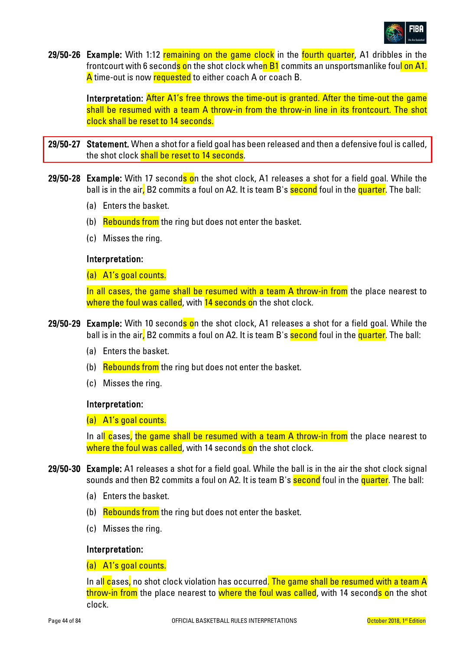

29/50-26 Example: With 1:12 remaining on the game clock in the fourth quarter, A1 dribbles in the frontcourt with 6 seconds on the shot clock when B1 commits an unsportsmanlike foul on A1. A time-out is now requested to either coach A or coach B.

Interpretation: After A1's free throws the time-out is granted. After the time-out the game shall be resumed with a team A throw-in from the throw-in line in its frontcourt. The shot clock shall be reset to 14 seconds.

- 29/50-27 Statement. When a shot for a field goal has been released and then a defensive foul is called, the shot clock shall be reset to 14 seconds.
- 29/50-28 Example: With 17 second<mark>s o</mark>n the shot clock, A1 releases a shot for a field goal. While the ball is in the air, B2 commits a foul on A2. It is team B's **second** foul in the quarter. The ball:
	- (a) Enters the basket.
	- (b) Rebounds from the ring but does not enter the basket.
	- (c) Misses the ring.

#### Interpretation:

(a) A1's goal counts.

In all cases, the game shall be resumed with a team A throw-in from the place nearest to where the foul was called, with 14 seconds on the shot clock.

- 29/50-29 Example: With 10 second<mark>s o</mark>n the shot clock, A1 releases a shot for a field goal. While the ball is in the air, B2 commits a foul on A2. It is team B's **second** foul in the *quarter*. The ball:
	- (a) Enters the basket.
	- (b) Rebounds from the ring but does not enter the basket.
	- (c) Misses the ring.

#### Interpretation:

#### (a) A1's goal counts.

In all cases, the game shall be resumed with a team A throw-in from the place nearest to where the foul was called, with 14 seconds on the shot clock.

- 29/50-30 Example: A1 releases a shot for a field goal. While the ball is in the air the shot clock signal sounds and then B2 commits a foul on A2. It is team B's **second** foul in the quarter. The ball:
	- (a) Enters the basket.
	- (b) Rebounds from the ring but does not enter the basket.
	- (c) Misses the ring.

#### Interpretation:

#### (a) A1's goal counts.

In all cases, no shot clock violation has occurred. The game shall be resumed with a team A throw-in from the place nearest to where the foul was called, with 14 second<mark>s o</mark>n the shot clock.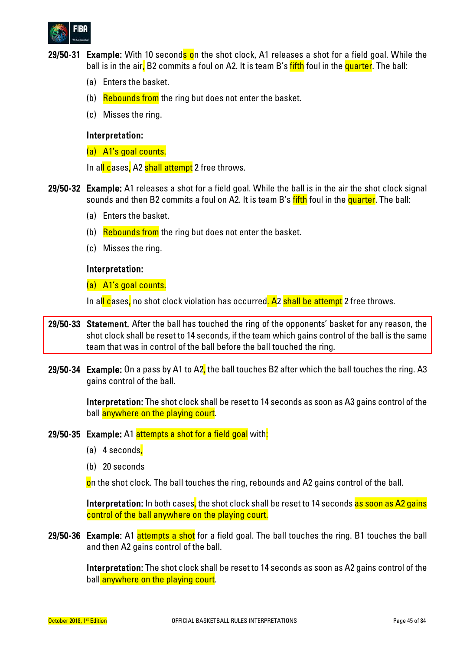

- 29/50-31 Example: With 10 seconds on the shot clock, A1 releases a shot for a field goal. While the ball is in the air, B2 commits a foul on A2. It is team B's fifth foul in the quarter. The ball:
	- (a) Enters the basket.
	- (b) Rebounds from the ring but does not enter the basket.
	- (c) Misses the ring.

### Interpretation:

(a) A1's goal counts.

In all cases, A2 shall attempt 2 free throws.

- 29/50-32 Example: A1 releases a shot for a field goal. While the ball is in the air the shot clock signal sounds and then B2 commits a foul on A2. It is team B's fifth foul in the quarter. The ball:
	- (a) Enters the basket.
	- (b) Rebounds from the ring but does not enter the basket.
	- (c) Misses the ring.

#### Interpretation:

(a) A1's goal counts.

In all cases, no shot clock violation has occurred. A2 shall be attempt 2 free throws.

- 29/50-33 Statement. After the ball has touched the ring of the opponents' basket for any reason, the shot clock shall be reset to 14 seconds, if the team which gains control of the ball is the same team that was in control of the ball before the ball touched the ring.
- 29/50-34 Example: On a pass by A1 to A2, the ball touches B2 after which the ball touches the ring. A3 gains control of the ball.

Interpretation: The shot clock shall be reset to 14 seconds as soon as A3 gains control of the ball **anywhere on the playing court**.

#### 29/50-35 Example: A1 attempts a shot for a field goal with:

- (a) 4 seconds,
- (b) 20 seconds

on the shot clock. The ball touches the ring, rebounds and A2 gains control of the ball.

Interpretation: In both cases, the shot clock shall be reset to 14 seconds as soon as A2 gains control of the ball anywhere on the playing court.

29/50-36 Example: A1 attempts a shot for a field goal. The ball touches the ring. B1 touches the ball and then A2 gains control of the ball.

Interpretation: The shot clock shall be reset to 14 seconds as soon as A2 gains control of the ball anywhere on the playing court.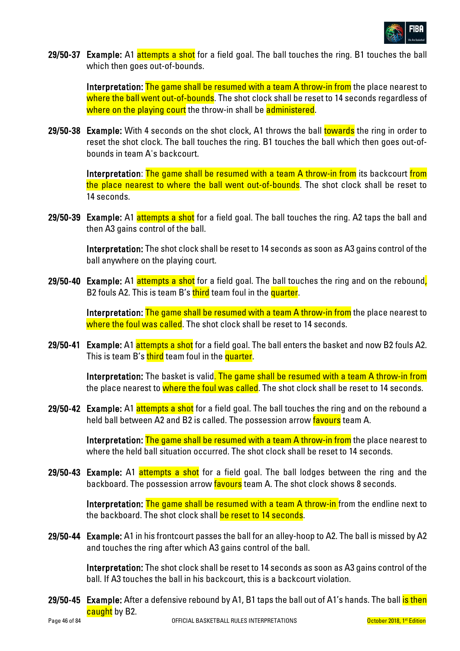

29/50-37 Example: A1 attempts a shot for a field goal. The ball touches the ring. B1 touches the ball which then goes out-of-bounds.

> Interpretation: The game shall be resumed with a team A throw-in from the place nearest to where the ball went out-of-bounds. The shot clock shall be reset to 14 seconds regardless of where on the playing court the throw-in shall be administered.

29/50-38 Example: With 4 seconds on the shot clock, A1 throws the ball **towards** the ring in order to reset the shot clock. The ball touches the ring. B1 touches the ball which then goes out-ofbounds in team A's backcourt.

Interpretation: The game shall be resumed with a team A throw-in from its backcourt from the place nearest to where the ball went out-of-bounds. The shot clock shall be reset to 14 seconds.

29/50-39 Example: A1 attempts a shot for a field goal. The ball touches the ring. A2 taps the ball and then A3 gains control of the ball.

Interpretation: The shot clock shall be reset to 14 seconds as soon as A3 gains control of the ball anywhere on the playing court.

29/50-40 Example: A1 attempts a shot for a field goal. The ball touches the ring and on the rebound, B2 fouls A2. This is team B's third team foul in the quarter.

Interpretation: The game shall be resumed with a team A throw-in from the place nearest to where the foul was called. The shot clock shall be reset to 14 seconds.

29/50-41 Example: A1 attempts a shot for a field goal. The ball enters the basket and now B2 fouls A2. This is team B's third team foul in the quarter.

Interpretation: The basket is valid. The game shall be resumed with a team A throw-in from the place nearest to where the foul was called. The shot clock shall be reset to 14 seconds.

29/50-42 Example: A1 attempts a shot for a field goal. The ball touches the ring and on the rebound a held ball between A2 and B2 is called. The possession arrow favours team A.

Interpretation: The game shall be resumed with a team A throw-in from the place nearest to where the held ball situation occurred. The shot clock shall be reset to 14 seconds.

29/50-43 Example: A1 attempts a shot for a field goal. The ball lodges between the ring and the backboard. The possession arrow favours team A. The shot clock shows 8 seconds.

Interpretation: The game shall be resumed with a team A throw-in from the endline next to the backboard. The shot clock shall be reset to 14 seconds.

29/50-44 Example: A1 in his frontcourt passes the ball for an alley-hoop to A2. The ball is missed by A2 and touches the ring after which A3 gains control of the ball.

Interpretation: The shot clock shall be reset to 14 seconds as soon as A3 gains control of the ball. If A3 touches the ball in his backcourt, this is a backcourt violation.

29/50-45 Example: After a defensive rebound by A1, B1 taps the ball out of A1's hands. The ball is then caught by B2.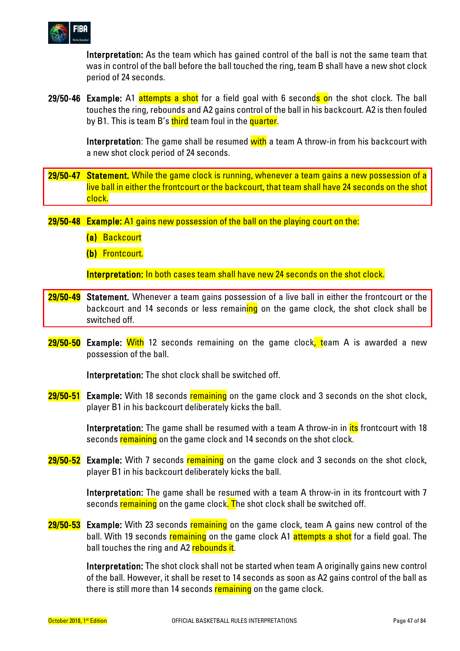

Interpretation: As the team which has gained control of the ball is not the same team that was in control of the ball before the ball touched the ring, team B shall have a new shot clock period of 24 seconds.

29/50-46 Example: A1 attempts a shot for a field goal with 6 seconds on the shot clock. The ball touches the ring, rebounds and A2 gains control of the ball in his backcourt. A2 is then fouled by B1. This is team B's third team foul in the quarter.

Interpretation: The game shall be resumed with a team A throw-in from his backcourt with a new shot clock period of 24 seconds.

29/50-47 Statement. While the game clock is running, whenever a team gains a new possession of a live ball in either the frontcourt or the backcourt, that team shall have 24 seconds on the shot clock.

29/50-48 Example: A1 gains new possession of the ball on the playing court on the:

- (a) Backcourt
- (b) Frontcourt.

Interpretation: In both cases team shall have new 24 seconds on the shot clock.

- 29/50-49 Statement. Whenever a team gains possession of a live ball in either the frontcourt or the backcourt and 14 seconds or less remaining on the game clock, the shot clock shall be switched off.
- 29/50-50 Example: With 12 seconds remaining on the game clock, team A is awarded a new possession of the ball.

Interpretation: The shot clock shall be switched off.

29/50-51 Example: With 18 seconds remaining on the game clock and 3 seconds on the shot clock, player B1 in his backcourt deliberately kicks the ball.

Interpretation: The game shall be resumed with a team A throw-in in its frontcourt with 18 seconds remaining on the game clock and 14 seconds on the shot clock.

29/50-52 Example: With 7 seconds remaining on the game clock and 3 seconds on the shot clock, player B1 in his backcourt deliberately kicks the ball.

> Interpretation: The game shall be resumed with a team A throw-in in its frontcourt with 7 seconds remaining on the game clock. The shot clock shall be switched off.

29/50-53 Example: With 23 seconds remaining on the game clock, team A gains new control of the ball. With 19 seconds remaining on the game clock A1 attempts a shot for a field goal. The ball touches the ring and A2 rebounds it.

Interpretation: The shot clock shall not be started when team A originally gains new control of the ball. However, it shall be reset to 14 seconds as soon as A2 gains control of the ball as there is still more than 14 seconds **remaining** on the game clock.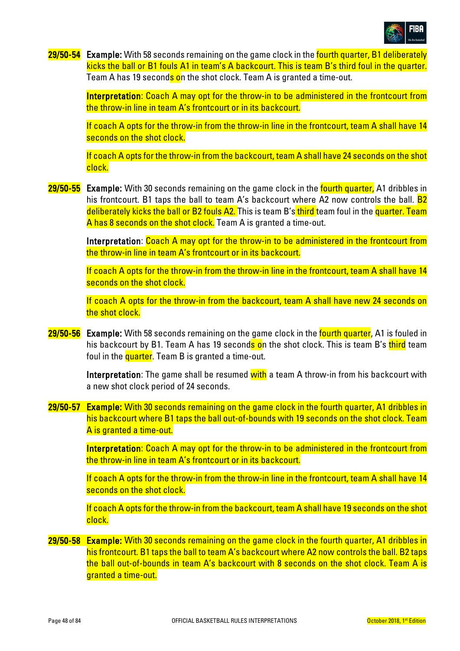

29/50-54 Example: With 58 seconds remaining on the game clock in the fourth quarter, B1 deliberately kicks the ball or B1 fouls A1 in team's A backcourt. This is team B's third foul in the quarter. Team A has 19 seconds on the shot clock. Team A is granted a time-out.

> Interpretation: Coach A may opt for the throw-in to be administered in the frontcourt from the throw-in line in team A's frontcourt or in its backcourt.

> If coach A opts for the throw-in from the throw-in line in the frontcourt, team A shall have 14 seconds on the shot clock.

> If coach A opts for the throw-in from the backcourt, team A shall have 24 seconds on the shot clock.

29/50-55 Example: With 30 seconds remaining on the game clock in the fourth quarter, A1 dribbles in his frontcourt. B1 taps the ball to team A's backcourt where A2 now controls the ball.  $B2$ deliberately kicks the ball or B2 fouls A2. This is team B's third team foul in the quarter. Team A has 8 seconds on the shot clock. Team A is granted a time-out.

Interpretation: Coach A may opt for the throw-in to be administered in the frontcourt from the throw-in line in team A's frontcourt or in its backcourt.

If coach A opts for the throw-in from the throw-in line in the frontcourt, team A shall have 14 seconds on the shot clock.

If coach A opts for the throw-in from the backcourt, team A shall have new 24 seconds on the shot clock.

29/50-56 Example: With 58 seconds remaining on the game clock in the fourth quarter, A1 is fouled in his backcourt by B1. Team A has 19 second<mark>s o</mark>n the shot clock. This is team B's third team foul in the quarter. Team B is granted a time-out.

Interpretation: The game shall be resumed with a team A throw-in from his backcourt with a new shot clock period of 24 seconds.

29/50-57 Example: With 30 seconds remaining on the game clock in the fourth quarter, A1 dribbles in his backcourt where B1 taps the ball out-of-bounds with 19 seconds on the shot clock. Team A is granted a time-out.

Interpretation: Coach A may opt for the throw-in to be administered in the frontcourt from the throw-in line in team A's frontcourt or in its backcourt.

If coach A opts for the throw-in from the throw-in line in the frontcourt, team A shall have 14 seconds on the shot clock.

If coach A opts for the throw-in from the backcourt, team A shall have 19 seconds on the shot clock.

29/50-58 Example: With 30 seconds remaining on the game clock in the fourth quarter, A1 dribbles in his frontcourt. B1 taps the ball to team A's backcourt where A2 now controls the ball. B2 taps the ball out-of-bounds in team A's backcourt with 8 seconds on the shot clock. Team A is granted a time-out.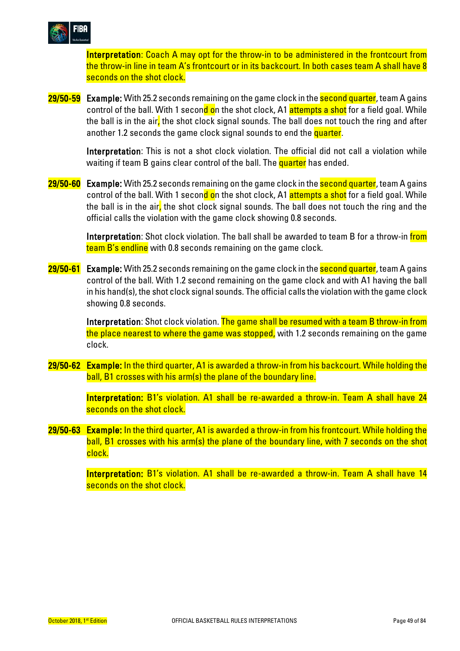

Interpretation: Coach A may opt for the throw-in to be administered in the frontcourt from the throw-in line in team A's frontcourt or in its backcourt. In both cases team A shall have 8 seconds on the shot clock.

29/50-59 Example: With 25.2 seconds remaining on the game clock in the **second quarter**, team A gains control of the ball. With 1 secon<mark>d o</mark>n the shot clock, A1 attempts a shot for a field goal. While the ball is in the air, the shot clock signal sounds. The ball does not touch the ring and after another 1.2 seconds the game clock signal sounds to end the quarter.

Interpretation: This is not a shot clock violation. The official did not call a violation while waiting if team B gains clear control of the ball. The quarter has ended.

29/50-60 Example: With 25.2 seconds remaining on the game clock in the second quarter, team A gains control of the ball. With 1 second on the shot clock, A1 attempts a shot for a field goal. While the ball is in the air, the shot clock signal sounds. The ball does not touch the ring and the official calls the violation with the game clock showing 0.8 seconds.

Interpretation: Shot clock violation. The ball shall be awarded to team B for a throw-in from team B's endline with 0.8 seconds remaining on the game clock.

29/50-61 Example: With 25.2 seconds remaining on the game clock in the **second quarter**, team A gains control of the ball. With 1.2 second remaining on the game clock and with A1 having the ball in his hand(s), the shot clock signal sounds. The official calls the violation with the game clock showing 0.8 seconds.

Interpretation: Shot clock violation. The game shall be resumed with a team B throw-in from the place nearest to where the game was stopped, with 1.2 seconds remaining on the game clock.

29/50-62 Example: In the third quarter, A1 is awarded a throw-in from his backcourt. While holding the ball, B1 crosses with his arm(s) the plane of the boundary line.

Interpretation: B1's violation. A1 shall be re-awarded a throw-in. Team A shall have 24 seconds on the shot clock.

29/50-63 Example: In the third quarter, A1 is awarded a throw-in from his frontcourt. While holding the ball, B1 crosses with his arm(s) the plane of the boundary line, with 7 seconds on the shot clock.

Interpretation: B1's violation. A1 shall be re-awarded a throw-in. Team A shall have 14 seconds on the shot clock.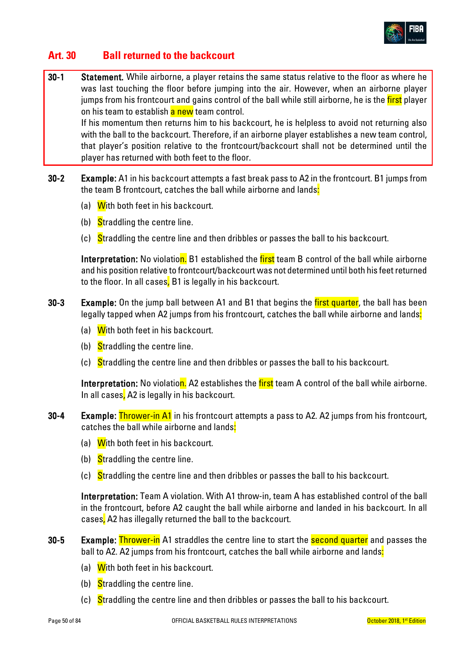

# **Art. 30 Ball returned to the backcourt**

- 30-1 Statement. While airborne, a player retains the same status relative to the floor as where he was last touching the floor before jumping into the air. However, when an airborne player jumps from his frontcourt and gains control of the ball while still airborne, he is the first player on his team to establish a new team control. If his momentum then returns him to his backcourt, he is helpless to avoid not returning also with the ball to the backcourt. Therefore, if an airborne player establishes a new team control, that player's position relative to the frontcourt/backcourt shall not be determined until the player has returned with both feet to the floor.
- 30-2 Example: A1 in his backcourt attempts a fast break pass to A2 in the frontcourt. B1 jumps from the team B frontcourt, catches the ball while airborne and lands:
	- (a) With both feet in his backcourt.
	- (b) Straddling the centre line.
	- (c) Straddling the centre line and then dribbles or passes the ball to his backcourt.

Interpretation: No violation. B1 established the first team B control of the ball while airborne and his position relative to frontcourt/backcourt was not determined until both his feet returned to the floor. In all cases, B1 is legally in his backcourt.

- **30-3** Example: On the jump ball between A1 and B1 that begins the first quarter, the ball has been legally tapped when A2 jumps from his frontcourt, catches the ball while airborne and lands:
	- (a) With both feet in his backcourt.
	- (b) Straddling the centre line.
	- (c) Straddling the centre line and then dribbles or passes the ball to his backcourt.

Interpretation: No violation. A2 establishes the first team A control of the ball while airborne. In all cases, A2 is legally in his backcourt.

- 30-4 Example: Thrower-in A1 in his frontcourt attempts a pass to A2. A2 jumps from his frontcourt, catches the ball while airborne and lands:
	- (a) With both feet in his backcourt.
	- (b) Straddling the centre line.
	- (c) Straddling the centre line and then dribbles or passes the ball to his backcourt.

Interpretation: Team A violation. With A1 throw-in, team A has established control of the ball in the frontcourt, before A2 caught the ball while airborne and landed in his backcourt. In all cases, A2 has illegally returned the ball to the backcourt.

- 30-5 Example: Thrower-in A1 straddles the centre line to start the **second quarter** and passes the ball to A2. A2 jumps from his frontcourt, catches the ball while airborne and lands:
	- (a) With both feet in his backcourt.
	- (b) Straddling the centre line.
	- (c) Straddling the centre line and then dribbles or passes the ball to his backcourt.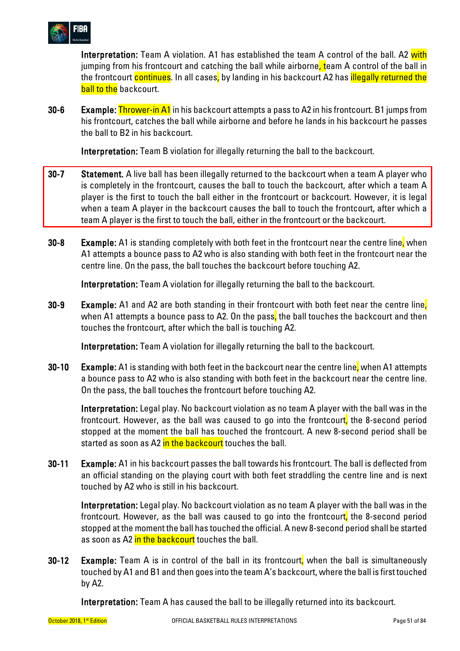

Interpretation: Team A violation. A1 has established the team A control of the ball. A2 with jumping from his frontcourt and catching the ball while airborne, team A control of the ball in the frontcourt **continues**. In all cases, by landing in his backcourt A2 has *illegally returned the* **ball to the** backcourt.

30-6 Example: Thrower-in A1 in his backcourt attempts a pass to A2 in his frontcourt. B1 jumps from his frontcourt, catches the ball while airborne and before he lands in his backcourt he passes the ball to B2 in his backcourt.

Interpretation: Team B violation for illegally returning the ball to the backcourt.

- 30-7 Statement. A live ball has been illegally returned to the backcourt when a team A player who is completely in the frontcourt, causes the ball to touch the backcourt, after which a team A player is the first to touch the ball either in the frontcourt or backcourt. However, it is legal when a team A player in the backcourt causes the ball to touch the frontcourt, after which a team A player is the first to touch the ball, either in the frontcourt or the backcourt.
- 30-8 Example: A1 is standing completely with both feet in the frontcourt near the centre line, when A1 attempts a bounce pass to A2 who is also standing with both feet in the frontcourt near the centre line. On the pass, the ball touches the backcourt before touching A2.

Interpretation: Team A violation for illegally returning the ball to the backcourt.

30-9 Example: A1 and A2 are both standing in their frontcourt with both feet near the centre line, when A1 attempts a bounce pass to A2. On the pass, the ball touches the backcourt and then touches the frontcourt, after which the ball is touching A2.

Interpretation: Team A violation for illegally returning the ball to the backcourt.

**30-10 Example:** A1 is standing with both feet in the backcourt near the centre line, when A1 attempts a bounce pass to A2 who is also standing with both feet in the backcourt near the centre line. On the pass, the ball touches the frontcourt before touching A2.

Interpretation: Legal play. No backcourt violation as no team A player with the ball was in the frontcourt. However, as the ball was caused to go into the frontcourt, the 8-second period stopped at the moment the ball has touched the frontcourt. A new 8-second period shall be started as soon as A2 in the backcourt touches the ball.

30-11 Example: A1 in his backcourt passes the ball towards his frontcourt. The ball is deflected from an official standing on the playing court with both feet straddling the centre line and is next touched by A2 who is still in his backcourt.

Interpretation: Legal play. No backcourt violation as no team A player with the ball was in the frontcourt. However, as the ball was caused to go into the frontcourt, the 8-second period stopped at the moment the ball has touched the official. A new 8-second period shall be started as soon as A2 in the backcourt touches the ball.

**30-12** Example: Team A is in control of the ball in its frontcourt, when the ball is simultaneously touched by A1 and B1 and then goes into the team A's backcourt, where the ball is first touched by A2.

Interpretation: Team A has caused the ball to be illegally returned into its backcourt.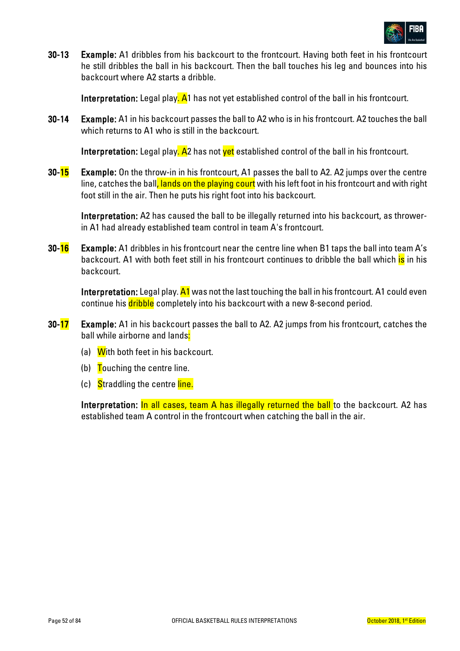

30-13 Example: A1 dribbles from his backcourt to the frontcourt. Having both feet in his frontcourt he still dribbles the ball in his backcourt. Then the ball touches his leg and bounces into his backcourt where A2 starts a dribble.

Interpretation: Legal play. A<sub>1</sub> has not yet established control of the ball in his frontcourt.

30-14 Example: A1 in his backcourt passes the ball to A2 who is in his frontcourt. A2 touches the ball which returns to A1 who is still in the backcourt.

Interpretation: Legal play. A2 has not vet established control of the ball in his frontcourt.

30-15 Example: On the throw-in in his frontcourt, A1 passes the ball to A2. A2 jumps over the centre line, catches the ball<mark>, lands on the playing court</mark> with his left foot in his frontcourt and with right foot still in the air. Then he puts his right foot into his backcourt.

Interpretation: A2 has caused the ball to be illegally returned into his backcourt, as throwerin A1 had already established team control in team A's frontcourt.

30-16 Example: A1 dribbles in his frontcourt near the centre line when B1 taps the ball into team A's backcourt. A1 with both feet still in his frontcourt continues to dribble the ball which is in his backcourt.

Interpretation: Legal play. A1 was not the last touching the ball in his frontcourt. A1 could even continue his **dribble** completely into his backcourt with a new 8-second period.

- **30-<mark>17</mark>** Example: A1 in his backcourt passes the ball to A2. A2 jumps from his frontcourt, catches the ball while airborne and lands:
	- (a) With both feet in his backcourt.
	- (b)  $\overline{\text{T}}$ ouching the centre line.
	- (c) Straddling the centre line.

Interpretation: In all cases, team A has illegally returned the ball to the backcourt. A2 has established team A control in the frontcourt when catching the ball in the air.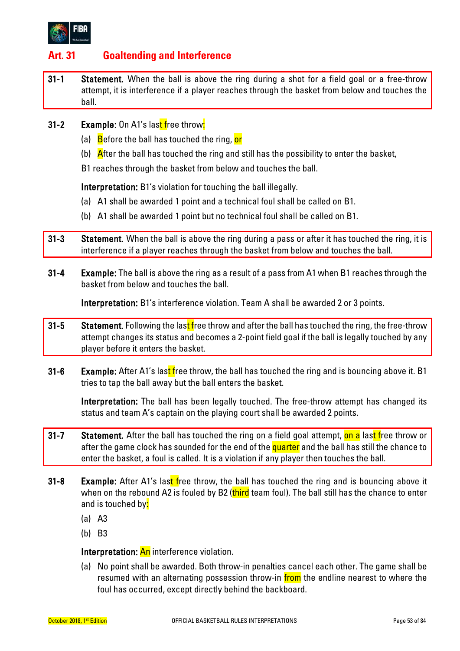

## **Art. 31 Goaltending and Interference**

- 31-1 Statement. When the ball is above the ring during a shot for a field goal or a free-throw attempt, it is interference if a player reaches through the basket from below and touches the ball.
- 31-2 Example: On A1's last free throw:
	- (a) Before the ball has touched the ring, or
	- (b) After the ball has touched the ring and still has the possibility to enter the basket,

B1 reaches through the basket from below and touches the ball.

Interpretation: B1's violation for touching the ball illegally.

- (a) A1 shall be awarded 1 point and a technical foul shall be called on B1.
- (b) A1 shall be awarded 1 point but no technical foul shall be called on B1.
- 31-3 Statement. When the ball is above the ring during a pass or after it has touched the ring, it is interference if a player reaches through the basket from below and touches the ball.
- 31-4 Example: The ball is above the ring as a result of a pass from A1 when B1 reaches through the basket from below and touches the ball.

Interpretation: B1's interference violation. Team A shall be awarded 2 or 3 points.

- 31-5 Statement. Following the last free throw and after the ball has touched the ring, the free-throw attempt changes its status and becomes a 2-point field goal if the ball is legally touched by any player before it enters the basket.
- 31-6 Example: After A1's last free throw, the ball has touched the ring and is bouncing above it. B1 tries to tap the ball away but the ball enters the basket.

Interpretation: The ball has been legally touched. The free-throw attempt has changed its status and team A's captain on the playing court shall be awarded 2 points.

- 31-7 Statement. After the ball has touched the ring on a field goal attempt, on a last free throw or after the game clock has sounded for the end of the quarter and the ball has still the chance to enter the basket, a foul is called. It is a violation if any player then touches the ball.
- 31-8 Example: After A1's last free throw, the ball has touched the ring and is bouncing above it when on the rebound A2 is fouled by B2 (third team foul). The ball still has the chance to enter and is touched by:
	- (a) A3
	- (b) B3

## Interpretation: **An** interference violation.

(a) No point shall be awarded. Both throw-in penalties cancel each other. The game shall be resumed with an alternating possession throw-in from the endline nearest to where the foul has occurred, except directly behind the backboard.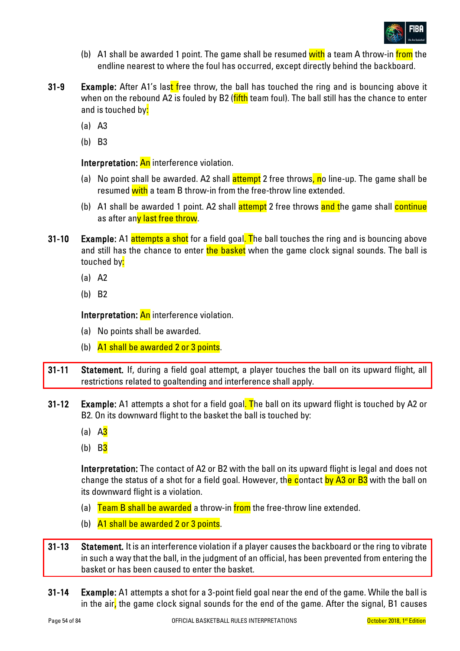

- (b) A1 shall be awarded 1 point. The game shall be resumed with a team A throw-in from the endline nearest to where the foul has occurred, except directly behind the backboard.
- 31-9 Example: After A1's last free throw, the ball has touched the ring and is bouncing above it when on the rebound A2 is fouled by B2 (*fifth* team foul). The ball still has the chance to enter and is touched by:
	- (a) A3
	- (b) B3

Interpretation: An interference violation.

- (a) No point shall be awarded. A2 shall  $\frac{attempt}{attempt}$  2 free throws, no line-up. The game shall be resumed with a team B throw-in from the free-throw line extended.
- (b) A1 shall be awarded 1 point. A2 shall attempt 2 free throws and the game shall continue as after anv last free throw.
- 31-10 Example: A1 attempts a shot for a field goal. The ball touches the ring and is bouncing above and still has the chance to enter the basket when the game clock signal sounds. The ball is touched by:
	- (a) A2
	- (b) B2

Interpretation: **An** interference violation.

- (a) No points shall be awarded.
- (b) A1 shall be awarded 2 or 3 points.
- 31-11 Statement. If, during a field goal attempt, a player touches the ball on its upward flight, all restrictions related to goaltending and interference shall apply.
- 31-12 Example: A1 attempts a shot for a field goal. The ball on its upward flight is touched by A2 or B2. On its downward flight to the basket the ball is touched by:
	- (a)  $A3$
	- (b)  $B_3$

Interpretation: The contact of A2 or B2 with the ball on its upward flight is legal and does not change the status of a shot for a field goal. However, the contact by A3 or B3 with the ball on its downward flight is a violation.

- (a) Team B shall be awarded a throw-in from the free-throw line extended.
- (b) A1 shall be awarded 2 or 3 points.
- 31-13 Statement. It is an interference violation if a player causes the backboard or the ring to vibrate in such a way that the ball, in the judgment of an official, has been prevented from entering the basket or has been caused to enter the basket.
- 31-14 Example: A1 attempts a shot for a 3-point field goal near the end of the game. While the ball is in the air, the game clock signal sounds for the end of the game. After the signal, B1 causes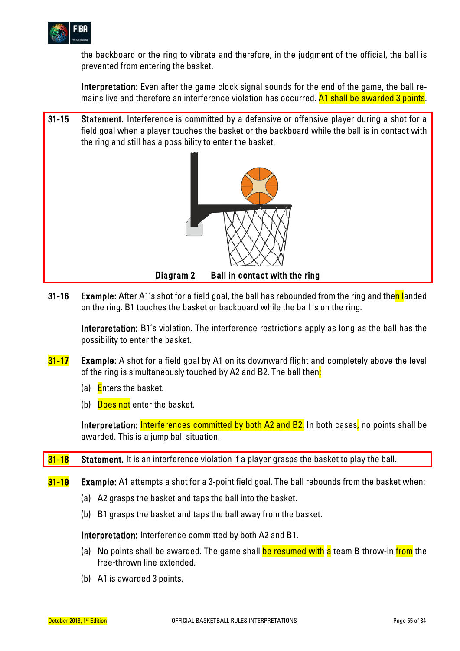

the backboard or the ring to vibrate and therefore, in the judgment of the official, the ball is prevented from entering the basket.

Interpretation: Even after the game clock signal sounds for the end of the game, the ball remains live and therefore an interference violation has occurred. A1 shall be awarded 3 points.

31-15 Statement. Interference is committed by a defensive or offensive player during a shot for a field goal when a player touches the basket or the backboard while the ball is in contact with the ring and still has a possibility to enter the basket.



31-16 Example: After A1's shot for a field goal, the ball has rebounded from the ring and then landed on the ring. B1 touches the basket or backboard while the ball is on the ring.

Interpretation: B1's violation. The interference restrictions apply as long as the ball has the possibility to enter the basket.

- **31-17** Example: A shot for a field goal by A1 on its downward flight and completely above the level of the ring is simultaneously touched by A2 and B2. The ball then:
	- (a) Enters the basket.
	- (b) Does not enter the basket.

Interpretation: Interferences committed by both A2 and B2. In both cases, no points shall be awarded. This is a jump ball situation.

**31-18** Statement. It is an interference violation if a player grasps the basket to play the ball.

- **31-19** Example: A1 attempts a shot for a 3-point field goal. The ball rebounds from the basket when:
	- (a) A2 grasps the basket and taps the ball into the basket.
	- (b) B1 grasps the basket and taps the ball away from the basket.

Interpretation: Interference committed by both A2 and B1.

- (a) No points shall be awarded. The game shall be resumed with a team B throw-in from the free-thrown line extended.
- (b) A1 is awarded 3 points.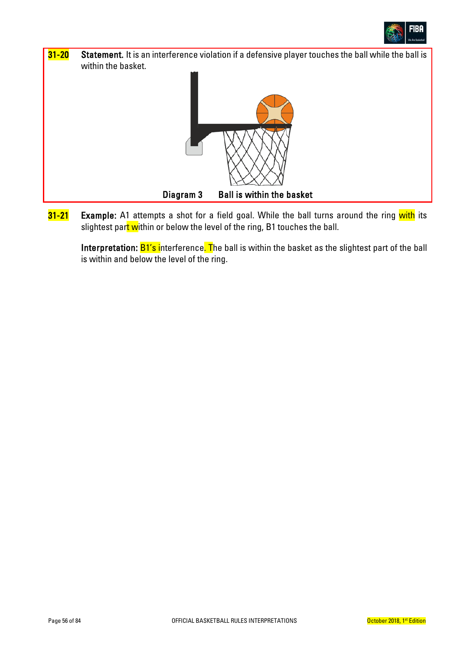



**31-21** Example: A1 attempts a shot for a field goal. While the ball turns around the ring with its slightest part within or below the level of the ring, B1 touches the ball.

Interpretation: **B1's i**nterference. The ball is within the basket as the slightest part of the ball is within and below the level of the ring.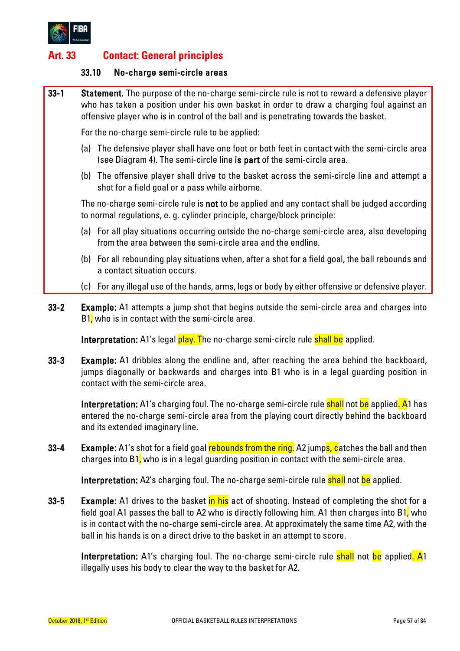

## **Art. 33 Contact: General principles**

### 33.10 No-charge semi-circle areas

33-1 Statement. The purpose of the no-charge semi-circle rule is not to reward a defensive player who has taken a position under his own basket in order to draw a charging foul against an offensive player who is in control of the ball and is penetrating towards the basket.

For the no-charge semi-circle rule to be applied:

- (a) The defensive player shall have one foot or both feet in contact with the semi-circle area (see Diagram 4). The semi-circle line is part of the semi-circle area.
- (b) The offensive player shall drive to the basket across the semi-circle line and attempt a shot for a field goal or a pass while airborne.

The no-charge semi-circle rule is not to be applied and any contact shall be judged according to normal regulations, e. g. cylinder principle, charge/block principle:

- (a) For all play situations occurring outside the no-charge semi-circle area, also developing from the area between the semi-circle area and the endline.
- (b) For all rebounding play situations when, after a shot for a field goal, the ball rebounds and a contact situation occurs.
- (c) For any illegal use of the hands, arms, legs or body by either offensive or defensive player.
- **33-2** Example: A1 attempts a jump shot that begins outside the semi-circle area and charges into B1, who is in contact with the semi-circle area.

Interpretation: A1's legal play. The no-charge semi-circle rule shall be applied.

**33-3** Example: A1 dribbles along the endline and, after reaching the area behind the backboard, jumps diagonally or backwards and charges into B1 who is in a legal guarding position in contact with the semi-circle area.

Interpretation: A1's charging foul. The no-charge semi-circle rule shall not be applied. A1 has entered the no-charge semi-circle area from the playing court directly behind the backboard and its extended imaginary line.

33-4 Example: A1's shot for a field goal rebounds from the ring. A2 jumps, catches the ball and then charges into B1, who is in a legal guarding position in contact with the semi-circle area.

Interpretation: A2's charging foul. The no-charge semi-circle rule shall not be applied.

33-5 Example: A1 drives to the basket in his act of shooting. Instead of completing the shot for a field goal A1 passes the ball to A2 who is directly following him. A1 then charges into B1, who is in contact with the no-charge semi-circle area. At approximately the same time A2, with the ball in his hands is on a direct drive to the basket in an attempt to score.

Interpretation: A1's charging foul. The no-charge semi-circle rule shall not be applied. A1 illegally uses his body to clear the way to the basket for A2.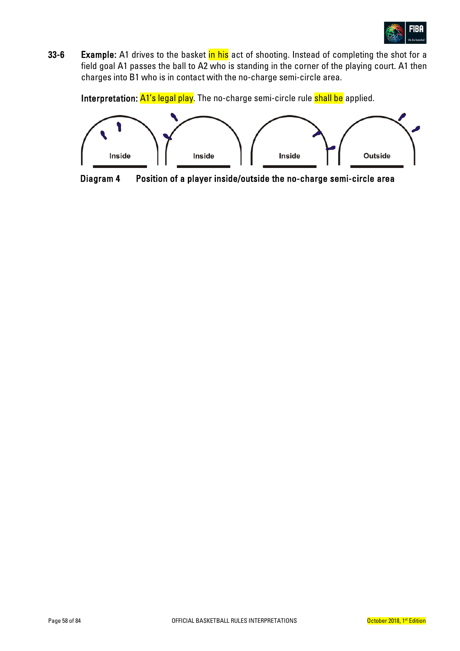

33-6 Example: A1 drives to the basket in his act of shooting. Instead of completing the shot for a field goal A1 passes the ball to A2 who is standing in the corner of the playing court. A1 then charges into B1 who is in contact with the no-charge semi-circle area.

Interpretation: A1's legal play. The no-charge semi-circle rule shall be applied.



Diagram 4 Position of a player inside/outside the no-charge semi-circle area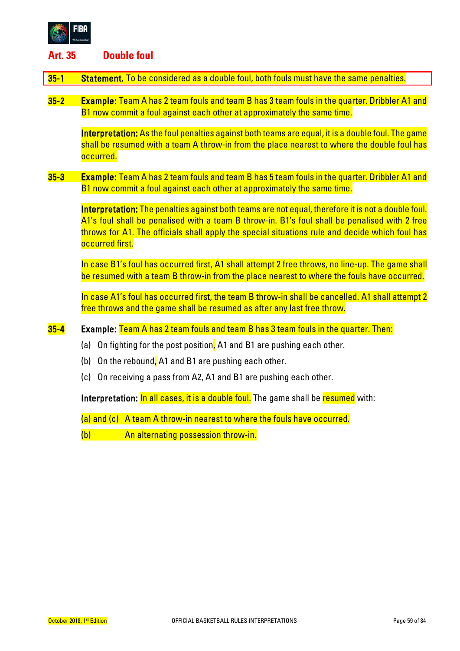

## **Art. 35 Double foul**

- 35-1 Statement. To be considered as a double foul, both fouls must have the same penalties.
- 35-2 Example: Team A has 2 team fouls and team B has 3 team fouls in the quarter. Dribbler A1 and B1 now commit a foul against each other at approximately the same time.

Interpretation: As the foul penalties against both teams are equal, it is a double foul. The game shall be resumed with a team A throw-in from the place nearest to where the double foul has occurred.

35-3 Example: Team A has 2 team fouls and team B has 5 team fouls in the quarter. Dribbler A1 and B1 now commit a foul against each other at approximately the same time.

Interpretation: The penalties against both teams are not equal, therefore it is not a double foul. A1's foul shall be penalised with a team B throw-in. B1's foul shall be penalised with 2 free throws for A1. The officials shall apply the special situations rule and decide which foul has occurred first.

In case B1's foul has occurred first, A1 shall attempt 2 free throws, no line-up. The game shall be resumed with a team B throw-in from the place nearest to where the fouls have occurred.

In case A1's foul has occurred first, the team B throw-in shall be cancelled. A1 shall attempt 2 free throws and the game shall be resumed as after any last free throw.

35-4 Example: Team A has 2 team fouls and team B has 3 team fouls in the quarter. Then:

- (a) On fighting for the post position, A1 and B1 are pushing each other.
- (b) On the rebound, A1 and B1 are pushing each other.
- (c) On receiving a pass from A2, A1 and B1 are pushing each other.

Interpretation: In all cases, it is a double foul. The game shall be resumed with:

(a) and (c) A team A throw-in nearest to where the fouls have occurred.

(b) An alternating possession throw-in.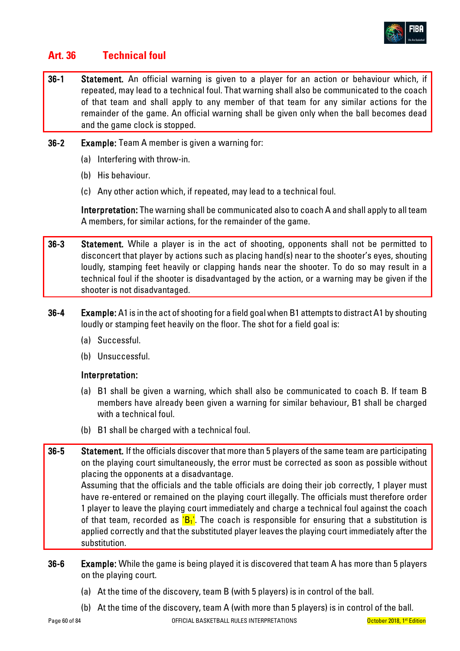

# **Art. 36 Technical foul**

- 36-1 Statement. An official warning is given to a player for an action or behaviour which, if repeated, may lead to a technical foul. That warning shall also be communicated to the coach of that team and shall apply to any member of that team for any similar actions for the remainder of the game. An official warning shall be given only when the ball becomes dead and the game clock is stopped.
- 36-2 Example: Team A member is given a warning for:
	- (a) Interfering with throw-in.
	- (b) His behaviour.
	- (c) Any other action which, if repeated, may lead to a technical foul.

Interpretation: The warning shall be communicated also to coach A and shall apply to all team A members, for similar actions, for the remainder of the game.

- 36-3 Statement. While a player is in the act of shooting, opponents shall not be permitted to disconcert that player by actions such as placing hand(s) near to the shooter's eyes, shouting loudly, stamping feet heavily or clapping hands near the shooter. To do so may result in a technical foul if the shooter is disadvantaged by the action, or a warning may be given if the shooter is not disadvantaged.
- 36-4 Example: A1 is in the act of shooting for a field goal when B1 attempts to distract A1 by shouting loudly or stamping feet heavily on the floor. The shot for a field goal is:
	- (a) Successful.
	- (b) Unsuccessful.

## Interpretation:

- (a) B1 shall be given a warning, which shall also be communicated to coach B. If team B members have already been given a warning for similar behaviour, B1 shall be charged with a technical foul.
- (b) B1 shall be charged with a technical foul.
- 36-5 Statement. If the officials discover that more than 5 players of the same team are participating on the playing court simultaneously, the error must be corrected as soon as possible without placing the opponents at a disadvantage. Assuming that the officials and the table officials are doing their job correctly, 1 player must have re-entered or remained on the playing court illegally. The officials must therefore order 1 player to leave the playing court immediately and charge a technical foul against the coach of that team, recorded as  $B_1$ . The coach is responsible for ensuring that a substitution is applied correctly and that the substituted player leaves the playing court immediately after the substitution.
- 36-6 Example: While the game is being played it is discovered that team A has more than 5 players on the playing court.
	- (a) At the time of the discovery, team B (with 5 players) is in control of the ball.
	- (b) At the time of the discovery, team A (with more than 5 players) is in control of the ball.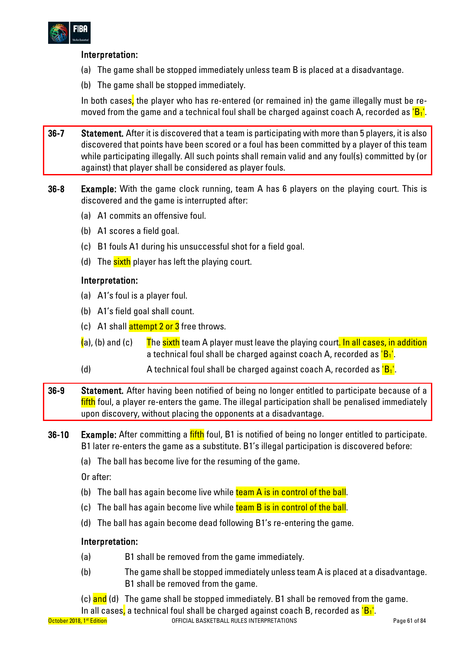

## Interpretation:

- (a) The game shall be stopped immediately unless team B is placed at a disadvantage.
- (b) The game shall be stopped immediately.

In both cases, the player who has re-entered (or remained in) the game illegally must be removed from the game and a technical foul shall be charged against coach A, recorded as  $B_1$ .

- 36-7 Statement. After it is discovered that a team is participating with more than 5 players, it is also discovered that points have been scored or a foul has been committed by a player of this team while participating illegally. All such points shall remain valid and any foul(s) committed by (or against) that player shall be considered as player fouls.
- 36-8 Example: With the game clock running, team A has 6 players on the playing court. This is discovered and the game is interrupted after:
	- (a) A1 commits an offensive foul.
	- (b) A1 scores a field goal.
	- (c) B1 fouls A1 during his unsuccessful shot for a field goal.
	- (d) The **sixth** player has left the playing court.

## Interpretation:

- (a) A1's foul is a player foul.
- (b) A1's field goal shall count.
- (c) A1 shall  $\frac{attempt}{2}$  or  $\frac{3}{5}$  free throws.
- $(a)$ , (b) and (c) The sixth team A player must leave the playing court. In all cases, in addition a technical foul shall be charged against coach A, recorded as  $B_1$ .
- (d)  $A$  technical foul shall be charged against coach A, recorded as  $B_1$ .
- 36-9 Statement. After having been notified of being no longer entitled to participate because of a fifth foul, a player re-enters the game. The illegal participation shall be penalised immediately upon discovery, without placing the opponents at a disadvantage.
- 36-10 Example: After committing a fifth foul, B1 is notified of being no longer entitled to participate. B1 later re-enters the game as a substitute. B1's illegal participation is discovered before:
	- (a) The ball has become live for the resuming of the game.

Or after:

- (b) The ball has again become live while  $\frac{1}{10}$  and  $\frac{1}{10}$  and  $\frac{1}{10}$  on  $\frac{1}{10}$  and  $\frac{1}{10}$ .
- (c) The ball has again become live while team B is in control of the ball.
- (d) The ball has again become dead following B1's re-entering the game.

## Interpretation:

- (a) B1 shall be removed from the game immediately.
- (b) The game shall be stopped immediately unless team A is placed at a disadvantage. B1 shall be removed from the game.
- (c) and (d) The game shall be stopped immediately. B1 shall be removed from the game.

In all cases, a technical foul shall be charged against coach B, recorded as  $B_1$ .

October 2018, 1st Edition **Deficies Controller Controller Controller** OFFICIAL BASKETBALL RULES INTERPRETATIONS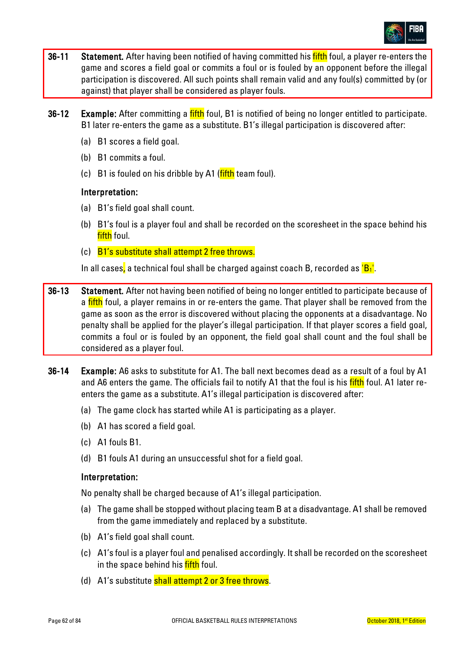

- 36-11 Statement. After having been notified of having committed his fifth foul, a player re-enters the game and scores a field goal or commits a foul or is fouled by an opponent before the illegal participation is discovered. All such points shall remain valid and any foul(s) committed by (or against) that player shall be considered as player fouls.
- 36-12 Example: After committing a fifth foul, B1 is notified of being no longer entitled to participate. B1 later re-enters the game as a substitute. B1's illegal participation is discovered after:
	- (a) B1 scores a field goal.
	- (b) B1 commits a foul.
	- (c) B1 is fouled on his dribble by A1 (fifth team foul).

## Interpretation:

- (a) B1's field goal shall count.
- (b) B1's foul is a player foul and shall be recorded on the scoresheet in the space behind his fifth foul.
- (c) B1's substitute shall attempt 2 free throws.

In all cases, a technical foul shall be charged against coach B, recorded as  $B_1$ .

- 36-13 Statement. After not having been notified of being no longer entitled to participate because of a fifth foul, a player remains in or re-enters the game. That player shall be removed from the game as soon as the error is discovered without placing the opponents at a disadvantage. No penalty shall be applied for the player's illegal participation. If that player scores a field goal, commits a foul or is fouled by an opponent, the field goal shall count and the foul shall be considered as a player foul.
- 36-14 Example: A6 asks to substitute for A1. The ball next becomes dead as a result of a foul by A1 and A6 enters the game. The officials fail to notify A1 that the foul is his fifth foul. A1 later reenters the game as a substitute. A1's illegal participation is discovered after:
	- (a) The game clock has started while A1 is participating as a player.
	- (b) A1 has scored a field goal.
	- (c) A1 fouls B1.
	- (d) B1 fouls A1 during an unsuccessful shot for a field goal.

## Interpretation:

No penalty shall be charged because of A1's illegal participation.

- (a) The game shall be stopped without placing team B at a disadvantage. A1 shall be removed from the game immediately and replaced by a substitute.
- (b) A1's field goal shall count.
- (c) A1's foul is a player foul and penalised accordingly. It shall be recorded on the scoresheet in the space behind his *fifth* foul.
- (d) A1's substitute shall attempt 2 or 3 free throws.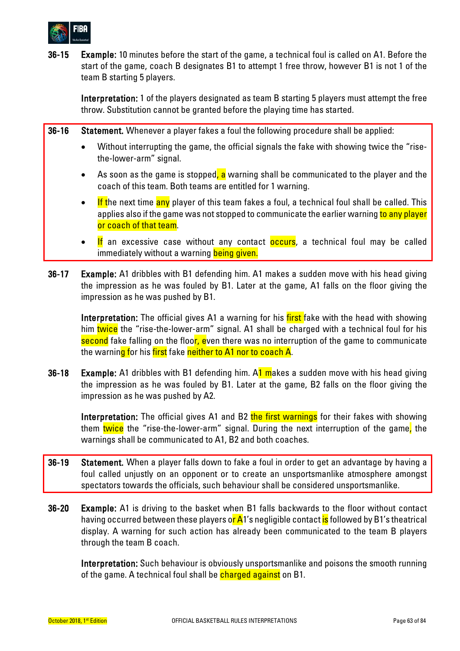

36-15 Example: 10 minutes before the start of the game, a technical foul is called on A1. Before the start of the game, coach B designates B1 to attempt 1 free throw, however B1 is not 1 of the team B starting 5 players.

Interpretation: 1 of the players designated as team B starting 5 players must attempt the free throw. Substitution cannot be granted before the playing time has started.

- 36-16 Statement. Whenever a player fakes a foul the following procedure shall be applied:
	- Without interrupting the game, the official signals the fake with showing twice the "risethe-lower-arm" signal.
	- As soon as the game is stopped, a warning shall be communicated to the player and the coach of this team. Both teams are entitled for 1 warning.
	- If the next time any player of this team fakes a foul, a technical foul shall be called. This applies also if the game was not stopped to communicate the earlier warning to any player or coach of that team.
	- If an excessive case without any contact **occurs**, a technical foul may be called immediately without a warning being given.
- 36-17 Example: A1 dribbles with B1 defending him. A1 makes a sudden move with his head giving the impression as he was fouled by B1. Later at the game, A1 falls on the floor giving the impression as he was pushed by B1.

Interpretation: The official gives A1 a warning for his first fake with the head with showing him **twice** the "rise-the-lower-arm" signal. A1 shall be charged with a technical foul for his second fake falling on the floor, even there was no interruption of the game to communicate the warning for his first fake neither to A1 nor to coach A.

**36-18** Example: A1 dribbles with B1 defending him. A $\frac{1}{1}$  makes a sudden move with his head giving the impression as he was fouled by B1. Later at the game, B2 falls on the floor giving the impression as he was pushed by A2.

Interpretation: The official gives A1 and B2 the first warnings for their fakes with showing them twice the "rise-the-lower-arm" signal. During the next interruption of the game, the warnings shall be communicated to A1, B2 and both coaches.

- 36-19 Statement. When a player falls down to fake a foul in order to get an advantage by having a foul called unjustly on an opponent or to create an unsportsmanlike atmosphere amongst spectators towards the officials, such behaviour shall be considered unsportsmanlike.
- **36-20 Example:** A1 is driving to the basket when B1 falls backwards to the floor without contact having occurred between these players o<mark>r A</mark>1's negligible contact is followed by B1's theatrical display. A warning for such action has already been communicated to the team B players through the team B coach.

Interpretation: Such behaviour is obviously unsportsmanlike and poisons the smooth running of the game. A technical foul shall be **charged against** on B1.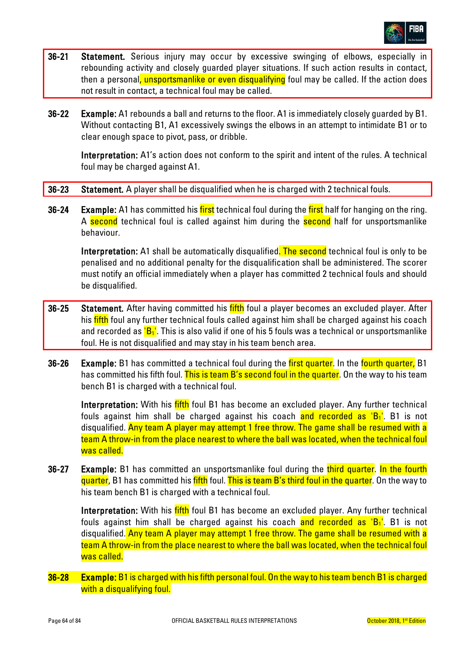

- 36-21 Statement. Serious injury may occur by excessive swinging of elbows, especially in rebounding activity and closely guarded player situations. If such action results in contact, then a personal, unsportsmanlike or even disqualifying foul may be called. If the action does not result in contact, a technical foul may be called.
- 36-22 Example: A1 rebounds a ball and returns to the floor. A1 is immediately closely guarded by B1. Without contacting B1, A1 excessively swings the elbows in an attempt to intimidate B1 or to clear enough space to pivot, pass, or dribble.

Interpretation: A1's action does not conform to the spirit and intent of the rules. A technical foul may be charged against A1.

- 36-23 Statement. A player shall be disqualified when he is charged with 2 technical fouls.
- **36-24 Example:** A1 has committed his first technical foul during the first half for hanging on the ring. A second technical foul is called against him during the second half for unsportsmanlike behaviour.

Interpretation: A1 shall be automatically disqualified. The second technical foul is only to be penalised and no additional penalty for the disqualification shall be administered. The scorer must notify an official immediately when a player has committed 2 technical fouls and should be disqualified.

- 36-25 Statement. After having committed his fifth foul a player becomes an excluded player. After his **fifth** foul any further technical fouls called against him shall be charged against his coach and recorded as  $B_1$ . This is also valid if one of his 5 fouls was a technical or unsportsmanlike foul. He is not disqualified and may stay in his team bench area.
- 36-26 Example: B1 has committed a technical foul during the first quarter. In the fourth quarter, B1 has committed his fifth foul. This is team B's second foul in the quarter. On the way to his team bench B1 is charged with a technical foul.

Interpretation: With his fifth foul B1 has become an excluded player. Any further technical fouls against him shall be charged against his coach and recorded as  $B_1$ . B1 is not disqualified. Any team A player may attempt 1 free throw. The game shall be resumed with a team A throw-in from the place nearest to where the ball was located, when the technical foul was called.

36-27 Example: B1 has committed an unsportsmanlike foul during the third quarter. In the fourth guarter, B1 has committed his fifth foul. This is team B's third foul in the quarter. On the way to his team bench B1 is charged with a technical foul.

Interpretation: With his fifth foul B1 has become an excluded player. Any further technical fouls against him shall be charged against his coach and recorded as  $B_1$ . B1 is not disqualified. Any team A player may attempt 1 free throw. The game shall be resumed with a team A throw-in from the place nearest to where the ball was located, when the technical foul was called.

36-28 Example: B1 is charged with his fifth personal foul. On the way to his team bench B1 is charged with a disqualifying foul.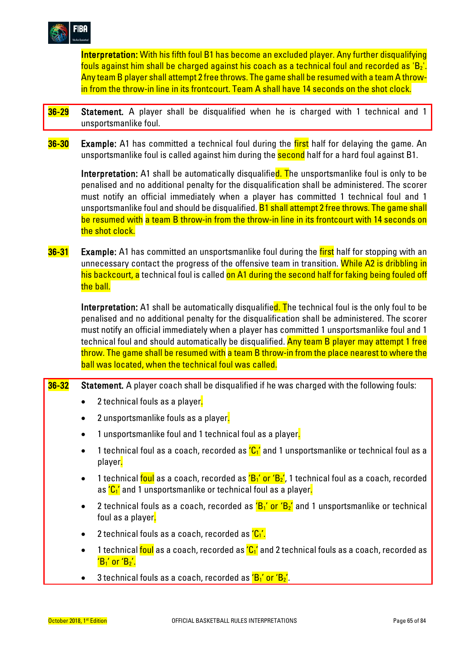

Interpretation: With his fifth foul B1 has become an excluded player. Any further disqualifying fouls against him shall be charged against his coach as a technical foul and recorded as 'B<sub>2</sub>'. Any team B player shall attempt 2 free throws. The game shall be resumed with a team A throwin from the throw-in line in its frontcourt. Team A shall have 14 seconds on the shot clock.

- 36-29 Statement. A player shall be disqualified when he is charged with 1 technical and 1 unsportsmanlike foul.
- **36-30** Example: A1 has committed a technical foul during the first half for delaying the game. An unsportsmanlike foul is called against him during the **second** half for a hard foul against B1.

Interpretation: A1 shall be automatically disqualified. The unsportsmanlike foul is only to be penalised and no additional penalty for the disqualification shall be administered. The scorer must notify an official immediately when a player has committed 1 technical foul and 1 unsportsmanlike foul and should be disqualified. **B1 shall attempt 2 free throws. The game shall** be resumed with a team B throw-in from the throw-in line in its frontcourt with 14 seconds on the shot clock.

**36-31** Example: A1 has committed an unsportsmanlike foul during the first half for stopping with an unnecessary contact the progress of the offensive team in transition. While A2 is dribbling in his backcourt, a technical foul is called on A1 during the second half for faking being fouled off the ball.

Interpretation: A1 shall be automatically disqualified. The technical foul is the only foul to be penalised and no additional penalty for the disqualification shall be administered. The scorer must notify an official immediately when a player has committed 1 unsportsmanlike foul and 1 technical foul and should automatically be disqualified. Any team B player may attempt 1 free throw. The game shall be resumed with a team B throw-in from the place nearest to where the ball was located, when the technical foul was called.

- **36-32** Statement. A player coach shall be disqualified if he was charged with the following fouls:
	- 2 technical fouls as a player.
	- 2 unsportsmanlike fouls as a player.
	- 1 unsportsmanlike foul and 1 technical foul as a player.
	- 1 technical foul as a coach, recorded as  $C_1$  and 1 unsportsmanlike or technical foul as a player.
	- 1 technical foul as a coach, recorded as  $B_1'$  or  $B_2'$ , 1 technical foul as a coach, recorded as 'C<sub>1</sub>' and 1 unsportsmanlike or technical foul as a player.
	- 2 technical fouls as a coach, recorded as  $B_1$  or  $B_2$  and 1 unsportsmanlike or technical foul as a player.
	- $\bullet$  2 technical fouls as a coach, recorded as  $'C_1'.$
	- $\bullet$  1 technical foul as a coach, recorded as  $^{\prime}$ C<sub>1</sub>' and 2 technical fouls as a coach, recorded as  $\overline{B_1}$ ' or  $\overline{B_2}'$ .
	- 3 technical fouls as a coach, recorded as  $B_1$ ' or 'B<sub>2</sub>'.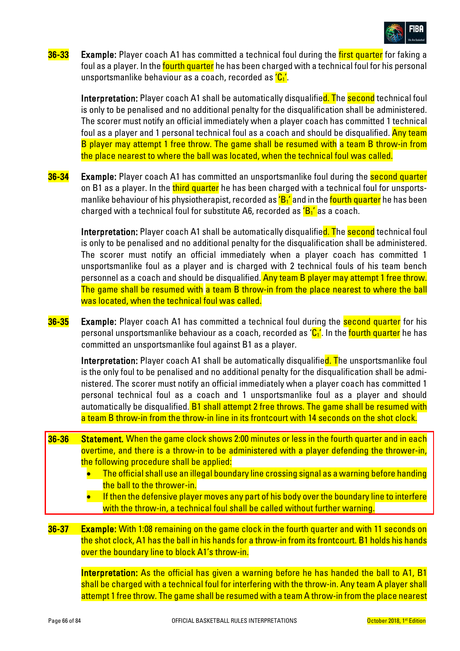

36-33 Example: Player coach A1 has committed a technical foul during the first quarter for faking a foul as a player. In the **fourth quarter** he has been charged with a technical foul for his personal unsportsmanlike behaviour as a coach, recorded as 'C<sub>1</sub>'.

Interpretation: Player coach A1 shall be automatically disqualified. The second technical foul is only to be penalised and no additional penalty for the disqualification shall be administered. The scorer must notify an official immediately when a player coach has committed 1 technical foul as a player and 1 personal technical foul as a coach and should be disqualified. Any team B player may attempt 1 free throw. The game shall be resumed with a team B throw-in from the place nearest to where the ball was located, when the technical foul was called.

36-34 Example: Player coach A1 has committed an unsportsmanlike foul during the second quarter on B1 as a player. In the third quarter he has been charged with a technical foul for unsportsmanlike behaviour of his physiotherapist, recorded as  $B_1$  and in the fourth quarter he has been charged with a technical foul for substitute A6, recorded as  $B_1$  as a coach.

Interpretation: Player coach A1 shall be automatically disqualified. The second technical foul is only to be penalised and no additional penalty for the disqualification shall be administered. The scorer must notify an official immediately when a player coach has committed 1 unsportsmanlike foul as a player and is charged with 2 technical fouls of his team bench personnel as a coach and should be disqualified. Any team B player may attempt 1 free throw. The game shall be resumed with a team B throw-in from the place nearest to where the ball was located, when the technical foul was called.

36-35 Example: Player coach A1 has committed a technical foul during the second quarter for his personal unsportsmanlike behaviour as a coach, recorded as 'C1'. In the fourth quarter he has committed an unsportsmanlike foul against B1 as a player.

**Interpretation:** Player coach A1 shall be automatically disqualified. The unsportsmanlike foul is the only foul to be penalised and no additional penalty for the disqualification shall be administered. The scorer must notify an official immediately when a player coach has committed 1 personal technical foul as a coach and 1 unsportsmanlike foul as a player and should automatically be disqualified. **B1 shall attempt 2 free throws. The game shall be resumed with** a team B throw-in from the throw-in line in its frontcourt with 14 seconds on the shot clock.

- 36-36 Statement. When the game clock shows 2:00 minutes or less in the fourth quarter and in each overtime, and there is a throw-in to be administered with a player defending the thrower-in, the following procedure shall be applied:
	- The official shall use an illegal boundary line crossing signal as a warning before handing the ball to the thrower-in.
	- If then the defensive player moves any part of his body over the boundary line to interfere with the throw-in, a technical foul shall be called without further warning.
- 36-37 Example: With 1:08 remaining on the game clock in the fourth quarter and with 11 seconds on the shot clock, A1 has the ball in his hands for a throw-in from its frontcourt. B1 holds his hands over the boundary line to block A1's throw-in.

Interpretation: As the official has given a warning before he has handed the ball to A1, B1 shall be charged with a technical foul for interfering with the throw-in. Any team A player shall attempt 1 free throw. The game shall be resumed with a team A throw-in from the place nearest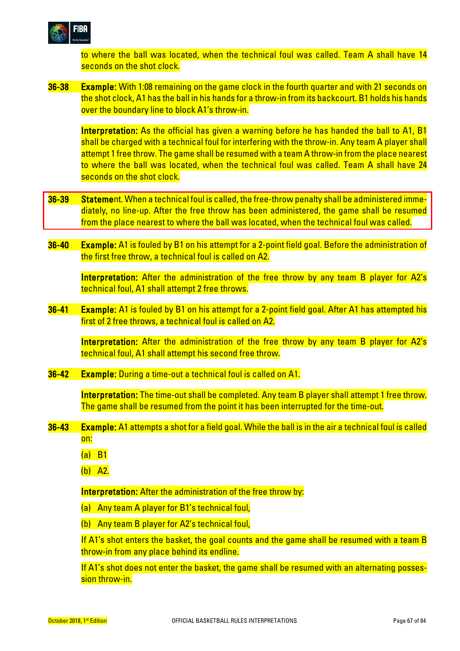

to where the ball was located, when the technical foul was called. Team A shall have 14 seconds on the shot clock.

36-38 Example: With 1:08 remaining on the game clock in the fourth quarter and with 21 seconds on the shot clock, A1 has the ball in his hands for a throw-in from its backcourt. B1 holds his hands over the boundary line to block A1's throw-in.

Interpretation: As the official has given a warning before he has handed the ball to A1, B1 shall be charged with a technical foul for interfering with the throw-in. Any team A player shall attempt 1 free throw. The game shall be resumed with a team A throw-in from the place nearest to where the ball was located, when the technical foul was called. Team A shall have 24 seconds on the shot clock.

- 36-39 Statement. When a technical foul is called, the free-throw penalty shall be administered immediately, no line-up. After the free throw has been administered, the game shall be resumed from the place nearest to where the ball was located, when the technical foul was called.
- 36-40 Example: A1 is fouled by B1 on his attempt for a 2-point field goal. Before the administration of the first free throw, a technical foul is called on A2.

Interpretation: After the administration of the free throw by any team B player for A2's technical foul, A1 shall attempt 2 free throws.

36-41 Example: A1 is fouled by B1 on his attempt for a 2-point field goal. After A1 has attempted his first of 2 free throws, a technical foul is called on A2.

Interpretation: After the administration of the free throw by any team B player for A2's technical foul, A1 shall attempt his second free throw.

36-42 Example: During a time-out a technical foul is called on A1.

Interpretation: The time-out shall be completed. Any team B player shall attempt 1 free throw. The game shall be resumed from the point it has been interrupted for the time-out.

- 36-43 Example: A1 attempts a shot for a field goal. While the ball is in the air a technical foul is called on:
	- (a) B1

(b) A2.

Interpretation: After the administration of the free throw by:

- (a) Any team A player for B1's technical foul,
- (b) Any team B player for A2's technical foul,

If A1's shot enters the basket, the goal counts and the game shall be resumed with a team B throw-in from any place behind its endline.

If A1's shot does not enter the basket, the game shall be resumed with an alternating possession throw-in.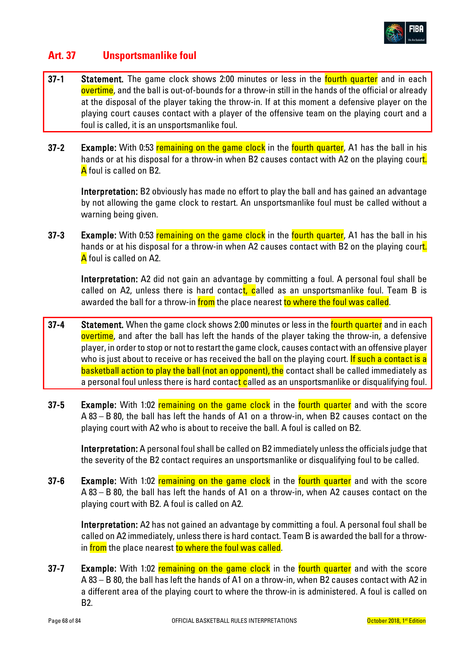

# **Art. 37 Unsportsmanlike foul**

- 37-1 Statement. The game clock shows 2:00 minutes or less in the fourth quarter and in each overtime, and the ball is out-of-bounds for a throw-in still in the hands of the official or already at the disposal of the player taking the throw-in. If at this moment a defensive player on the playing court causes contact with a player of the offensive team on the playing court and a foul is called, it is an unsportsmanlike foul.
- 37-2 Example: With 0:53 remaining on the game clock in the fourth quarter, A1 has the ball in his hands or at his disposal for a throw-in when B2 causes contact with A2 on the playing court. A foul is called on B2.

Interpretation: B2 obviously has made no effort to play the ball and has gained an advantage by not allowing the game clock to restart. An unsportsmanlike foul must be called without a warning being given.

37-3 Example: With 0:53 remaining on the game clock in the fourth quarter, A1 has the ball in his hands or at his disposal for a throw-in when A2 causes contact with B2 on the playing court. A foul is called on A2.

Interpretation: A2 did not gain an advantage by committing a foul. A personal foul shall be called on A2, unless there is hard contact, called as an unsportsmanlike foul. Team B is awarded the ball for a throw-in from the place nearest to where the foul was called.

- 37-4 Statement. When the game clock shows 2:00 minutes or less in the fourth quarter and in each overtime, and after the ball has left the hands of the player taking the throw-in, a defensive player, in order to stop or not to restart the game clock, causes contact with an offensive player who is just about to receive or has received the ball on the playing court. If such a contact is a basketball action to play the ball (not an opponent), the contact shall be called immediately as a personal foul unless there is hard contact called as an unsportsmanlike or disqualifying foul.
- 37-5 Example: With 1:02 remaining on the game clock in the fourth quarter and with the score A 83 – B 80, the ball has left the hands of A1 on a throw-in, when B2 causes contact on the playing court with A2 who is about to receive the ball. A foul is called on B2.

Interpretation: A personal foul shall be called on B2 immediately unless the officials judge that the severity of the B2 contact requires an unsportsmanlike or disqualifying foul to be called.

37-6 Example: With 1:02 remaining on the game clock in the fourth quarter and with the score A 83 – B 80, the ball has left the hands of A1 on a throw-in, when A2 causes contact on the playing court with B2. A foul is called on A2.

Interpretation: A2 has not gained an advantage by committing a foul. A personal foul shall be called on A2 immediately, unless there is hard contact. Team B is awarded the ball for a throwin from the place nearest to where the foul was called.

37-7 Example: With 1:02 remaining on the game clock in the fourth quarter and with the score A 83 – B 80, the ball has left the hands of A1 on a throw-in, when B2 causes contact with A2 in a different area of the playing court to where the throw-in is administered. A foul is called on B2.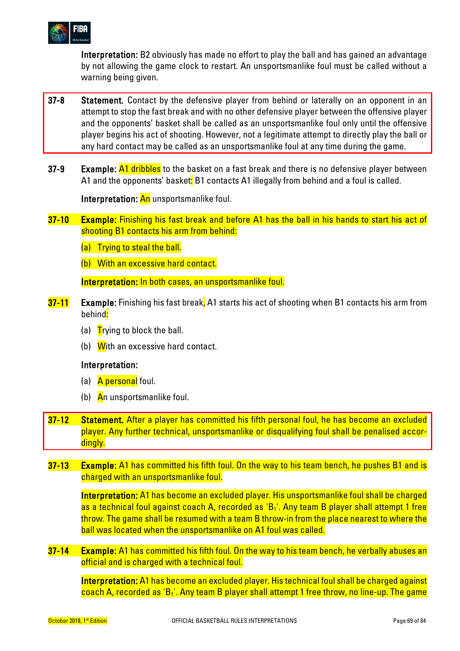

Interpretation: B2 obviously has made no effort to play the ball and has gained an advantage by not allowing the game clock to restart. An unsportsmanlike foul must be called without a warning being given.

- 37-8 Statement. Contact by the defensive player from behind or laterally on an opponent in an attempt to stop the fast break and with no other defensive player between the offensive player and the opponents' basket shall be called as an unsportsmanlike foul only until the offensive player begins his act of shooting. However, not a legitimate attempt to directly play the ball or any hard contact may be called as an unsportsmanlike foul at any time during the game.
- 37-9 Example: A1 dribbles to the basket on a fast break and there is no defensive player between A1 and the opponents' basket: B1 contacts A1 illegally from behind and a foul is called.

Interpretation: An unsportsmanlike foul.

- 37-10 Example: Finishing his fast break and before A1 has the ball in his hands to start his act of shooting B1 contacts his arm from behind:
	- (a) Trying to steal the ball.

(b) With an excessive hard contact.

Interpretation: In both cases, an unsportsmanlike foul.

- 37-11 Example: Finishing his fast break, A1 starts his act of shooting when B1 contacts his arm from behind:
	- (a)  $\overline{\text{Try}}$  to block the ball.
	- (b)  $W$ ith an excessive hard contact.

#### Interpretation:

- (a) A personal foul.
- (b)  $A_n$ n unsportsmanlike foul.
- 37-12 Statement. After a player has committed his fifth personal foul, he has become an excluded player. Any further technical, unsportsmanlike or disqualifying foul shall be penalised accordingly.
- 37-13 Example: A1 has committed his fifth foul. On the way to his team bench, he pushes B1 and is charged with an unsportsmanlike foul.

Interpretation: A1 has become an excluded player. His unsportsmanlike foul shall be charged as a technical foul against coach A, recorded as 'B<sub>1</sub>'. Any team B player shall attempt 1 free throw. The game shall be resumed with a team B throw-in from the place nearest to where the ball was located when the unsportsmanlike on A1 foul was called.

37-14 Example: A1 has committed his fifth foul. On the way to his team bench, he verbally abuses an official and is charged with a technical foul.

Interpretation: A1 has become an excluded player. His technical foul shall be charged against coach A, recorded as 'B<sub>1</sub>'. Any team B player shall attempt 1 free throw, no line-up. The game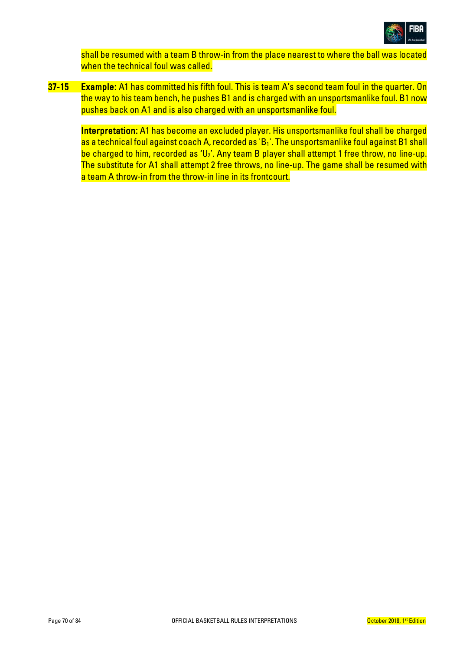

shall be resumed with a team B throw-in from the place nearest to where the ball was located when the technical foul was called.

37-15 Example: A1 has committed his fifth foul. This is team A's second team foul in the quarter. On the way to his team bench, he pushes B1 and is charged with an unsportsmanlike foul. B1 now pushes back on A1 and is also charged with an unsportsmanlike foul.

Interpretation: A1 has become an excluded player. His unsportsmanlike foul shall be charged as a technical foul against coach A, recorded as 'B<sub>1</sub>'. The unsportsmanlike foul against B1 shall be charged to him, recorded as 'U<sub>2</sub>'. Any team B player shall attempt 1 free throw, no line-up. The substitute for A1 shall attempt 2 free throws, no line-up. The game shall be resumed with a team A throw-in from the throw-in line in its frontcourt.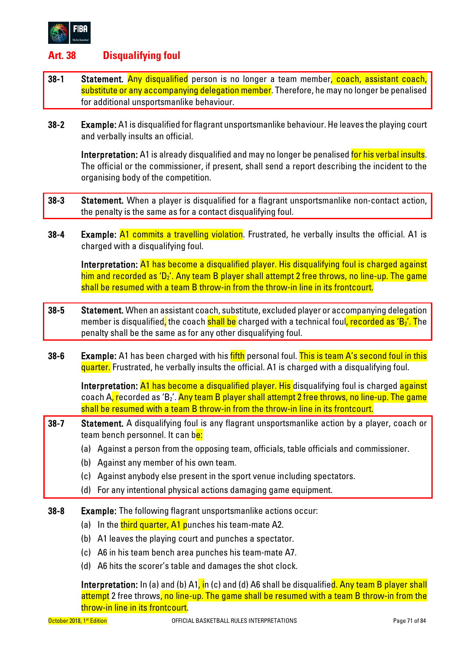

# **Art. 38 Disqualifying foul**

- 38-1 Statement. Any disqualified person is no longer a team member, coach, assistant coach, substitute or any accompanying delegation member. Therefore, he may no longer be penalised for additional unsportsmanlike behaviour.
- 38-2 Example: A1 is disqualified for flagrant unsportsmanlike behaviour. He leaves the playing court and verbally insults an official.

Interpretation: A1 is already disqualified and may no longer be penalised for his verbal insults. The official or the commissioner, if present, shall send a report describing the incident to the organising body of the competition.

- 38-3 Statement. When a player is disqualified for a flagrant unsportsmanlike non-contact action, the penalty is the same as for a contact disqualifying foul.
- 38-4 Example: A1 commits a travelling violation. Frustrated, he verbally insults the official. A1 is charged with a disqualifying foul.

Interpretation: A1 has become a disqualified player. His disqualifying foul is charged against him and recorded as 'D<sub>2</sub>'. Any team B player shall attempt 2 free throws, no line-up. The game shall be resumed with a team B throw-in from the throw-in line in its frontcourt.

- 38-5 Statement. When an assistant coach, substitute, excluded player or accompanying delegation member is disqualified, the coach shall be charged with a technical foul, recorded as 'B<sub>2</sub>'. The penalty shall be the same as for any other disqualifying foul.
- 38-6 Example: A1 has been charged with his fifth personal foul. This is team A's second foul in this quarter. Frustrated, he verbally insults the official. A1 is charged with a disqualifying foul.

Interpretation: A1 has become a disqualified player. His disqualifying foul is charged against coach A, recorded as 'B<sub>2</sub>'. Any team B player shall attempt 2 free throws, no line-up. The game shall be resumed with a team B throw-in from the throw-in line in its frontcourt.

- 38-7 Statement. A disqualifying foul is any flagrant unsportsmanlike action by a player, coach or team bench personnel. It can be:
	- (a) Against a person from the opposing team, officials, table officials and commissioner.
	- (b) Against any member of his own team.
	- (c) Against anybody else present in the sport venue including spectators.
	- (d) For any intentional physical actions damaging game equipment.
- 38-8 Example: The following flagrant unsportsmanlike actions occur:
	- (a) In the third quarter,  $\mathsf{A1}$  punches his team-mate A2.
	- (b) A1 leaves the playing court and punches a spectator.
	- (c) A6 in his team bench area punches his team-mate A7.
	- (d) A6 hits the scorer's table and damages the shot clock.

Interpretation: In (a) and (b) A1, in (c) and (d) A6 shall be disqualified. Any team B player shall attempt 2 free throws, no line-up. The game shall be resumed with a team B throw-in from the throw-in line in its frontcourt.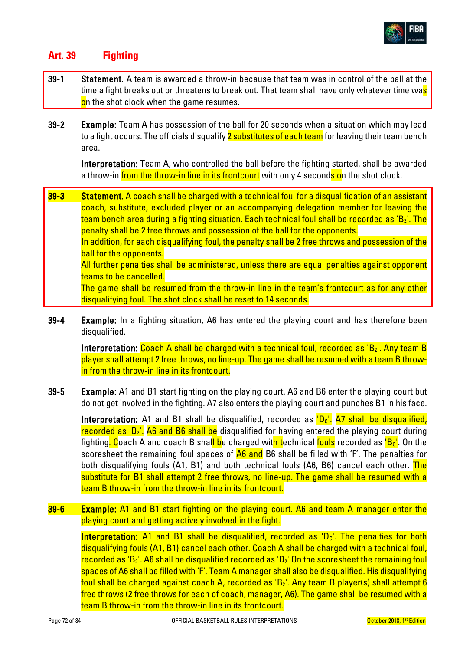

# **Art. 39 Fighting**

- 39-1 Statement. A team is awarded a throw-in because that team was in control of the ball at the time a fight breaks out or threatens to break out. That team shall have only whatever time was on the shot clock when the game resumes.
- 39-2 Example: Team A has possession of the ball for 20 seconds when a situation which may lead to a fight occurs. The officials disqualify 2 substitutes of each team for leaving their team bench area.

Interpretation: Team A, who controlled the ball before the fighting started, shall be awarded a throw-in from the throw-in line in its frontcourt with only 4 seconds on the shot clock.

39-3 Statement. A coach shall be charged with a technical foul for a disqualification of an assistant coach, substitute, excluded player or an accompanying delegation member for leaving the  $t$ eam bench area during a fighting situation. Each technical foul shall be recorded as 'B<sub>2</sub>'. The penalty shall be 2 free throws and possession of the ball for the opponents. In addition, for each disqualifying foul, the penalty shall be 2 free throws and possession of the ball for the opponents. All further penalties shall be administered, unless there are equal penalties against opponent teams to be cancelled. The game shall be resumed from the throw-in line in the team's frontcourt as for any other disqualifying foul. The shot clock shall be reset to 14 seconds.

39-4 Example: In a fighting situation, A6 has entered the playing court and has therefore been disqualified.

Interpretation: Coach A shall be charged with a technical foul, recorded as 'B<sub>2</sub>'. Any team B player shall attempt 2 free throws, no line-up. The game shall be resumed with a team B throwin from the throw-in line in its frontcourt.

39-5 Example: A1 and B1 start fighting on the playing court. A6 and B6 enter the playing court but do not get involved in the fighting. A7 also enters the playing court and punches B1 in his face.

Interpretation: A1 and B1 shall be disqualified, recorded as  $D_c$ . A7 shall be disqualified, recorded as 'D<sub>2</sub>'. A6 and B6 shall be disqualified for having entered the playing court during fighting<mark>. C</mark>oach A and coach B shall be charged with technical fouls recorded as 'B<sub>C</sub>'. On the scoresheet the remaining foul spaces of **A6 and** B6 shall be filled with 'F'. The penalties for both disqualifying fouls (A1, B1) and both technical fouls (A6, B6) cancel each other. The substitute for B1 shall attempt 2 free throws, no line-up. The game shall be resumed with a team B throw-in from the throw-in line in its frontcourt.

39-6 Example: A1 and B1 start fighting on the playing court. A6 and team A manager enter the playing court and getting actively involved in the fight.

Interpretation: A1 and B1 shall be disqualified, recorded as ' $D<sub>c</sub>'$ . The penalties for both disqualifying fouls (A1, B1) cancel each other. Coach A shall be charged with a technical foul, recorded as 'B<sub>2</sub>'. A6 shall be disqualified recorded as 'D<sub>2</sub>' On the scoresheet the remaining foul spaces of A6 shall be filled with 'F'. Team A manager shall also be disqualified. His disqualifying foul shall be charged against coach A, recorded as 'B<sub>2</sub>'. Any team B player(s) shall attempt 6 free throws (2 free throws for each of coach, manager, A6). The game shall be resumed with a team B throw-in from the throw-in line in its frontcourt.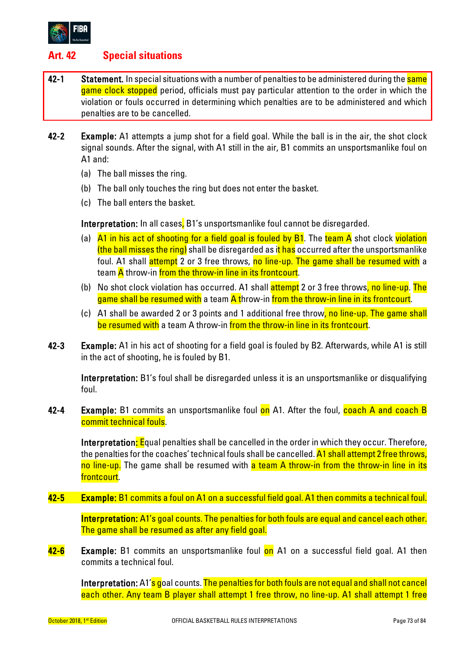

# **Art. 42 Special situations**

- 42-1 Statement. In special situations with a number of penalties to be administered during the same game clock stopped period, officials must pay particular attention to the order in which the violation or fouls occurred in determining which penalties are to be administered and which penalties are to be cancelled.
- 42-2 Example: A1 attempts a jump shot for a field goal. While the ball is in the air, the shot clock signal sounds. After the signal, with A1 still in the air, B1 commits an unsportsmanlike foul on A1 and:
	- (a) The ball misses the ring.
	- (b) The ball only touches the ring but does not enter the basket.
	- (c) The ball enters the basket.

Interpretation: In all cases, B1's unsportsmanlike foul cannot be disregarded.

- (a)  $\overline{A1}$  in his act of shooting for a field goal is fouled by B1. The team A shot clock violation (the ball misses the ring) shall be disregarded as it has occurred after the unsportsmanlike foul. A1 shall **attempt** 2 or 3 free throws, no line-up. The game shall be resumed with a team A throw-in from the throw-in line in its frontcourt.
- (b) No shot clock violation has occurred. A1 shall **attempt** 2 or 3 free throws, no line-up. The game shall be resumed with a team A throw-in from the throw-in line in its frontcourt.
- (c) A1 shall be awarded 2 or 3 points and 1 additional free throw, no line-up. The game shall be resumed with a team A throw-in from the throw-in line in its frontcourt.
- 42-3 Example: A1 in his act of shooting for a field goal is fouled by B2. Afterwards, while A1 is still in the act of shooting, he is fouled by B1.

Interpretation: B1's foul shall be disregarded unless it is an unsportsmanlike or disqualifying foul.

42-4 Example: B1 commits an unsportsmanlike foul on A1. After the foul, coach A and coach B commit technical fouls.

Interpretation<mark>: E</mark>qual penalties shall be cancelled in the order in which they occur. Therefore, the penalties for the coaches' technical fouls shall be cancelled. A1 shall attempt 2 free throws, no line-up. The game shall be resumed with a team A throw-in from the throw-in line in its frontcourt.

42-5 Example: B1 commits a foul on A1 on a successful field goal. A1 then commits a technical foul.

Interpretation: A1's goal counts. The penalties for both fouls are equal and cancel each other. The game shall be resumed as after any field goal.

42-6 Example: B1 commits an unsportsmanlike foul on A1 on a successful field goal. A1 then commits a technical foul.

Interpretation: A1's goal counts. The penalties for both fouls are not equal and shall not cancel each other. Any team B player shall attempt 1 free throw, no line-up. A1 shall attempt 1 free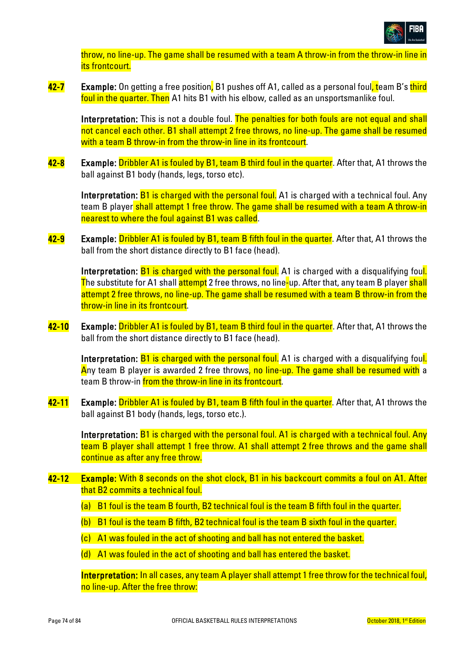

throw, no line-up. The game shall be resumed with a team A throw-in from the throw-in line in its frontcourt.

42-7 Example: On getting a free position, B1 pushes off A1, called as a personal foul, team B's third foul in the quarter. Then A1 hits B1 with his elbow, called as an unsportsmanlike foul.

Interpretation: This is not a double foul. The penalties for both fouls are not equal and shall not cancel each other. B1 shall attempt 2 free throws, no line-up. The game shall be resumed with a team B throw-in from the throw-in line in its frontcourt.

42-8 Example: Dribbler A1 is fouled by B1, team B third foul in the quarter. After that, A1 throws the ball against B1 body (hands, legs, torso etc).

Interpretation: **B1** is charged with the personal foul. A1 is charged with a technical foul. Any team B player shall attempt 1 free throw. The game shall be resumed with a team A throw-in nearest to where the foul against B1 was called.

42-9 Example: Dribbler A1 is fouled by B1, team B fifth foul in the quarter. After that, A1 throws the ball from the short distance directly to B1 face (head).

Interpretation: **B1** is charged with the personal foul. A1 is charged with a disqualifying foul. The substitute for A1 shall attempt 2 free throws, no line-up. After that, any team B player shall attempt 2 free throws, no line-up. The game shall be resumed with a team B throw-in from the throw-in line in its frontcourt.

42-10 Example: Dribbler A1 is fouled by B1, team B third foul in the quarter. After that, A1 throws the ball from the short distance directly to B1 face (head).

Interpretation: **B1** is charged with the personal foul. A1 is charged with a disqualifying foul. Any team B player is awarded 2 free throws, no line-up. The game shall be resumed with a team B throw-in from the throw-in line in its frontcourt.

42-11 Example: Dribbler A1 is fouled by B1, team B fifth foul in the quarter. After that, A1 throws the ball against B1 body (hands, legs, torso etc.).

Interpretation: **B1** is charged with the personal foul. A1 is charged with a technical foul. Any team B player shall attempt 1 free throw. A1 shall attempt 2 free throws and the game shall continue as after any free throw.

- 42-12 Example: With 8 seconds on the shot clock, B1 in his backcourt commits a foul on A1. After that B2 commits a technical foul.
	- (a) B1 foul is the team B fourth, B2 technical foul is the team B fifth foul in the quarter.
	- (b) B1 foul is the team B fifth, B2 technical foul is the team B sixth foul in the quarter.
	- (c) A1 was fouled in the act of shooting and ball has not entered the basket.
	- (d) A1 was fouled in the act of shooting and ball has entered the basket.

Interpretation: In all cases, any team A player shall attempt 1 free throw for the technical foul, no line-up. After the free throw: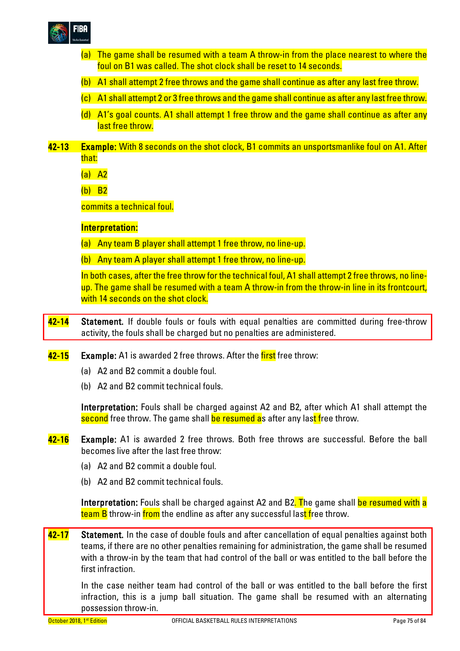

- (a) The game shall be resumed with a team A throw-in from the place nearest to where the foul on B1 was called. The shot clock shall be reset to 14 seconds.
- (b) A1 shall attempt 2 free throws and the game shall continue as after any last free throw.
- (c) A1 shall attempt 2 or 3 free throws and the game shall continue as after any last free throw.
- (d) A1's goal counts. A1 shall attempt 1 free throw and the game shall continue as after any last free throw.
- 42-13 Example: With 8 seconds on the shot clock, B1 commits an unsportsmanlike foul on A1. After that:

 $(a)$  A2

(b) B2

commits a technical foul.

## Interpretation:

- (a) Any team B player shall attempt 1 free throw, no line-up.
- (b) Any team A player shall attempt 1 free throw, no line-up.

In both cases, after the free throw for the technical foul, A1 shall attempt 2 free throws, no lineup. The game shall be resumed with a team A throw-in from the throw-in line in its frontcourt, with 14 seconds on the shot clock.

- 42-14 Statement. If double fouls or fouls with equal penalties are committed during free-throw activity, the fouls shall be charged but no penalties are administered.
- 42-15 Example: A1 is awarded 2 free throws. After the first free throw:
	- (a) A2 and B2 commit a double foul.
	- (b) A2 and B2 commit technical fouls.

Interpretation: Fouls shall be charged against A2 and B2, after which A1 shall attempt the second free throw. The game shall be resumed as after any last free throw.

- 42-16 Example: A1 is awarded 2 free throws. Both free throws are successful. Before the ball becomes live after the last free throw:
	- (a) A2 and B2 commit a double foul.
	- (b) A2 and B2 commit technical fouls.

Interpretation: Fouls shall be charged against A2 and B2. The game shall be resumed with a team B throw-in from the endline as after any successful last free throw.

42-17 Statement. In the case of double fouls and after cancellation of equal penalties against both teams, if there are no other penalties remaining for administration, the game shall be resumed with a throw-in by the team that had control of the ball or was entitled to the ball before the first infraction.

In the case neither team had control of the ball or was entitled to the ball before the first infraction, this is a jump ball situation. The game shall be resumed with an alternating possession throw-in.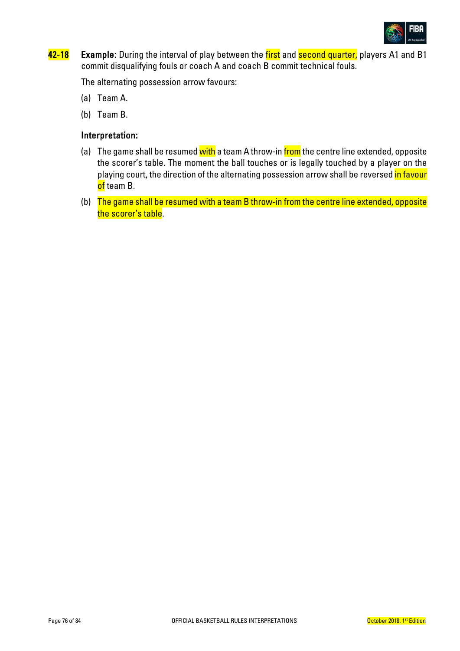

42-18 Example: During the interval of play between the first and second quarter, players A1 and B1 commit disqualifying fouls or coach A and coach B commit technical fouls.

The alternating possession arrow favours:

- (a) Team A.
- (b) Team B.

## Interpretation:

- (a) The game shall be resumed with a team A throw-in from the centre line extended, opposite the scorer's table. The moment the ball touches or is legally touched by a player on the playing court, the direction of the alternating possession arrow shall be reversed in favour of team B.
- (b) The game shall be resumed with a team B throw-in from the centre line extended, opposite the scorer's table.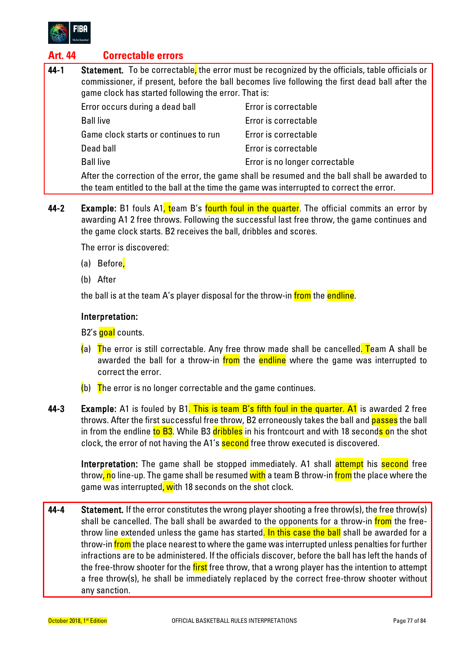

# **Art. 44 Correctable errors**

| $44 - 1$ | <b>Statement.</b> To be correctable, the error must be recognized by the officials, table officials or<br>commissioner, if present, before the ball becomes live following the first dead ball after the<br>game clock has started following the error. That is: |                                |
|----------|------------------------------------------------------------------------------------------------------------------------------------------------------------------------------------------------------------------------------------------------------------------|--------------------------------|
|          | Error occurs during a dead ball                                                                                                                                                                                                                                  | Error is correctable           |
|          | <b>Ball live</b>                                                                                                                                                                                                                                                 | Error is correctable           |
|          | Game clock starts or continues to run                                                                                                                                                                                                                            | Error is correctable           |
|          | Dead ball                                                                                                                                                                                                                                                        | Error is correctable           |
|          | <b>Ball live</b>                                                                                                                                                                                                                                                 | Error is no longer correctable |
|          | After the correction of the error, the game shall be resumed and the ball shall be awarded to<br>the team entitled to the ball at the time the game was interrupted to correct the error.                                                                        |                                |

44-2 Example: B1 fouls A1, team B's fourth foul in the quarter. The official commits an error by awarding A1 2 free throws. Following the successful last free throw, the game continues and the game clock starts. B2 receives the ball, dribbles and scores.

The error is discovered:

- (a) Before,
- (b) After

the ball is at the team A's player disposal for the throw-in from the endline.

## Interpretation:

B2's goal counts.

- (a) The error is still correctable. Any free throw made shall be cancelled. Team A shall be awarded the ball for a throw-in from the endline where the game was interrupted to correct the error.
- $\langle b \rangle$  The error is no longer correctable and the game continues.
- 44-3 Example: A1 is fouled by B1. This is team B's fifth foul in the quarter. A1 is awarded 2 free throws. After the first successful free throw, B2 erroneously takes the ball and **passes** the ball in from the endline to B3. While B3 dribbles in his frontcourt and with 18 seconds on the shot clock, the error of not having the A1's **second** free throw executed is discovered.

Interpretation: The game shall be stopped immediately. A1 shall attempt his second free throw<mark>, n</mark>o line-up. The game shall be resumed <mark>with</mark> a team B throw-in from the place where the game was interrupted, with 18 seconds on the shot clock.

44-4 Statement. If the error constitutes the wrong player shooting a free throw(s), the free throw(s) shall be cancelled. The ball shall be awarded to the opponents for a throw-in from the freethrow line extended unless the game has started. In this case the ball shall be awarded for a throw-in from the place nearest to where the game was interrupted unless penalties for further infractions are to be administered. If the officials discover, before the ball has left the hands of the free-throw shooter for the first free throw, that a wrong player has the intention to attempt a free throw(s), he shall be immediately replaced by the correct free-throw shooter without any sanction.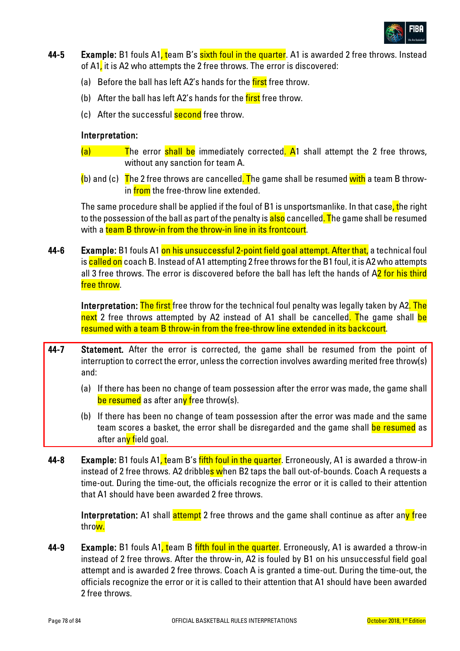

- 44-5 Example: B1 fouls A1, team B's sixth foul in the quarter. A1 is awarded 2 free throws. Instead of A1, it is A2 who attempts the 2 free throws. The error is discovered:
	- (a) Before the ball has left A2's hands for the *first* free throw.
	- (b) After the ball has left A2's hands for the *first* free throw.
	- (c) After the successful **second** free throw.

#### Interpretation:

- $(a)$  The error shall be immediately corrected. A<sub>1</sub> shall attempt the 2 free throws, without any sanction for team A.
- (b) and (c)  $\overline{I}$ he 2 free throws are cancelled. The game shall be resumed with a team B throwin from the free-throw line extended.

The same procedure shall be applied if the foul of B1 is unsportsmanlike. In that case, the right to the possession of the ball as part of the penalty is **also** cancelled. The game shall be resumed with a team B throw-in from the throw-in line in its frontcourt.

44-6 Example: B1 fouls A1 on his unsuccessful 2-point field goal attempt. After that, a technical foul is called on coach B. Instead of A1 attempting 2 free throws for the B1 foul, it is A2 who attempts all 3 free throws. The error is discovered before the ball has left the hands of A2 for his third free throw.

Interpretation: The first free throw for the technical foul penalty was legally taken by A2. The next 2 free throws attempted by A2 instead of A1 shall be cancelled<mark>. T</mark>he game shall be resumed with a team B throw-in from the free-throw line extended in its backcourt.

- 44-7 Statement. After the error is corrected, the game shall be resumed from the point of interruption to correct the error, unless the correction involves awarding merited free throw(s) and:
	- (a) If there has been no change of team possession after the error was made, the game shall be resumed as after any free throw(s).
	- (b) If there has been no change of team possession after the error was made and the same team scores a basket, the error shall be disregarded and the game shall be resumed as after an<mark>y f</mark>ield goal.
- 44-8 Example: B1 fouls A1, team B's fifth foul in the quarter. Erroneously, A1 is awarded a throw-in instead of 2 free throws. A2 dribbles when B2 taps the ball out-of-bounds. Coach A requests a time-out. During the time-out, the officials recognize the error or it is called to their attention that A1 should have been awarded 2 free throws.

Interpretation: A1 shall attempt 2 free throws and the game shall continue as after any free throw.

44-9 Example: B1 fouls A1, team B fifth foul in the quarter. Erroneously, A1 is awarded a throw-in instead of 2 free throws. After the throw-in, A2 is fouled by B1 on his unsuccessful field goal attempt and is awarded 2 free throws. Coach A is granted a time-out. During the time-out, the officials recognize the error or it is called to their attention that A1 should have been awarded 2 free throws.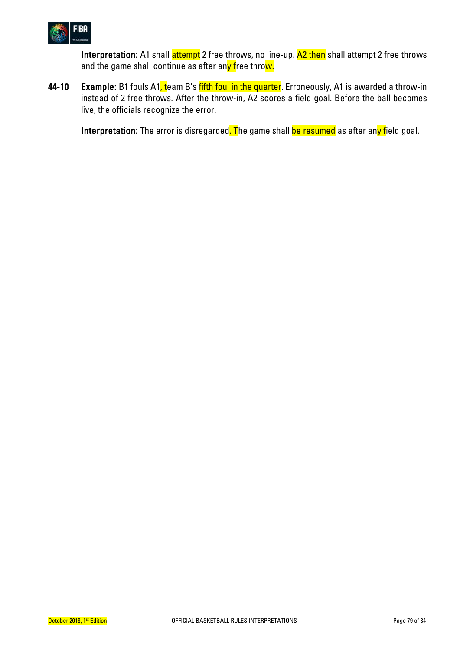

Interpretation: A1 shall attempt 2 free throws, no line-up. A2 then shall attempt 2 free throws and the game shall continue as after any free throw.

44-10 Example: B1 fouls A1, team B's fifth foul in the quarter. Erroneously, A1 is awarded a throw-in instead of 2 free throws. After the throw-in, A2 scores a field goal. Before the ball becomes live, the officials recognize the error.

Interpretation: The error is disregarded. The game shall be resumed as after any field goal.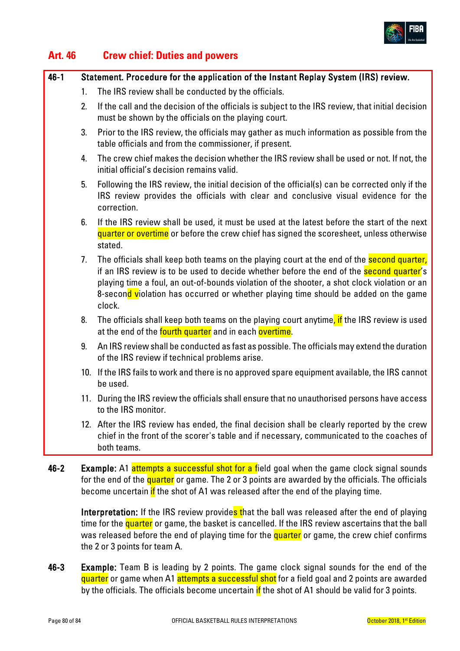

# **Art. 46 Crew chief: Duties and powers**

| $46 - 1$ | Statement. Procedure for the application of the Instant Replay System (IRS) review.                                                                                                                                                                                                         |                                                                                                                                                                                                                                                                                                                                                                                                       |
|----------|---------------------------------------------------------------------------------------------------------------------------------------------------------------------------------------------------------------------------------------------------------------------------------------------|-------------------------------------------------------------------------------------------------------------------------------------------------------------------------------------------------------------------------------------------------------------------------------------------------------------------------------------------------------------------------------------------------------|
|          | 1.                                                                                                                                                                                                                                                                                          | The IRS review shall be conducted by the officials.                                                                                                                                                                                                                                                                                                                                                   |
|          | 2.                                                                                                                                                                                                                                                                                          | If the call and the decision of the officials is subject to the IRS review, that initial decision<br>must be shown by the officials on the playing court.                                                                                                                                                                                                                                             |
|          | 3.                                                                                                                                                                                                                                                                                          | Prior to the IRS review, the officials may gather as much information as possible from the<br>table officials and from the commissioner, if present.                                                                                                                                                                                                                                                  |
|          | 4.                                                                                                                                                                                                                                                                                          | The crew chief makes the decision whether the IRS review shall be used or not. If not, the<br>initial official's decision remains valid.                                                                                                                                                                                                                                                              |
|          | 5.                                                                                                                                                                                                                                                                                          | Following the IRS review, the initial decision of the official(s) can be corrected only if the<br>IRS review provides the officials with clear and conclusive visual evidence for the<br>correction.                                                                                                                                                                                                  |
|          | 6.                                                                                                                                                                                                                                                                                          | If the IRS review shall be used, it must be used at the latest before the start of the next<br>quarter or overtime or before the crew chief has signed the scoresheet, unless otherwise<br>stated.                                                                                                                                                                                                    |
|          | 7.                                                                                                                                                                                                                                                                                          | The officials shall keep both teams on the playing court at the end of the <b>second quarter</b> ,<br>if an IRS review is to be used to decide whether before the end of the <b>second quarter's</b><br>playing time a foul, an out-of-bounds violation of the shooter, a shot clock violation or an<br>8-second violation has occurred or whether playing time should be added on the game<br>clock. |
|          | 8.                                                                                                                                                                                                                                                                                          | The officials shall keep both teams on the playing court anytime, if the IRS review is used<br>at the end of the fourth quarter and in each overtime.                                                                                                                                                                                                                                                 |
|          | 9.                                                                                                                                                                                                                                                                                          | An IRS review shall be conducted as fast as possible. The officials may extend the duration<br>of the IRS review if technical problems arise.                                                                                                                                                                                                                                                         |
|          |                                                                                                                                                                                                                                                                                             | 10. If the IRS fails to work and there is no approved spare equipment available, the IRS cannot<br>be used.                                                                                                                                                                                                                                                                                           |
|          |                                                                                                                                                                                                                                                                                             | 11. During the IRS review the officials shall ensure that no unauthorised persons have access<br>to the IRS monitor.                                                                                                                                                                                                                                                                                  |
|          |                                                                                                                                                                                                                                                                                             | 12. After the IRS review has ended, the final decision shall be clearly reported by the crew<br>chief in the front of the scorer's table and if necessary, communicated to the coaches of<br>both teams.                                                                                                                                                                                              |
| $46 - 2$ | <b>Example:</b> A1 attempts a successful shot for a field goal when the game clock signal sounds<br>for the end of the quarter or game. The 2 or 3 points are awarded by the officials. The officials<br>become uncertain if the shot of A1 was released after the end of the playing time. |                                                                                                                                                                                                                                                                                                                                                                                                       |

Interpretation: If the IRS review provides that the ball was released after the end of playing time for the quarter or game, the basket is cancelled. If the IRS review ascertains that the ball was released before the end of playing time for the quarter or game, the crew chief confirms the 2 or 3 points for team A.

46-3 Example: Team B is leading by 2 points. The game clock signal sounds for the end of the quarter or game when A1 attempts a successful shot for a field goal and 2 points are awarded by the officials. The officials become uncertain if the shot of A1 should be valid for 3 points.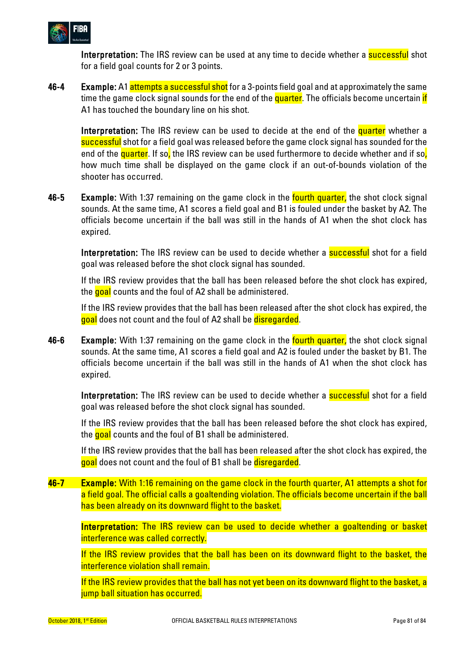

Interpretation: The IRS review can be used at any time to decide whether a **successful** shot for a field goal counts for 2 or 3 points.

46-4 Example: A1 attempts a successful shot for a 3-points field goal and at approximately the same time the game clock signal sounds for the end of the **quarter**. The officials become uncertain if A1 has touched the boundary line on his shot.

Interpretation: The IRS review can be used to decide at the end of the quarter whether a successful shot for a field goal was released before the game clock signal has sounded for the end of the quarter. If so, the IRS review can be used furthermore to decide whether and if so, how much time shall be displayed on the game clock if an out-of-bounds violation of the shooter has occurred.

46-5 Example: With 1:37 remaining on the game clock in the fourth quarter, the shot clock signal sounds. At the same time, A1 scores a field goal and B1 is fouled under the basket by A2. The officials become uncertain if the ball was still in the hands of A1 when the shot clock has expired.

Interpretation: The IRS review can be used to decide whether a **successful** shot for a field goal was released before the shot clock signal has sounded.

If the IRS review provides that the ball has been released before the shot clock has expired, the goal counts and the foul of A2 shall be administered.

If the IRS review provides that the ball has been released after the shot clock has expired, the goal does not count and the foul of A2 shall be disregarded.

46-6 Example: With 1:37 remaining on the game clock in the fourth quarter, the shot clock signal sounds. At the same time, A1 scores a field goal and A2 is fouled under the basket by B1. The officials become uncertain if the ball was still in the hands of A1 when the shot clock has expired.

Interpretation: The IRS review can be used to decide whether a **successful** shot for a field goal was released before the shot clock signal has sounded.

If the IRS review provides that the ball has been released before the shot clock has expired, the goal counts and the foul of B1 shall be administered.

If the IRS review provides that the ball has been released after the shot clock has expired, the aoal does not count and the foul of B1 shall be disregarded.

46-7 Example: With 1:16 remaining on the game clock in the fourth quarter, A1 attempts a shot for a field goal. The official calls a goaltending violation. The officials become uncertain if the ball has been already on its downward flight to the basket.

Interpretation: The IRS review can be used to decide whether a goaltending or basket interference was called correctly.

If the IRS review provides that the ball has been on its downward flight to the basket, the interference violation shall remain.

If the IRS review provides that the ball has not yet been on its downward flight to the basket, a jump ball situation has occurred.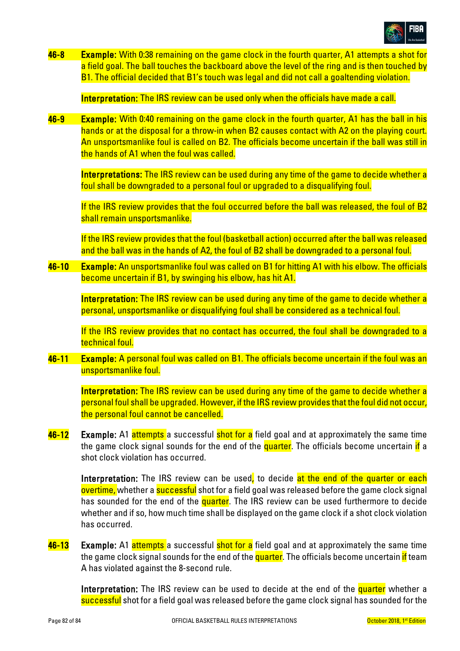

46-8 Example: With 0:38 remaining on the game clock in the fourth quarter, A1 attempts a shot for a field goal. The ball touches the backboard above the level of the ring and is then touched by B1. The official decided that B1's touch was legal and did not call a goaltending violation.

Interpretation: The IRS review can be used only when the officials have made a call.

46-9 Example: With 0:40 remaining on the game clock in the fourth quarter, A1 has the ball in his hands or at the disposal for a throw-in when B2 causes contact with A2 on the playing court. An unsportsmanlike foul is called on B2. The officials become uncertain if the ball was still in the hands of A1 when the foul was called.

Interpretations: The IRS review can be used during any time of the game to decide whether a foul shall be downgraded to a personal foul or upgraded to a disqualifying foul.

If the IRS review provides that the foul occurred before the ball was released, the foul of B2 shall remain unsportsmanlike.

If the IRS review provides that the foul (basketball action) occurred after the ball was released and the ball was in the hands of A2, the foul of B2 shall be downgraded to a personal foul.

46-10 Example: An unsportsmanlike foul was called on B1 for hitting A1 with his elbow. The officials become uncertain if B1, by swinging his elbow, has hit A1.

Interpretation: The IRS review can be used during any time of the game to decide whether a personal, unsportsmanlike or disqualifying foul shall be considered as a technical foul.

If the IRS review provides that no contact has occurred, the foul shall be downgraded to a technical foul.

46-11 Example: A personal foul was called on B1. The officials become uncertain if the foul was an unsportsmanlike foul.

Interpretation: The IRS review can be used during any time of the game to decide whether a personal foul shall be upgraded. However, if the IRS review provides that the foul did not occur, the personal foul cannot be cancelled.

46-12 Example: A1 attempts a successful shot for a field goal and at approximately the same time the game clock signal sounds for the end of the **quarter**. The officials become uncertain if a shot clock violation has occurred.

Interpretation: The IRS review can be used, to decide at the end of the quarter or each overtime, whether a successful shot for a field goal was released before the game clock signal has sounded for the end of the **quarter**. The IRS review can be used furthermore to decide whether and if so, how much time shall be displayed on the game clock if a shot clock violation has occurred.

**46-13** Example: A1 attempts a successful shot for a field goal and at approximately the same time the game clock signal sounds for the end of the quarter. The officials become uncertain if team A has violated against the 8-second rule.

Interpretation: The IRS review can be used to decide at the end of the quarter whether a successful shot for a field goal was released before the game clock signal has sounded for the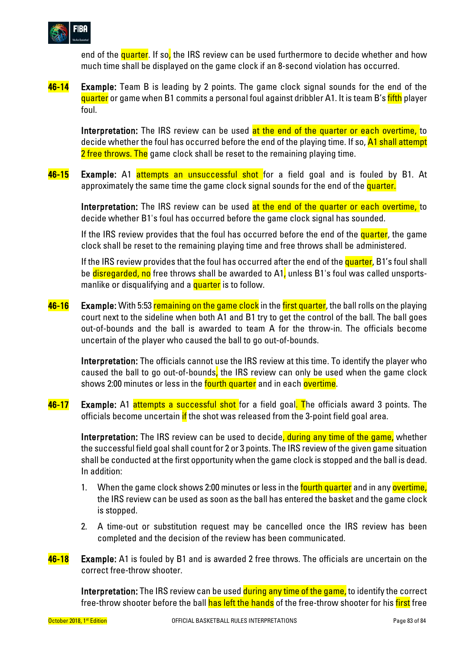

end of the quarter. If so, the IRS review can be used furthermore to decide whether and how much time shall be displayed on the game clock if an 8-second violation has occurred.

46-14 Example: Team B is leading by 2 points. The game clock signal sounds for the end of the quarter or game when B1 commits a personal foul against dribbler A1. It is team B's fifth player foul.

Interpretation: The IRS review can be used at the end of the quarter or each overtime, to decide whether the foul has occurred before the end of the playing time. If so, A1 shall attempt **2 free throws. The** game clock shall be reset to the remaining playing time.

46-15 Example: A1 attempts an unsuccessful shot for a field goal and is fouled by B1. At approximately the same time the game clock signal sounds for the end of the quarter.

Interpretation: The IRS review can be used at the end of the quarter or each overtime, to decide whether B1's foul has occurred before the game clock signal has sounded.

If the IRS review provides that the foul has occurred before the end of the quarter, the game clock shall be reset to the remaining playing time and free throws shall be administered.

If the IRS review provides that the foul has occurred after the end of the quarter, B1's foul shall be disregarded, no free throws shall be awarded to A1, unless B1's foul was called unsportsmanlike or disqualifying and a quarter is to follow.

46-16 Example: With 5:53 remaining on the game clock in the first quarter, the ball rolls on the playing court next to the sideline when both A1 and B1 try to get the control of the ball. The ball goes out-of-bounds and the ball is awarded to team A for the throw-in. The officials become uncertain of the player who caused the ball to go out-of-bounds.

Interpretation: The officials cannot use the IRS review at this time. To identify the player who caused the ball to go out-of-bounds, the IRS review can only be used when the game clock shows 2:00 minutes or less in the **fourth quarter** and in each overtime.

46-17 Example: A1 attempts a successful shot for a field goal. The officials award 3 points. The officials become uncertain if the shot was released from the 3-point field goal area.

Interpretation: The IRS review can be used to decide, during any time of the game, whether the successful field goal shall count for 2 or 3 points. The IRS review of the given game situation shall be conducted at the first opportunity when the game clock is stopped and the ball is dead. In addition:

- 1. When the game clock shows 2:00 minutes or less in the fourth quarter and in any overtime, the IRS review can be used as soon as the ball has entered the basket and the game clock is stopped.
- 2. A time-out or substitution request may be cancelled once the IRS review has been completed and the decision of the review has been communicated.
- **46-18** Example: A1 is fouled by B1 and is awarded 2 free throws. The officials are uncertain on the correct free-throw shooter.

Interpretation: The IRS review can be used during any time of the game, to identify the correct free-throw shooter before the ball has left the hands of the free-throw shooter for his first free